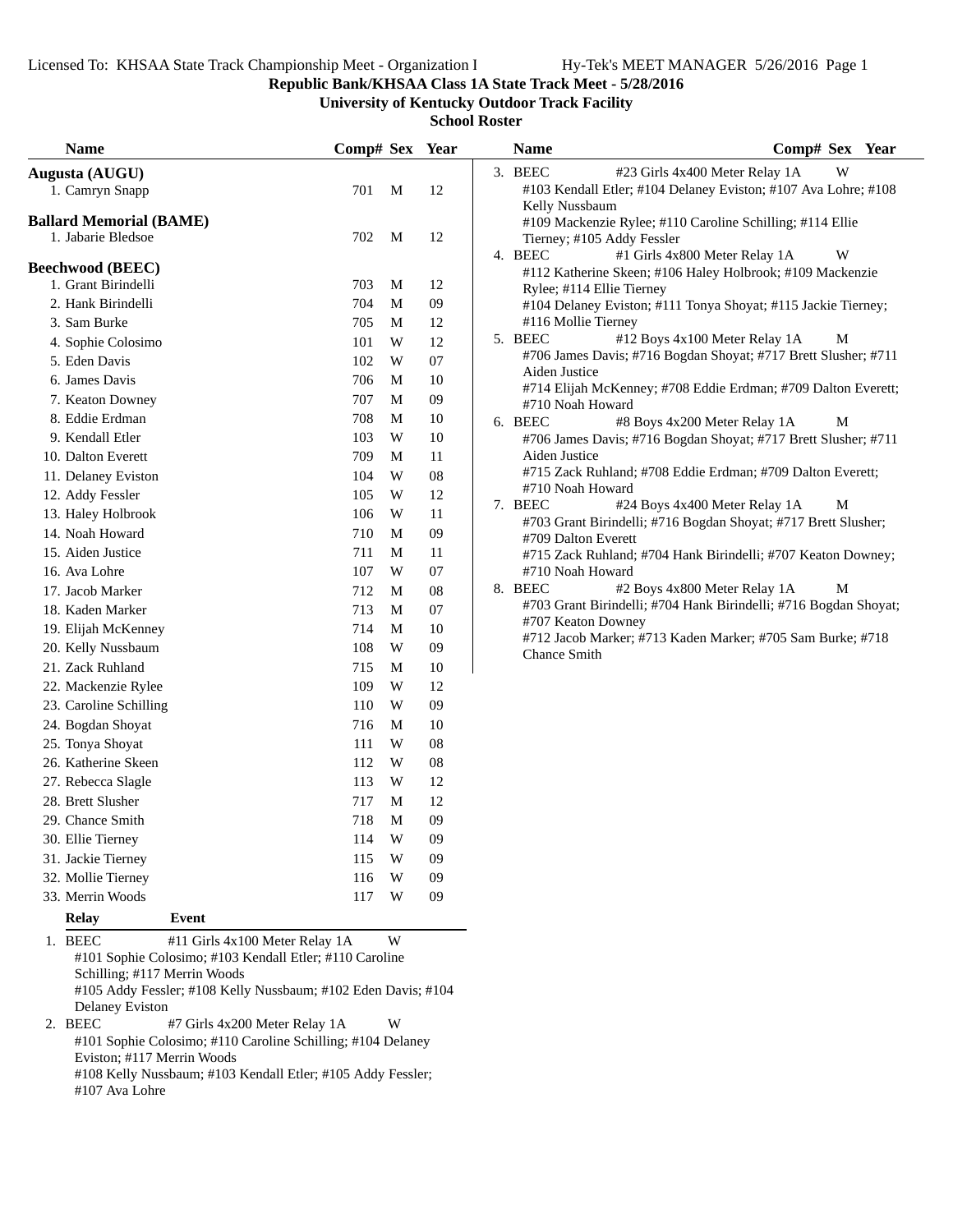**Republic Bank/KHSAA Class 1A State Track Meet - 5/28/2016**

**University of Kentucky Outdoor Track Facility**

**School Roster**

| <b>Name</b>                                          |                                | Comp# Sex Year      |        | <b>Name</b>   | Comp# Sex Year                                                                        |   |  |
|------------------------------------------------------|--------------------------------|---------------------|--------|---------------|---------------------------------------------------------------------------------------|---|--|
| Augusta (AUGU)                                       |                                |                     |        | 3. BEEC       | #23 Girls 4x400 Meter Relay 1A                                                        | W |  |
| 1. Camryn Snapp                                      |                                | 701<br>$\mathbf{M}$ | 12     |               | #103 Kendall Etler; #104 Delaney Eviston; #107 Ava Lohre; #108                        |   |  |
|                                                      |                                |                     |        |               | Kelly Nussbaum                                                                        |   |  |
| <b>Ballard Memorial (BAME)</b><br>1. Jabarie Bledsoe |                                | 702<br>M            | 12     |               | #109 Mackenzie Rylee; #110 Caroline Schilling; #114 Ellie                             |   |  |
|                                                      |                                |                     |        | 4. BEEC       | Tierney; #105 Addy Fessler<br>#1 Girls 4x800 Meter Relay 1A                           | W |  |
| <b>Beechwood (BEEC)</b>                              |                                |                     |        |               | #112 Katherine Skeen; #106 Haley Holbrook; #109 Mackenzie                             |   |  |
| 1. Grant Birindelli                                  |                                | 703<br>M            | 12     |               | Rylee; #114 Ellie Tierney                                                             |   |  |
| 2. Hank Birindelli                                   |                                | 704<br>M            | 09     |               | #104 Delaney Eviston; #111 Tonya Shoyat; #115 Jackie Tierney;                         |   |  |
| 3. Sam Burke                                         |                                | 705<br>M            | 12     |               | #116 Mollie Tierney                                                                   |   |  |
| 4. Sophie Colosimo                                   |                                | 101<br>W            | 12     | 5. BEEC       | #12 Boys 4x100 Meter Relay 1A                                                         | М |  |
| 5. Eden Davis                                        |                                | W<br>102            | 07     |               | #706 James Davis; #716 Bogdan Shoyat; #717 Brett Slusher; #711                        |   |  |
| 6. James Davis                                       |                                | 706<br>M            | $10\,$ | Aiden Justice | #714 Elijah McKenney; #708 Eddie Erdman; #709 Dalton Everett;                         |   |  |
| 7. Keaton Downey                                     |                                | 707<br>M            | 09     |               | #710 Noah Howard                                                                      |   |  |
| 8. Eddie Erdman                                      |                                | 708<br>M            | 10     | 6. BEEC       | #8 Boys 4x200 Meter Relay 1A                                                          | M |  |
| 9. Kendall Etler                                     |                                | W<br>103            | 10     |               | #706 James Davis; #716 Bogdan Shoyat; #717 Brett Slusher; #711                        |   |  |
| 10. Dalton Everett                                   |                                | 709<br>M            | 11     | Aiden Justice |                                                                                       |   |  |
| 11. Delaney Eviston                                  |                                | 104<br>W            | 08     |               | #715 Zack Ruhland; #708 Eddie Erdman; #709 Dalton Everett;                            |   |  |
| 12. Addy Fessler                                     |                                | W<br>105            | 12     |               | #710 Noah Howard                                                                      |   |  |
| 13. Haley Holbrook                                   |                                | 106<br>W            | 11     | 7. BEEC       | #24 Boys 4x400 Meter Relay 1A                                                         | М |  |
| 14. Noah Howard                                      |                                | 710<br>M            | 09     |               | #703 Grant Birindelli; #716 Bogdan Shoyat; #717 Brett Slusher;<br>#709 Dalton Everett |   |  |
| 15. Aiden Justice                                    |                                | M<br>711            | 11     |               | #715 Zack Ruhland; #704 Hank Birindelli; #707 Keaton Downey;                          |   |  |
| 16. Ava Lohre                                        |                                | 107<br>W            | 07     |               | #710 Noah Howard                                                                      |   |  |
| 17. Jacob Marker                                     |                                | 712<br>M            | 08     | 8. BEEC       | #2 Boys 4x800 Meter Relay 1A                                                          | M |  |
| 18. Kaden Marker                                     |                                | 713<br>M            | 07     |               | #703 Grant Birindelli; #704 Hank Birindelli; #716 Bogdan Shoyat;                      |   |  |
| 19. Elijah McKenney                                  |                                | 714<br>M            | 10     |               | #707 Keaton Downey                                                                    |   |  |
| 20. Kelly Nussbaum                                   |                                | W<br>108            | 09     |               | #712 Jacob Marker; #713 Kaden Marker; #705 Sam Burke; #718<br><b>Chance Smith</b>     |   |  |
| 21. Zack Ruhland                                     |                                | 715<br>M            | 10     |               |                                                                                       |   |  |
| 22. Mackenzie Rylee                                  |                                | 109<br>W            | 12     |               |                                                                                       |   |  |
| 23. Caroline Schilling                               |                                | W<br>110            | 09     |               |                                                                                       |   |  |
| 24. Bogdan Shoyat                                    |                                | 716<br>M            | 10     |               |                                                                                       |   |  |
| 25. Tonya Shoyat                                     |                                | 111<br>W            | 08     |               |                                                                                       |   |  |
| 26. Katherine Skeen                                  |                                | W<br>112            | 08     |               |                                                                                       |   |  |
| 27. Rebecca Slagle                                   |                                | W<br>113            | 12     |               |                                                                                       |   |  |
| 28. Brett Slusher                                    |                                | 717<br>M            | 12     |               |                                                                                       |   |  |
| 29. Chance Smith                                     |                                | 718<br>M            | 09     |               |                                                                                       |   |  |
| 30. Ellie Tierney                                    |                                | W<br>114            | 09     |               |                                                                                       |   |  |
| 31. Jackie Tierney                                   |                                | 115<br>W            | 09     |               |                                                                                       |   |  |
| 32. Mollie Tierney                                   |                                | W<br>116            | 09     |               |                                                                                       |   |  |
| 33. Merrin Woods                                     |                                | W<br>117            | 09     |               |                                                                                       |   |  |
| Relay                                                | Event                          |                     |        |               |                                                                                       |   |  |
| 1. BEEC                                              | #11 Girls 4x100 Meter Relay 1A | W                   |        |               |                                                                                       |   |  |

1. BEEC #11 Girls 4x100 Meter Relay 1A W #101 Sophie Colosimo; #103 Kendall Etler; #110 Caroline Schilling; #117 Merrin Woods #105 Addy Fessler; #108 Kelly Nussbaum; #102 Eden Davis; #104 Delaney Eviston

2. BEEC #7 Girls 4x200 Meter Relay 1A W #101 Sophie Colosimo; #110 Caroline Schilling; #104 Delaney Eviston; #117 Merrin Woods #108 Kelly Nussbaum; #103 Kendall Etler; #105 Addy Fessler; #107 Ava Lohre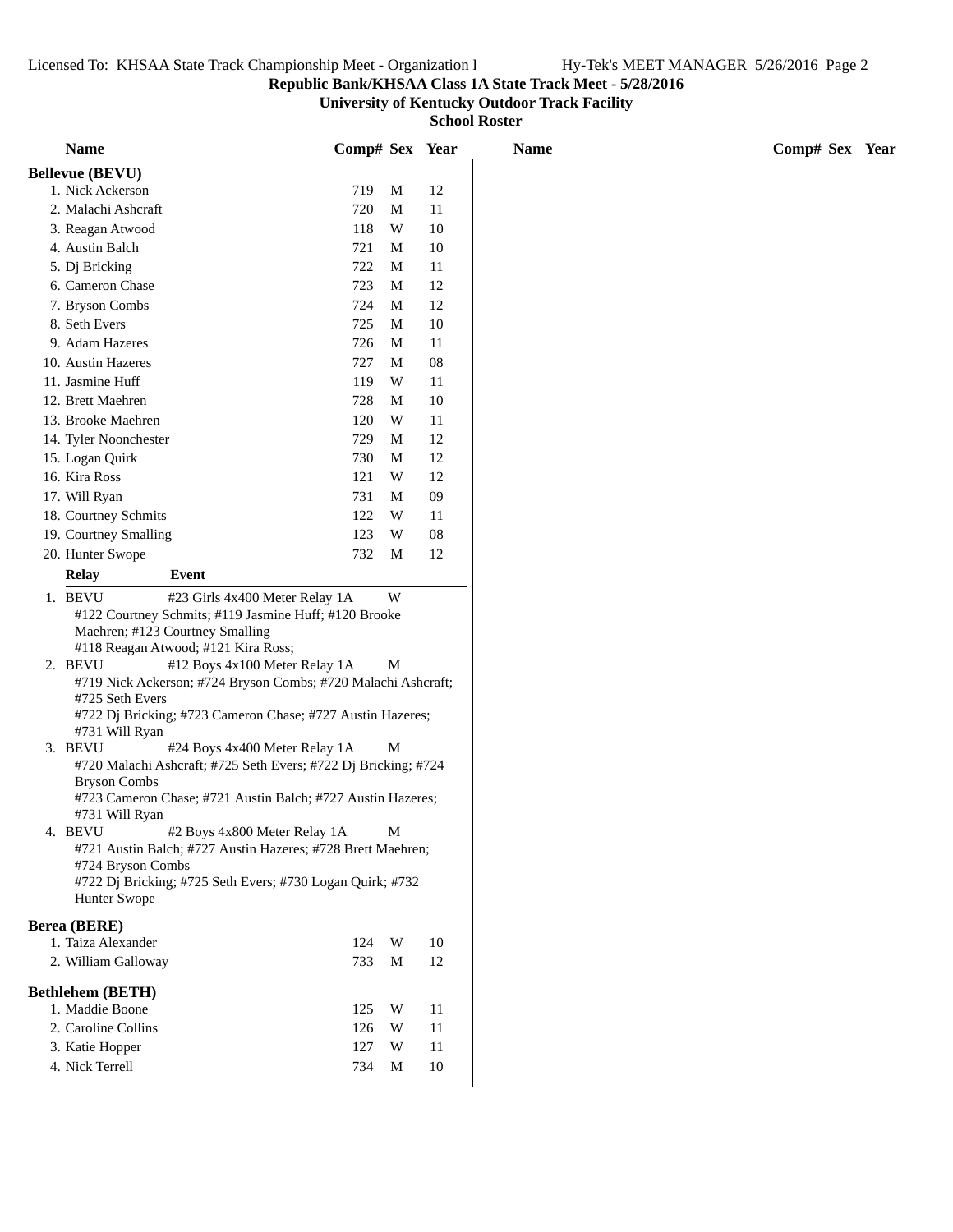## **Republic Bank/KHSAA Class 1A State Track Meet - 5/28/2016**

**University of Kentucky Outdoor Track Facility**

| <b>Name</b>               |                                                                                                                                                                   | Comp# Sex Year                                                                        |                          |                       |                                                                                         | <b>Name</b> | Comp# Sex Year |
|---------------------------|-------------------------------------------------------------------------------------------------------------------------------------------------------------------|---------------------------------------------------------------------------------------|--------------------------|-----------------------|-----------------------------------------------------------------------------------------|-------------|----------------|
| <b>Bellevue (BEVU)</b>    |                                                                                                                                                                   |                                                                                       |                          |                       |                                                                                         |             |                |
| 1. Nick Ackerson          |                                                                                                                                                                   | 719                                                                                   | M                        | 12                    |                                                                                         |             |                |
| 2. Malachi Ashcraft       |                                                                                                                                                                   | 720                                                                                   | M                        | 11                    |                                                                                         |             |                |
| 3. Reagan Atwood          |                                                                                                                                                                   | 118                                                                                   | W                        | 10                    |                                                                                         |             |                |
| 4. Austin Balch           |                                                                                                                                                                   | 721                                                                                   | M                        | 10                    |                                                                                         |             |                |
| 5. Dj Bricking            |                                                                                                                                                                   | 722                                                                                   | M                        | 11                    |                                                                                         |             |                |
| 6. Cameron Chase          |                                                                                                                                                                   | 723                                                                                   | M                        | 12                    |                                                                                         |             |                |
| 7. Bryson Combs           |                                                                                                                                                                   | 724                                                                                   | М                        | 12                    |                                                                                         |             |                |
| 8. Seth Evers             |                                                                                                                                                                   | 725                                                                                   | M                        | 10                    |                                                                                         |             |                |
| 9. Adam Hazeres           |                                                                                                                                                                   | 726                                                                                   | M                        | 11                    |                                                                                         |             |                |
| 10. Austin Hazeres        |                                                                                                                                                                   | 727                                                                                   | M                        | ${\bf 08}$            |                                                                                         |             |                |
| 11. Jasmine Huff          |                                                                                                                                                                   | 119                                                                                   | W                        | 11                    |                                                                                         |             |                |
| 12. Brett Maehren         |                                                                                                                                                                   | 728                                                                                   | M                        | 10                    |                                                                                         |             |                |
| 13. Brooke Maehren        |                                                                                                                                                                   | 120                                                                                   | W                        | 11                    |                                                                                         |             |                |
| 14. Tyler Noonchester     |                                                                                                                                                                   | 729                                                                                   | M                        | 12                    |                                                                                         |             |                |
| 15. Logan Quirk           |                                                                                                                                                                   | 730                                                                                   | M                        | 12                    |                                                                                         |             |                |
| 16. Kira Ross             |                                                                                                                                                                   | 121                                                                                   | W                        | 12                    |                                                                                         |             |                |
| 17. Will Ryan             |                                                                                                                                                                   | 731                                                                                   | М                        | 09                    |                                                                                         |             |                |
| 18. Courtney Schmits      |                                                                                                                                                                   | 122                                                                                   | W                        | 11                    |                                                                                         |             |                |
| 19. Courtney Smalling     |                                                                                                                                                                   | 123                                                                                   | W                        | ${\bf 08}$            |                                                                                         |             |                |
| 20. Hunter Swope          |                                                                                                                                                                   | 732                                                                                   | M                        | 12                    |                                                                                         |             |                |
| <b>Relay</b>              | Event                                                                                                                                                             |                                                                                       |                          |                       |                                                                                         |             |                |
|                           |                                                                                                                                                                   |                                                                                       |                          |                       |                                                                                         |             |                |
| 1. BEVU                   | #23 Girls 4x400 Meter Relay 1A<br>#122 Courtney Schmits; #119 Jasmine Huff; #120 Brooke<br>Maehren; #123 Courtney Smalling<br>#118 Reagan Atwood; #121 Kira Ross; |                                                                                       | W                        |                       |                                                                                         |             |                |
| 2. BEVU                   | #12 Boys 4x100 Meter Relay 1A                                                                                                                                     |                                                                                       | M                        |                       |                                                                                         |             |                |
|                           | #719 Nick Ackerson; #724 Bryson Combs; #720 Malachi Ashcraft;                                                                                                     |                                                                                       |                          |                       |                                                                                         |             |                |
| #725 Seth Evers           |                                                                                                                                                                   |                                                                                       |                          |                       |                                                                                         |             |                |
|                           | #722 Dj Bricking; #723 Cameron Chase; #727 Austin Hazeres;                                                                                                        |                                                                                       |                          |                       |                                                                                         |             |                |
| #731 Will Ryan<br>3. BEVU | #24 Boys 4x400 Meter Relay 1A                                                                                                                                     |                                                                                       | М                        |                       |                                                                                         |             |                |
|                           | #720 Malachi Ashcraft; #725 Seth Evers; #722 Dj Bricking; #724                                                                                                    |                                                                                       |                          |                       |                                                                                         |             |                |
| <b>Bryson Combs</b>       |                                                                                                                                                                   |                                                                                       |                          |                       |                                                                                         |             |                |
|                           | #723 Cameron Chase; #721 Austin Balch; #727 Austin Hazeres;                                                                                                       |                                                                                       |                          |                       |                                                                                         |             |                |
| #731 Will Ryan            |                                                                                                                                                                   |                                                                                       |                          |                       |                                                                                         |             |                |
| BEVU                      | #2 Boys 4x800 Meter Relay 1A                                                                                                                                      |                                                                                       | M                        |                       |                                                                                         |             |                |
|                           | #721 Austin Balch; #727 Austin Hazeres; #728 Brett Maehren;                                                                                                       |                                                                                       |                          |                       |                                                                                         |             |                |
|                           |                                                                                                                                                                   |                                                                                       |                          |                       |                                                                                         |             |                |
|                           |                                                                                                                                                                   |                                                                                       |                          |                       |                                                                                         |             |                |
|                           |                                                                                                                                                                   |                                                                                       |                          |                       |                                                                                         |             |                |
|                           |                                                                                                                                                                   |                                                                                       |                          |                       |                                                                                         |             |                |
|                           |                                                                                                                                                                   | 124                                                                                   |                          |                       |                                                                                         |             |                |
|                           |                                                                                                                                                                   | 733                                                                                   | M                        | 12                    |                                                                                         |             |                |
|                           |                                                                                                                                                                   |                                                                                       |                          |                       |                                                                                         |             |                |
|                           |                                                                                                                                                                   |                                                                                       |                          |                       |                                                                                         |             |                |
|                           |                                                                                                                                                                   |                                                                                       |                          |                       |                                                                                         |             |                |
|                           |                                                                                                                                                                   |                                                                                       |                          |                       |                                                                                         |             |                |
|                           |                                                                                                                                                                   |                                                                                       |                          |                       |                                                                                         |             |                |
|                           |                                                                                                                                                                   |                                                                                       |                          |                       |                                                                                         |             |                |
|                           | Hunter Swope<br><b>Berea</b> (BERE)<br><b>Bethlehem (BETH)</b><br>1. Maddie Boone<br>3. Katie Hopper<br>4. Nick Terrell                                           | #724 Bryson Combs<br>1. Taiza Alexander<br>2. William Galloway<br>2. Caroline Collins | 125<br>126<br>127<br>734 | W<br>W<br>W<br>W<br>M | #722 Dj Bricking; #725 Seth Evers; #730 Logan Quirk; #732<br>10<br>11<br>11<br>11<br>10 |             |                |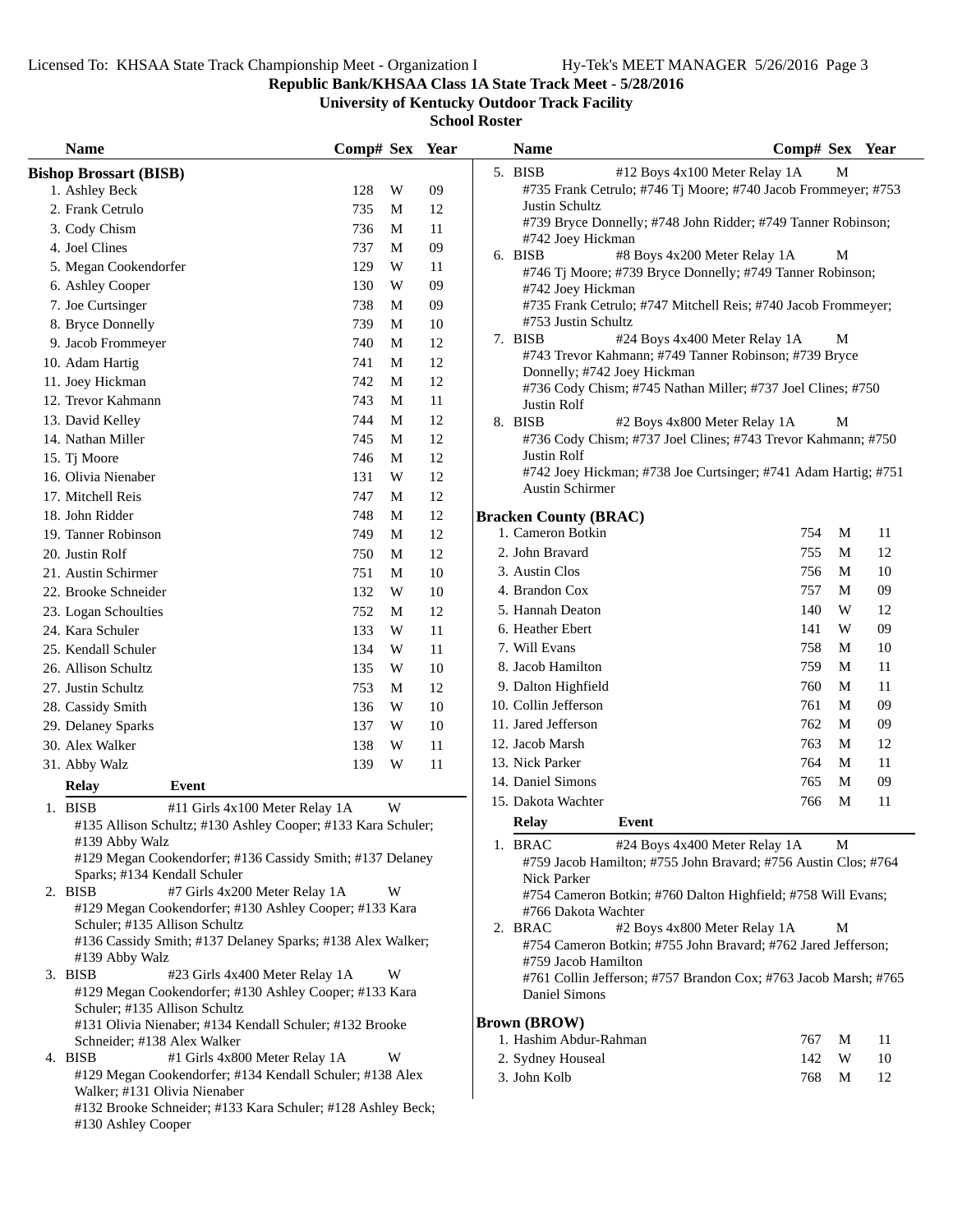**Republic Bank/KHSAA Class 1A State Track Meet - 5/28/2016**

**University of Kentucky Outdoor Track Facility**

| <b>Name</b>                                                                             | Comp# Sex Year     |        | <b>Name</b>                                                                                              | Comp# Sex Year |
|-----------------------------------------------------------------------------------------|--------------------|--------|----------------------------------------------------------------------------------------------------------|----------------|
| <b>Bishop Brossart (BISB)</b>                                                           |                    |        | 5. BISB<br>#12 Boys 4x100 Meter Relay 1A                                                                 | М              |
| 1. Ashley Beck                                                                          | W<br>128           | 09     | #735 Frank Cetrulo; #746 Tj Moore; #740 Jacob Frommeyer; #753                                            |                |
| 2. Frank Cetrulo                                                                        | 735<br>M           | 12     | Justin Schultz                                                                                           |                |
| 3. Cody Chism                                                                           | 736<br>M           | 11     | #739 Bryce Donnelly; #748 John Ridder; #749 Tanner Robinson;                                             |                |
| 4. Joel Clines                                                                          | 737<br>M           | $09\,$ | #742 Joey Hickman<br>#8 Boys 4x200 Meter Relay 1A<br>6. BISB                                             | M              |
| 5. Megan Cookendorfer                                                                   | 129<br>W           | 11     | #746 Tj Moore; #739 Bryce Donnelly; #749 Tanner Robinson;                                                |                |
| 6. Ashley Cooper                                                                        | 130<br>W           | 09     | #742 Joey Hickman                                                                                        |                |
| 7. Joe Curtsinger                                                                       | 738<br>M           | 09     | #735 Frank Cetrulo; #747 Mitchell Reis; #740 Jacob Frommeyer;                                            |                |
| 8. Bryce Donnelly                                                                       | 739<br>M           | 10     | #753 Justin Schultz                                                                                      |                |
| 9. Jacob Frommeyer                                                                      | 740<br>M           | 12     | 7. BISB<br>#24 Boys 4x400 Meter Relay 1A                                                                 | М              |
| 10. Adam Hartig                                                                         | $\mathbf M$<br>741 | 12     | #743 Trevor Kahmann; #749 Tanner Robinson; #739 Bryce                                                    |                |
| 11. Joey Hickman                                                                        | 742<br>M           | 12     | Donnelly; #742 Joey Hickman<br>#736 Cody Chism; #745 Nathan Miller; #737 Joel Clines; #750               |                |
| 12. Trevor Kahmann                                                                      | 743<br>M           | 11     | Justin Rolf                                                                                              |                |
| 13. David Kelley                                                                        | 744<br>M           | 12     | 8. BISB<br>#2 Boys 4x800 Meter Relay 1A                                                                  | M              |
| 14. Nathan Miller                                                                       | 745<br>M           | 12     | #736 Cody Chism; #737 Joel Clines; #743 Trevor Kahmann; #750                                             |                |
| 15. Tj Moore                                                                            | 746<br>M           | 12     | Justin Rolf                                                                                              |                |
| 16. Olivia Nienaber                                                                     | 131<br>W           | 12     | #742 Joey Hickman; #738 Joe Curtsinger; #741 Adam Hartig; #751                                           |                |
| 17. Mitchell Reis                                                                       | 747<br>M           | 12     | <b>Austin Schirmer</b>                                                                                   |                |
| 18. John Ridder                                                                         | 748<br>M           | 12     | <b>Bracken County (BRAC)</b>                                                                             |                |
| 19. Tanner Robinson                                                                     | 749<br>M           | 12     | 1. Cameron Botkin                                                                                        | 754<br>M<br>11 |
| 20. Justin Rolf                                                                         | $\mathbf M$<br>750 | 12     | 2. John Bravard                                                                                          | 12<br>755<br>M |
| 21. Austin Schirmer                                                                     | $\mathbf M$<br>751 | 10     | 3. Austin Clos                                                                                           | 756<br>10<br>M |
| 22. Brooke Schneider                                                                    | W<br>132           | 10     | 4. Brandon Cox                                                                                           | 757<br>09<br>M |
| 23. Logan Schoulties                                                                    | 752<br>M           | 12     | 5. Hannah Deaton                                                                                         | 140<br>W<br>12 |
| 24. Kara Schuler                                                                        | 133<br>W           | 11     | 6. Heather Ebert                                                                                         | W<br>09<br>141 |
| 25. Kendall Schuler                                                                     | 134<br>W           | 11     | 7. Will Evans                                                                                            | 758<br>10<br>M |
| 26. Allison Schultz                                                                     | 135<br>W           | $10\,$ | 8. Jacob Hamilton                                                                                        | 759<br>M<br>11 |
| 27. Justin Schultz                                                                      | 753<br>M           | 12     | 9. Dalton Highfield                                                                                      | 760<br>M<br>11 |
| 28. Cassidy Smith                                                                       | 136<br>W           | 10     | 10. Collin Jefferson                                                                                     | 761<br>M<br>09 |
| 29. Delaney Sparks                                                                      | 137<br>W           | $10\,$ | 11. Jared Jefferson                                                                                      | 762<br>M<br>09 |
| 30. Alex Walker                                                                         | W<br>138           | 11     | 12. Jacob Marsh                                                                                          | 763<br>M<br>12 |
| 31. Abby Walz                                                                           | W<br>139           | 11     | 13. Nick Parker                                                                                          | 764<br>M<br>11 |
| <b>Relay</b><br>Event                                                                   |                    |        | 14. Daniel Simons                                                                                        | 765<br>M<br>09 |
| 1. BISB<br>#11 Girls 4x100 Meter Relay 1A                                               | W                  |        | 15. Dakota Wachter                                                                                       | M<br>11<br>766 |
| #135 Allison Schultz; #130 Ashley Cooper; #133 Kara Schuler;                            |                    |        | Event<br>Relay                                                                                           |                |
| #139 Abby Walz                                                                          |                    |        | 1. BRAC<br>#24 Boys 4x400 Meter Relay 1A                                                                 | M              |
| #129 Megan Cookendorfer; #136 Cassidy Smith; #137 Delaney                               |                    |        | #759 Jacob Hamilton; #755 John Bravard; #756 Austin Clos; #764                                           |                |
| Sparks; #134 Kendall Schuler                                                            |                    |        | Nick Parker                                                                                              |                |
| 2. BISB<br>#7 Girls 4x200 Meter Relay 1A                                                | W                  |        | #754 Cameron Botkin; #760 Dalton Highfield; #758 Will Evans;                                             |                |
| #129 Megan Cookendorfer; #130 Ashley Cooper; #133 Kara<br>Schuler; #135 Allison Schultz |                    |        | #766 Dakota Wachter                                                                                      |                |
| #136 Cassidy Smith; #137 Delaney Sparks; #138 Alex Walker;                              |                    |        | 2. BRAC<br>#2 Boys 4x800 Meter Relay 1A<br>#754 Cameron Botkin; #755 John Bravard; #762 Jared Jefferson; | M              |
| #139 Abby Walz                                                                          |                    |        | #759 Jacob Hamilton                                                                                      |                |
| 3. BISB<br>#23 Girls 4x400 Meter Relay 1A                                               | W                  |        | #761 Collin Jefferson; #757 Brandon Cox; #763 Jacob Marsh; #765                                          |                |
| #129 Megan Cookendorfer; #130 Ashley Cooper; #133 Kara                                  |                    |        | Daniel Simons                                                                                            |                |
| Schuler; #135 Allison Schultz                                                           |                    |        |                                                                                                          |                |
| #131 Olivia Nienaber; #134 Kendall Schuler; #132 Brooke<br>Schneider; #138 Alex Walker  |                    |        | <b>Brown (BROW)</b><br>1. Hashim Abdur-Rahman                                                            | 767<br>M<br>11 |
| 4. BISB<br>#1 Girls 4x800 Meter Relay 1A                                                | W                  |        | 2. Sydney Houseal                                                                                        | 142<br>W<br>10 |
| #129 Megan Cookendorfer; #134 Kendall Schuler; #138 Alex                                |                    |        | 3. John Kolb                                                                                             | 768<br>M<br>12 |
| Walker; #131 Olivia Nienaber                                                            |                    |        |                                                                                                          |                |
| #132 Brooke Schneider; #133 Kara Schuler; #128 Ashley Beck;                             |                    |        |                                                                                                          |                |
| #130 Ashley Cooper                                                                      |                    |        |                                                                                                          |                |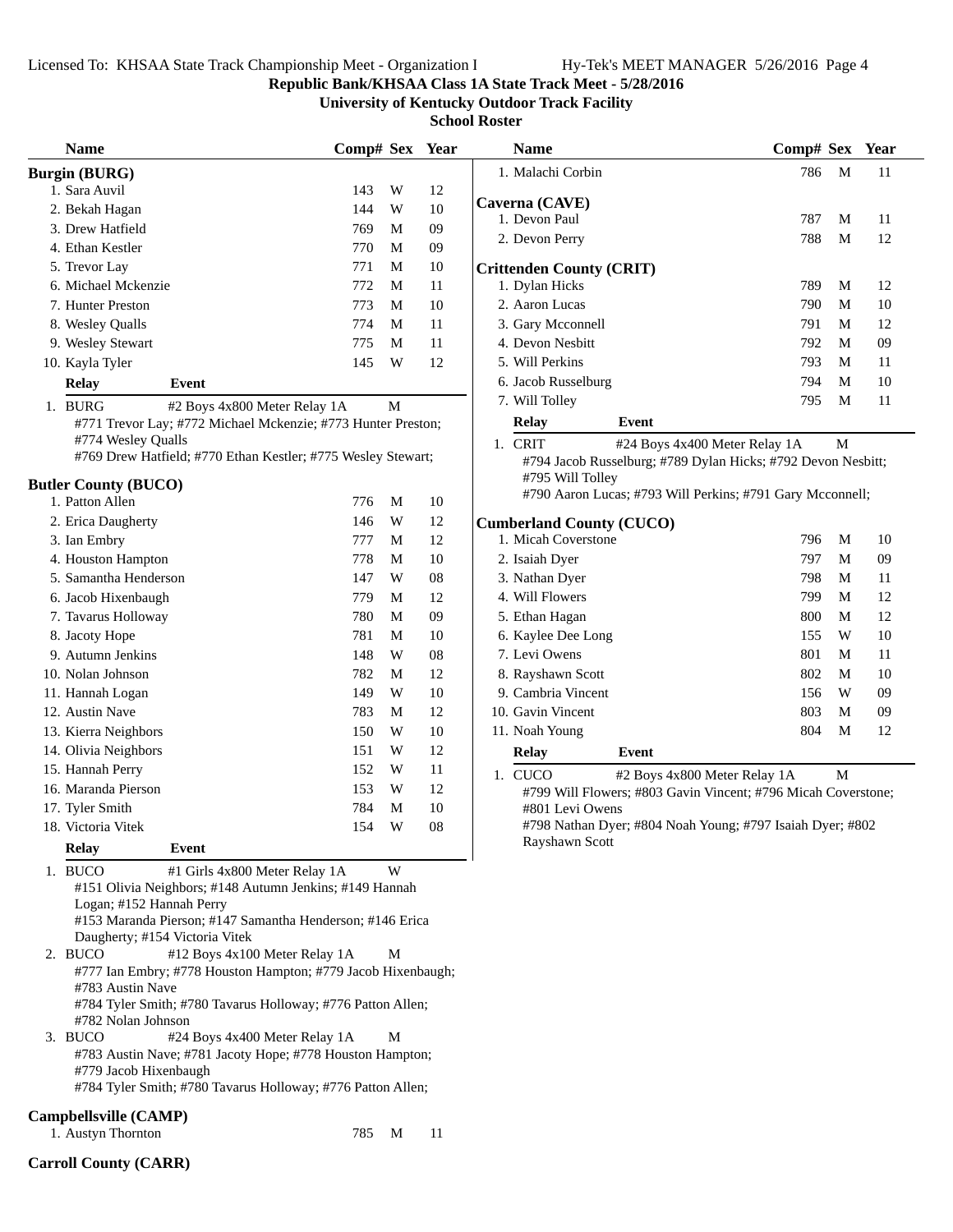#### **Republic Bank/KHSAA Class 1A State Track Meet - 5/28/2016**

**University of Kentucky Outdoor Track Facility**

**School Roster**

| <b>Name</b>                                                  | Comp# Sex Year |                         |    | <b>Name</b>                                                   | Comp# Sex |             | Year |
|--------------------------------------------------------------|----------------|-------------------------|----|---------------------------------------------------------------|-----------|-------------|------|
| <b>Burgin (BURG)</b>                                         |                |                         |    | 1. Malachi Corbin                                             | 786       | M           | 11   |
| 1. Sara Auvil                                                | 143            | W                       | 12 |                                                               |           |             |      |
| 2. Bekah Hagan                                               | 144            | W                       | 10 | Caverna (CAVE)<br>1. Devon Paul                               | 787       | M           | 11   |
| 3. Drew Hatfield                                             | 769            | M                       | 09 |                                                               | 788       | M           | 12   |
| 4. Ethan Kestler                                             | 770            | M                       | 09 | 2. Devon Perry                                                |           |             |      |
| 5. Trevor Lay                                                | 771            | M                       | 10 | <b>Crittenden County (CRIT)</b>                               |           |             |      |
| 6. Michael Mckenzie                                          | 772            | $\mathbf M$             | 11 | 1. Dylan Hicks                                                | 789       | M           | 12   |
| 7. Hunter Preston                                            | 773            | $\mathbf M$             | 10 | 2. Aaron Lucas                                                | 790       | M           | 10   |
| 8. Wesley Qualls                                             | 774            | $\mathbf M$             | 11 | 3. Gary Mcconnell                                             | 791       | M           | 12   |
| 9. Wesley Stewart                                            | 775            | M                       | 11 | 4. Devon Nesbitt                                              | 792       | M           | 09   |
| 10. Kayla Tyler                                              | 145            | $\ensuremath{\text{W}}$ | 12 | 5. Will Perkins                                               | 793       | M           | 11   |
| <b>Relay</b><br>Event                                        |                |                         |    | 6. Jacob Russelburg                                           | 794       | M           | 10   |
| 1. BURG<br>#2 Boys 4x800 Meter Relay 1A                      |                | M                       |    | 7. Will Tolley                                                | 795       | M           | 11   |
| #771 Trevor Lay; #772 Michael Mckenzie; #773 Hunter Preston; |                |                         |    | <b>Relay</b><br>Event                                         |           |             |      |
| #774 Wesley Qualls                                           |                |                         |    | 1. CRIT<br>#24 Boys 4x400 Meter Relay 1A                      |           | M           |      |
| #769 Drew Hatfield; #770 Ethan Kestler; #775 Wesley Stewart; |                |                         |    | #794 Jacob Russelburg; #789 Dylan Hicks; #792 Devon Nesbitt;  |           |             |      |
| <b>Butler County (BUCO)</b>                                  |                |                         |    | #795 Will Tolley                                              |           |             |      |
| 1. Patton Allen                                              | 776            | M                       | 10 | #790 Aaron Lucas; #793 Will Perkins; #791 Gary Mcconnell;     |           |             |      |
| 2. Erica Daugherty                                           | 146            | W                       | 12 | <b>Cumberland County (CUCO)</b>                               |           |             |      |
| 3. Ian Embry                                                 | 777            | M                       | 12 | 1. Micah Coverstone                                           | 796       | M           | 10   |
| 4. Houston Hampton                                           | 778            | M                       | 10 | 2. Isaiah Dyer                                                | 797       | M           | 09   |
| 5. Samantha Henderson                                        | 147            | W                       | 08 | 3. Nathan Dyer                                                | 798       | M           | 11   |
| 6. Jacob Hixenbaugh                                          | 779            | M                       | 12 | 4. Will Flowers                                               | 799       | M           | 12   |
| 7. Tavarus Holloway                                          | 780            | M                       | 09 | 5. Ethan Hagan                                                | 800       | M           | 12   |
| 8. Jacoty Hope                                               | 781            | M                       | 10 | 6. Kaylee Dee Long                                            | 155       | W           | 10   |
| 9. Autumn Jenkins                                            | 148            | W                       | 08 | 7. Levi Owens                                                 | 801       | M           | 11   |
| 10. Nolan Johnson                                            | 782            | M                       | 12 | 8. Rayshawn Scott                                             | 802       | M           | 10   |
| 11. Hannah Logan                                             | 149            | W                       | 10 | 9. Cambria Vincent                                            | 156       | W           | 09   |
| 12. Austin Nave                                              | 783            | M                       | 12 | 10. Gavin Vincent                                             | 803       | M           | 09   |
| 13. Kierra Neighbors                                         | 150            | W                       | 10 | 11. Noah Young                                                | 804       | M           | 12   |
| 14. Olivia Neighbors                                         | 151            | W                       | 12 | <b>Relay</b><br>Event                                         |           |             |      |
| 15. Hannah Perry                                             | 152            | W                       | 11 | #2 Boys 4x800 Meter Relay 1A<br>1. CUCO                       |           | $\mathbf M$ |      |
| 16. Maranda Pierson                                          | 153            | W                       | 12 | #799 Will Flowers; #803 Gavin Vincent; #796 Micah Coverstone; |           |             |      |
| 17. Tyler Smith                                              | 784            | $\mathbf M$             | 10 | #801 Levi Owens                                               |           |             |      |
| 18. Victoria Vitek                                           | 154            | W                       | 08 | #798 Nathan Dyer; #804 Noah Young; #797 Isaiah Dyer; #802     |           |             |      |
| <b>Relay</b><br>Event                                        |                |                         |    | Rayshawn Scott                                                |           |             |      |

1. BUCO #1 Girls 4x800 Meter Relay 1A W #151 Olivia Neighbors; #148 Autumn Jenkins; #149 Hannah Logan; #152 Hannah Perry #153 Maranda Pierson; #147 Samantha Henderson; #146 Erica Daugherty; #154 Victoria Vitek 2. BUCO #12 Boys 4x100 Meter Relay 1A M #777 Ian Embry; #778 Houston Hampton; #779 Jacob Hixenbaugh; #783 Austin Nave #784 Tyler Smith; #780 Tavarus Holloway; #776 Patton Allen; #782 Nolan Johnson

3. BUCO #24 Boys 4x400 Meter Relay 1A M #783 Austin Nave; #781 Jacoty Hope; #778 Houston Hampton; #779 Jacob Hixenbaugh

#784 Tyler Smith; #780 Tavarus Holloway; #776 Patton Allen;

#### **Campbellsville (CAMP)**

1. Austyn Thornton 785 M 11

| <b>Name</b>                     |       | Comp# Sex Year |   |    |  |
|---------------------------------|-------|----------------|---|----|--|
| 1. Malachi Corbin               |       | 786            | M | 11 |  |
| Caverna (CAVE)                  |       |                |   |    |  |
| 1. Devon Paul                   |       | 787            | M | 11 |  |
| 2. Devon Perry                  |       | 788            | M | 12 |  |
| <b>Crittenden County (CRIT)</b> |       |                |   |    |  |
| 1. Dylan Hicks                  |       | 789            | M | 12 |  |
| 2. Aaron Lucas                  |       | 790            | M | 10 |  |
| 3. Gary Mcconnell               |       | 791            | M | 12 |  |
| 4. Devon Nesbitt                |       | 792            | M | 09 |  |
| 5. Will Perkins                 |       | 793            | M | 11 |  |
| 6. Jacob Russelburg             |       | 794            | M | 10 |  |
| 7. Will Tolley                  |       | 795            | M | 11 |  |
| Relay                           | Event |                |   |    |  |

### **Cumberland County (CUCO)**

| $\mathbf{1}$ | C <sub>II</sub> C <sub>O</sub>    | $\text{42.5}$ Deve $\text{4} \times 0$ 00 Meter Delev 1.4 |     | <b>M</b> |    |
|--------------|-----------------------------------|-----------------------------------------------------------|-----|----------|----|
|              | <b>Relay</b>                      | Event                                                     |     |          |    |
|              | 11. Noah Young                    |                                                           | 804 | M        | 12 |
|              | 10. Gavin Vincent                 |                                                           | 803 | M        | 09 |
|              | 9. Cambria Vincent                |                                                           | 156 | W        | 09 |
|              | 8. Rayshawn Scott                 |                                                           | 802 | M        | 10 |
|              | 7. Levi Owens                     |                                                           | 801 | M        | 11 |
|              | 6. Kaylee Dee Long                |                                                           | 155 | W        | 10 |
|              | 5. Ethan Hagan                    |                                                           | 800 | М        | 12 |
|              | 4. Will Flowers                   |                                                           | 799 | M        | 12 |
|              | 3. Nathan Dyer                    |                                                           | 798 | M        | 11 |
|              | 2. Isaiah Dyer                    |                                                           | 797 | M        | 09 |
|              | 1. Micah Coverstone               |                                                           | 796 | М        | 10 |
|              | $_{\rm initial}$ county (ee eq. ) |                                                           |     |          |    |

**Carroll County (CARR)**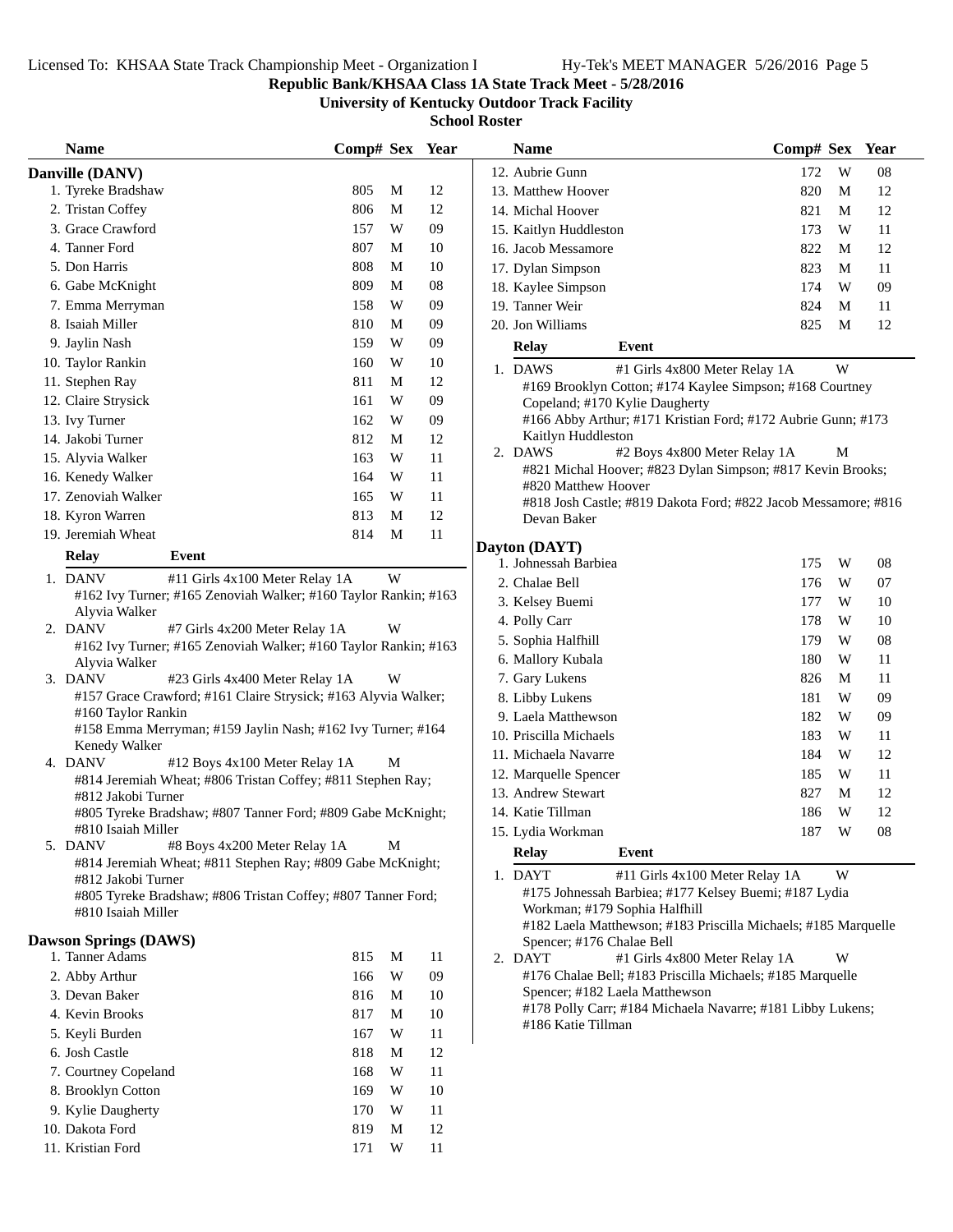## **Republic Bank/KHSAA Class 1A State Track Meet - 5/28/2016**

**University of Kentucky Outdoor Track Facility**

|    | <b>Name</b>                                                                        | Comp# Sex |   | Year |
|----|------------------------------------------------------------------------------------|-----------|---|------|
|    | Danville (DANV)                                                                    |           |   |      |
|    | 1. Tyreke Bradshaw                                                                 | 805       | М | 12   |
|    | 2. Tristan Coffey                                                                  | 806       | М | 12   |
|    | 3. Grace Crawford                                                                  | 157       | W | 09   |
|    | 4. Tanner Ford                                                                     | 807       | M | 10   |
|    | 5. Don Harris                                                                      | 808       | M | 10   |
|    | 6. Gabe McKnight                                                                   | 809       | M | 08   |
|    | 7. Emma Merryman                                                                   | 158       | W | 09   |
|    | 8. Isaiah Miller                                                                   | 810       | M | 09   |
|    | 9. Jaylin Nash                                                                     | 159       | W | 09   |
|    | 10. Taylor Rankin                                                                  | 160       | W | 10   |
|    | 11. Stephen Ray                                                                    | 811       | M | 12   |
|    | 12. Claire Strysick                                                                | 161       | W | 09   |
|    | 13. Ivy Turner                                                                     | 162       | W | 09   |
|    | 14. Jakobi Turner                                                                  | 812       | M | 12   |
|    | 15. Alyvia Walker                                                                  | 163       | W | 11   |
|    | 16. Kenedy Walker                                                                  | 164       | W | 11   |
|    | 17. Zenoviah Walker                                                                | 165       | W | 11   |
|    | 18. Kyron Warren                                                                   | 813       | M | 12   |
|    | 19. Jeremiah Wheat                                                                 | 814       | М | 11   |
|    | Event<br><b>Relay</b>                                                              |           |   |      |
|    | 1. DANV<br>#11 Girls 4x100 Meter Relay 1A                                          |           | W |      |
|    | #162 Ivy Turner; #165 Zenoviah Walker; #160 Taylor Rankin; #163                    |           |   |      |
|    | Alyvia Walker                                                                      |           |   |      |
|    | 2. DANV<br>#7 Girls 4x200 Meter Relay 1A                                           |           | W |      |
|    | #162 Ivy Turner; #165 Zenoviah Walker; #160 Taylor Rankin; #163                    |           |   |      |
|    | Alyvia Walker<br>3. DANV<br>#23 Girls 4x400 Meter Relay 1A                         |           | W |      |
|    | #157 Grace Crawford; #161 Claire Strysick; #163 Alyvia Walker;                     |           |   |      |
|    | #160 Taylor Rankin                                                                 |           |   |      |
|    | #158 Emma Merryman; #159 Jaylin Nash; #162 Ivy Turner; #164                        |           |   |      |
|    | Kenedy Walker                                                                      |           |   |      |
| 4. | <b>DANV</b><br>#12 Boys 4x100 Meter Relay 1A                                       |           | М |      |
|    | #814 Jeremiah Wheat; #806 Tristan Coffey; #811 Stephen Ray;<br>#812 Jakobi Turner  |           |   |      |
|    | #805 Tyreke Bradshaw; #807 Tanner Ford; #809 Gabe McKnight;                        |           |   |      |
|    | #810 Isaiah Miller                                                                 |           |   |      |
| 5. | <b>DANV</b><br>#8 Boys 4x200 Meter Relay 1A                                        |           | М |      |
|    | #814 Jeremiah Wheat; #811 Stephen Ray; #809 Gabe McKnight;                         |           |   |      |
|    | #812 Jakobi Turner                                                                 |           |   |      |
|    | #805 Tyreke Bradshaw; #806 Tristan Coffey; #807 Tanner Ford;<br>#810 Isaiah Miller |           |   |      |
|    |                                                                                    |           |   |      |
|    | <b>Dawson Springs (DAWS)</b>                                                       |           |   |      |
|    | 1. Tanner Adams                                                                    | 815       | М | 11   |
|    | 2. Abby Arthur                                                                     | 166       | W | 09   |
|    | 3. Devan Baker                                                                     | 816       | М | 10   |
|    | 4. Kevin Brooks                                                                    | 817       | М | 10   |
|    | 5. Keyli Burden                                                                    | 167       | W | 11   |
|    | 6. Josh Castle                                                                     | 818       | M | 12   |
|    | 7. Courtney Copeland                                                               | 168       | W | 11   |
|    | 8. Brooklyn Cotton                                                                 | 169       | W | 10   |
|    | 9. Kylie Daugherty                                                                 | 170       | W | 11   |
|    | 10. Dakota Ford<br>11. Kristian Ford                                               | 819       | M | 12   |
|    |                                                                                    | 171       | W | 11   |
|    |                                                                                    |           |   |      |

|    | <b>Name</b>                                                                                                                                                                           | Comp# Sex |   | Year |
|----|---------------------------------------------------------------------------------------------------------------------------------------------------------------------------------------|-----------|---|------|
|    | 12. Aubrie Gunn                                                                                                                                                                       | 172       | W | 08   |
|    | 13. Matthew Hoover                                                                                                                                                                    | 820       | М | 12   |
|    | 14. Michal Hoover                                                                                                                                                                     | 821       | М | 12   |
|    | 15. Kaitlyn Huddleston                                                                                                                                                                | 173       | W | 11   |
|    | 16. Jacob Messamore                                                                                                                                                                   | 822       | М | 12   |
|    | 17. Dylan Simpson                                                                                                                                                                     | 823       | М | 11   |
|    | 18. Kaylee Simpson                                                                                                                                                                    | 174       | W | 09   |
|    | 19. Tanner Weir                                                                                                                                                                       | 824       | М | 11   |
|    | 20. Jon Williams                                                                                                                                                                      | 825       | М | 12   |
|    | <b>Relay</b><br>Event                                                                                                                                                                 |           |   |      |
|    | 1. DAWS<br>#1 Girls 4x800 Meter Relay 1A                                                                                                                                              |           | W |      |
|    | #169 Brooklyn Cotton; #174 Kaylee Simpson; #168 Courtney<br>Copeland; #170 Kylie Daugherty<br>#166 Abby Arthur; #171 Kristian Ford; #172 Aubrie Gunn; #173<br>Kaitlyn Huddleston      |           |   |      |
|    | 2. DAWS<br>#2 Boys 4x800 Meter Relay 1A                                                                                                                                               |           | М |      |
|    | #821 Michal Hoover; #823 Dylan Simpson; #817 Kevin Brooks;<br>#820 Matthew Hoover<br>#818 Josh Castle; #819 Dakota Ford; #822 Jacob Messamore; #816<br>Devan Baker                    |           |   |      |
|    | Dayton (DAYT)                                                                                                                                                                         |           |   |      |
|    | 1. Johnessah Barbiea                                                                                                                                                                  | 175       | W | 08   |
|    | 2. Chalae Bell                                                                                                                                                                        | 176       | W | 07   |
|    | 3. Kelsey Buemi                                                                                                                                                                       | 177       | W | 10   |
|    | 4. Polly Carr                                                                                                                                                                         | 178       | W | 10   |
|    | 5. Sophia Halfhill                                                                                                                                                                    | 179       | W | 08   |
|    | 6. Mallory Kubala                                                                                                                                                                     | 180       | W | 11   |
|    | 7. Gary Lukens                                                                                                                                                                        | 826       | М | 11   |
|    | 8. Libby Lukens                                                                                                                                                                       | 181       | W | 09   |
|    | 9. Laela Matthewson                                                                                                                                                                   | 182       | W | 09   |
|    | 10. Priscilla Michaels                                                                                                                                                                | 183       | W | 11   |
|    | 11. Michaela Navarre                                                                                                                                                                  | 184       | W | 12   |
|    | 12. Marquelle Spencer                                                                                                                                                                 | 185       | W | 11   |
|    | 13. Andrew Stewart                                                                                                                                                                    | 827       | М | 12   |
|    | 14. Katie Tillman                                                                                                                                                                     | 186       | W | 12   |
|    | 15. Lydia Workman                                                                                                                                                                     | 187       | W | 08   |
|    | <b>Relay</b><br>Event                                                                                                                                                                 |           |   |      |
|    | 1. DAYT<br>#11 Girls 4x100 Meter Relay 1A                                                                                                                                             |           | W |      |
|    | #175 Johnessah Barbiea; #177 Kelsey Buemi; #187 Lydia<br>Workman; #179 Sophia Halfhill<br>#182 Laela Matthewson; #183 Priscilla Michaels; #185 Marquelle<br>Spencer; #176 Chalae Bell |           |   |      |
| 2. | <b>DAYT</b><br>#1 Girls 4x800 Meter Relay 1A                                                                                                                                          |           | W |      |
|    | #176 Chalae Bell; #183 Priscilla Michaels; #185 Marquelle<br>Spencer; #182 Laela Matthewson<br>#178 Polly Carr; #184 Michaela Navarre; #181 Libby Lukens;<br>#186 Katie Tillman       |           |   |      |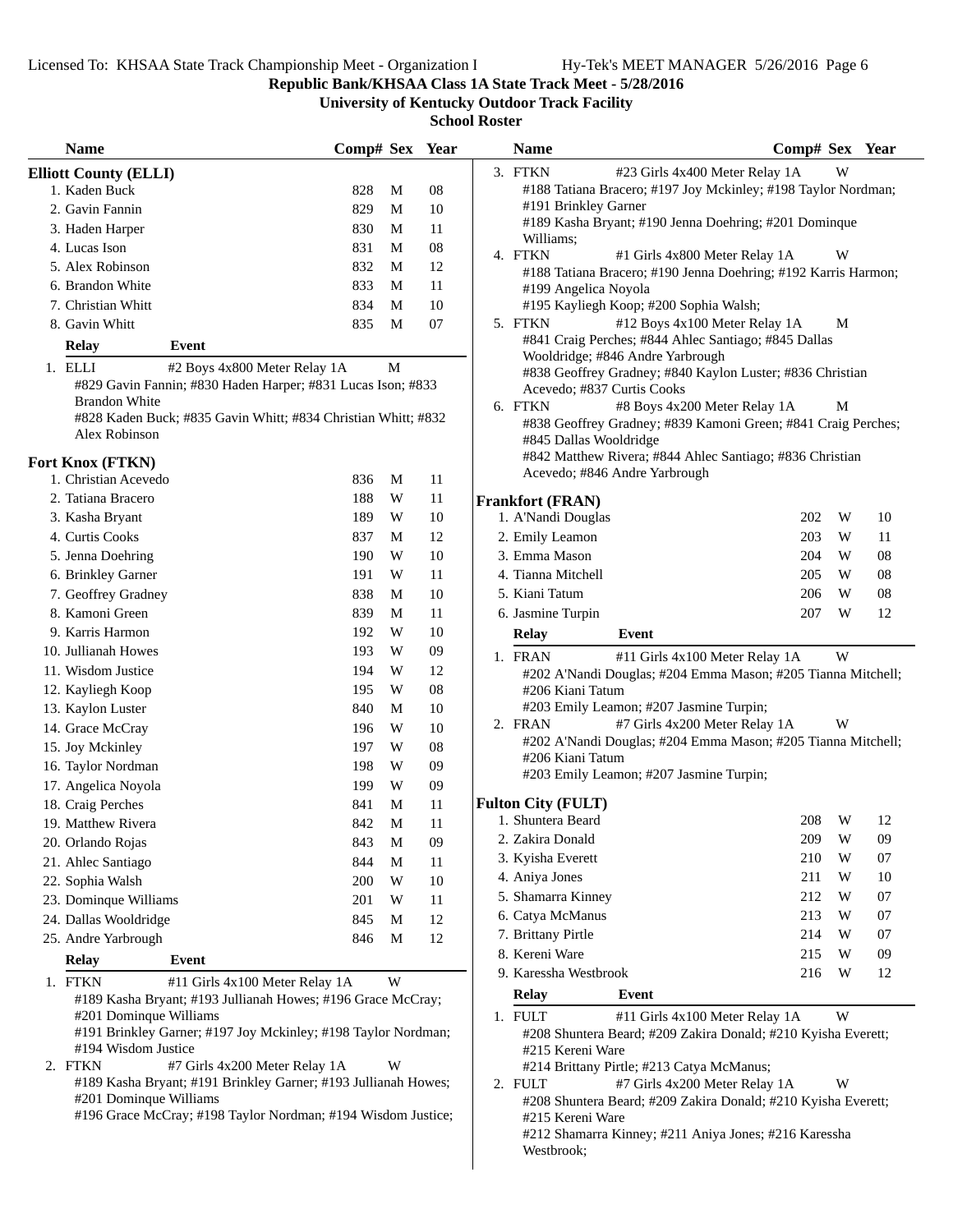**Republic Bank/KHSAA Class 1A State Track Meet - 5/28/2016**

**University of Kentucky Outdoor Track Facility**

**School Roster**

| <b>Name</b>                                                                          | Comp# Sex Year |   |        | <b>Name</b>               | Comp# Sex Year                                                                                 |   |    |
|--------------------------------------------------------------------------------------|----------------|---|--------|---------------------------|------------------------------------------------------------------------------------------------|---|----|
| <b>Elliott County (ELLI)</b>                                                         |                |   |        | 3. FTKN                   | #23 Girls 4x400 Meter Relay 1A                                                                 | W |    |
| 1. Kaden Buck                                                                        | 828            | M | 08     |                           | #188 Tatiana Bracero; #197 Joy Mckinley; #198 Taylor Nordman;                                  |   |    |
| 2. Gavin Fannin                                                                      | 829            | M | 10     | #191 Brinkley Garner      |                                                                                                |   |    |
| 3. Haden Harper                                                                      | 830            | M | 11     | Williams;                 | #189 Kasha Bryant; #190 Jenna Doehring; #201 Dominque                                          |   |    |
| 4. Lucas Ison                                                                        | 831            | M | 08     | 4. FTKN                   | #1 Girls 4x800 Meter Relay 1A                                                                  | W |    |
| 5. Alex Robinson                                                                     | 832            | M | 12     |                           | #188 Tatiana Bracero; #190 Jenna Doehring; #192 Karris Harmon;                                 |   |    |
| 6. Brandon White                                                                     | 833            | M | 11     | #199 Angelica Noyola      |                                                                                                |   |    |
| 7. Christian Whitt                                                                   | 834            | M | 10     |                           | #195 Kayliegh Koop; #200 Sophia Walsh;                                                         |   |    |
| 8. Gavin Whitt                                                                       | 835            | M | 07     | 5. FTKN                   | #12 Boys 4x100 Meter Relay 1A                                                                  | M |    |
| <b>Relay</b><br>Event                                                                |                |   |        |                           | #841 Craig Perches; #844 Ahlec Santiago; #845 Dallas                                           |   |    |
| 1. ELLI<br>#2 Boys 4x800 Meter Relay 1A                                              |                | M |        |                           | Wooldridge; #846 Andre Yarbrough<br>#838 Geoffrey Gradney; #840 Kaylon Luster; #836 Christian  |   |    |
| #829 Gavin Fannin; #830 Haden Harper; #831 Lucas Ison; #833                          |                |   |        |                           | Acevedo; #837 Curtis Cooks                                                                     |   |    |
| <b>Brandon White</b>                                                                 |                |   |        | 6. FTKN                   | #8 Boys 4x200 Meter Relay 1A                                                                   | М |    |
| #828 Kaden Buck; #835 Gavin Whitt; #834 Christian Whitt; #832                        |                |   |        |                           | #838 Geoffrey Gradney; #839 Kamoni Green; #841 Craig Perches;                                  |   |    |
| Alex Robinson                                                                        |                |   |        | #845 Dallas Wooldridge    |                                                                                                |   |    |
| Fort Knox (FTKN)                                                                     |                |   |        |                           | #842 Matthew Rivera; #844 Ahlec Santiago; #836 Christian                                       |   |    |
| 1. Christian Acevedo                                                                 | 836            | M | 11     |                           | Acevedo; #846 Andre Yarbrough                                                                  |   |    |
| 2. Tatiana Bracero                                                                   | 188            | W | 11     | <b>Frankfort (FRAN)</b>   |                                                                                                |   |    |
| 3. Kasha Bryant                                                                      | 189            | W | 10     | 1. A'Nandi Douglas        | 202                                                                                            | W | 10 |
| 4. Curtis Cooks                                                                      | 837            | M | 12     | 2. Emily Leamon           | 203                                                                                            | W | 11 |
| 5. Jenna Doehring                                                                    | 190            | W | 10     | 3. Emma Mason             | 204                                                                                            | W | 08 |
| 6. Brinkley Garner                                                                   | 191            | W | 11     | 4. Tianna Mitchell        | 205                                                                                            | W | 08 |
| 7. Geoffrey Gradney                                                                  | 838            | M | 10     | 5. Kiani Tatum            | 206                                                                                            | W | 08 |
| 8. Kamoni Green                                                                      | 839            | M | 11     | 6. Jasmine Turpin         | 207                                                                                            | W | 12 |
| 9. Karris Harmon                                                                     | 192            | W | 10     | <b>Relay</b>              | Event                                                                                          |   |    |
| 10. Jullianah Howes                                                                  | 193            | W | 09     |                           |                                                                                                | W |    |
| 11. Wisdom Justice                                                                   | 194            | W | 12     | 1. FRAN                   | #11 Girls 4x100 Meter Relay 1A<br>#202 A'Nandi Douglas; #204 Emma Mason; #205 Tianna Mitchell; |   |    |
| 12. Kayliegh Koop                                                                    | 195            | W | 08     | #206 Kiani Tatum          |                                                                                                |   |    |
| 13. Kaylon Luster                                                                    | 840            | M | 10     |                           | #203 Emily Leamon; #207 Jasmine Turpin;                                                        |   |    |
| 14. Grace McCray                                                                     | 196            | W | 10     | 2. FRAN                   | #7 Girls 4x200 Meter Relay 1A                                                                  | W |    |
| 15. Joy Mckinley                                                                     | 197            | W | 08     |                           | #202 A'Nandi Douglas; #204 Emma Mason; #205 Tianna Mitchell;                                   |   |    |
| 16. Taylor Nordman                                                                   | 198            | W | 09     | #206 Kiani Tatum          |                                                                                                |   |    |
| 17. Angelica Noyola                                                                  | 199            | W | 09     |                           | #203 Emily Leamon; #207 Jasmine Turpin;                                                        |   |    |
| 18. Craig Perches                                                                    | 841            | M | 11     | <b>Fulton City (FULT)</b> |                                                                                                |   |    |
| 19. Matthew Rivera                                                                   | 842            | M | 11     | 1. Shuntera Beard         | 208                                                                                            | W | 12 |
| 20. Orlando Rojas                                                                    | 843            | M | 09     | 2. Zakira Donald          | 209                                                                                            | W | 09 |
| 21. Ahlec Santiago                                                                   | 844            | M | 11     | 3. Kyisha Everett         | 210                                                                                            | W | 07 |
| 22. Sophia Walsh                                                                     | 200            | W | $10\,$ | 4. Aniya Jones            | 211                                                                                            | W | 10 |
| 23. Dominque Williams                                                                | 201            | W | 11     | 5. Shamarra Kinney        | 212                                                                                            | W | 07 |
| 24. Dallas Wooldridge                                                                | 845            | M | 12     | 6. Catya McManus          | 213                                                                                            | W | 07 |
| 25. Andre Yarbrough                                                                  | 846            | M | 12     | 7. Brittany Pirtle        | 214                                                                                            | W | 07 |
|                                                                                      |                |   |        | 8. Kereni Ware            | 215                                                                                            | W | 09 |
| <b>Relay</b><br>Event                                                                |                |   |        | 9. Karessha Westbrook     | 216                                                                                            | W | 12 |
| 1. FTKN<br>#11 Girls 4x100 Meter Relay 1A                                            |                | W |        | <b>Relay</b>              | Event                                                                                          |   |    |
| #189 Kasha Bryant; #193 Jullianah Howes; #196 Grace McCray;                          |                |   |        |                           |                                                                                                |   |    |
| #201 Dominque Williams                                                               |                |   |        | 1. FULT                   | #11 Girls 4x100 Meter Relay 1A                                                                 | W |    |
| #191 Brinkley Garner; #197 Joy Mckinley; #198 Taylor Nordman;<br>#194 Wisdom Justice |                |   |        | #215 Kereni Ware          | #208 Shuntera Beard; #209 Zakira Donald; #210 Kyisha Everett;                                  |   |    |
| 2. FTKN<br>#7 Girls 4x200 Meter Relay 1A                                             |                | W |        |                           | #214 Brittany Pirtle; #213 Catya McManus;                                                      |   |    |
| #189 Kasha Bryant; #191 Brinkley Garner; #193 Jullianah Howes;                       |                |   |        | 2. FULT                   | #7 Girls 4x200 Meter Relay 1A                                                                  | W |    |
| #201 Dominque Williams                                                               |                |   |        |                           | #208 Shuntera Beard; #209 Zakira Donald; #210 Kyisha Everett;                                  |   |    |
| #196 Grace McCray; #198 Taylor Nordman; #194 Wisdom Justice;                         |                |   |        | #215 Kereni Ware          |                                                                                                |   |    |
|                                                                                      |                |   |        |                           | #212 Shamarra Kinney; #211 Aniya Jones; #216 Karessha                                          |   |    |

Westbrook;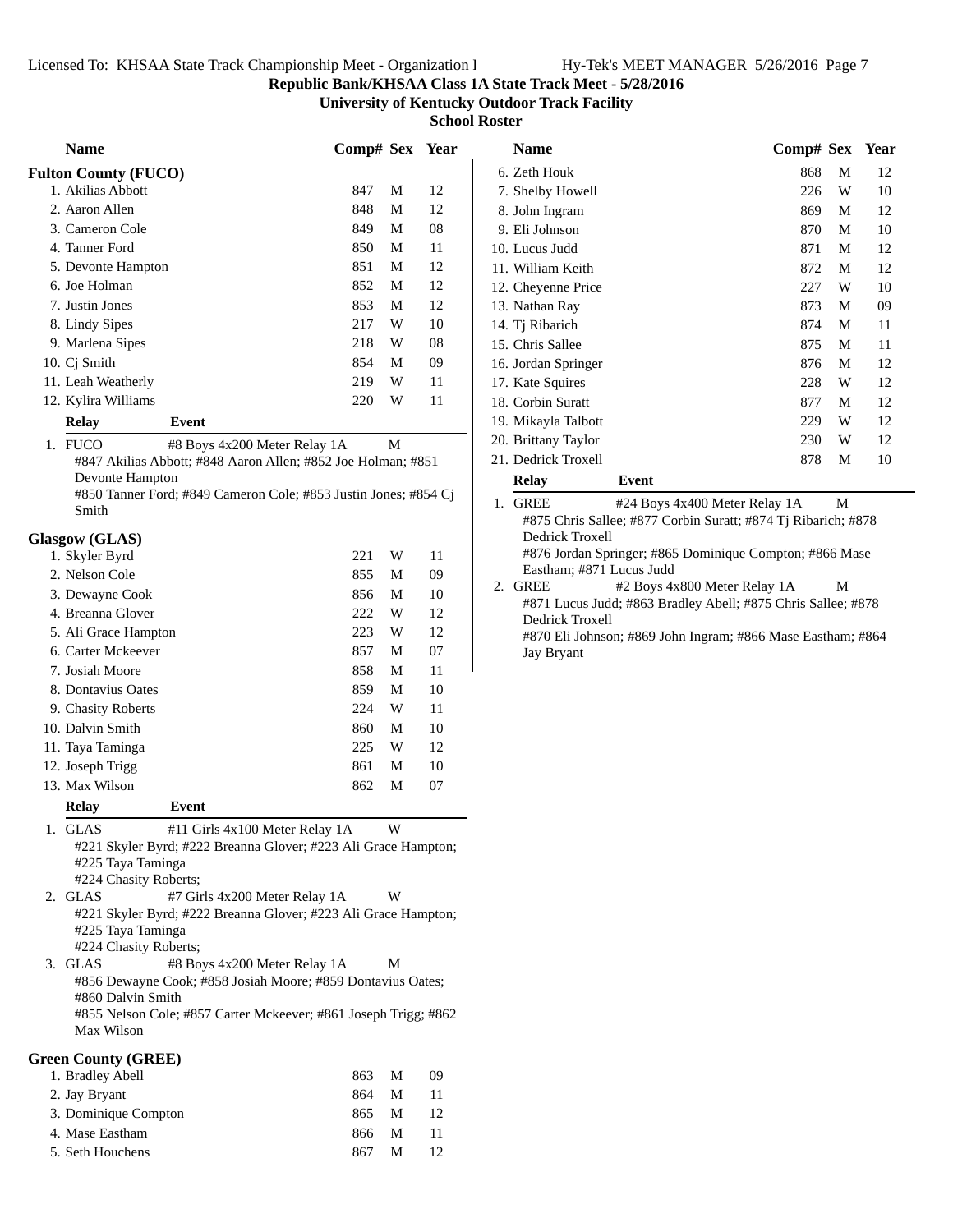## **Republic Bank/KHSAA Class 1A State Track Meet - 5/28/2016**

**University of Kentucky Outdoor Track Facility**

**School Roster**

|    | <b>Name</b>                                                                         | Comp# Sex Year                 |   |    | <b>Name</b>                                                                     | Comp# Sex Year |             |    |
|----|-------------------------------------------------------------------------------------|--------------------------------|---|----|---------------------------------------------------------------------------------|----------------|-------------|----|
|    | <b>Fulton County (FUCO)</b>                                                         |                                |   |    | 6. Zeth Houk                                                                    | 868            | M           | 12 |
|    | 1. Akilias Abbott                                                                   | 847                            | M | 12 | 7. Shelby Howell                                                                | 226            | W           | 10 |
|    | 2. Aaron Allen                                                                      | 848                            | M | 12 | 8. John Ingram                                                                  | 869            | M           | 12 |
|    | 3. Cameron Cole                                                                     | 849                            | M | 08 | 9. Eli Johnson                                                                  | 870            | M           | 10 |
|    | 4. Tanner Ford                                                                      | 850                            | М | 11 | 10. Lucus Judd                                                                  | 871            | M           | 12 |
|    | 5. Devonte Hampton                                                                  | 851                            | M | 12 | 11. William Keith                                                               | 872            | M           | 12 |
|    | 6. Joe Holman                                                                       | 852                            | M | 12 | 12. Cheyenne Price                                                              | 227            | W           | 10 |
|    | 7. Justin Jones                                                                     | 853                            | M | 12 | 13. Nathan Ray                                                                  | 873            | M           | 09 |
|    | 8. Lindy Sipes                                                                      | 217                            | W | 10 | 14. Tj Ribarich                                                                 | 874            | M           | 11 |
|    | 9. Marlena Sipes                                                                    | 218                            | W | 08 | 15. Chris Sallee                                                                | 875            | M           | 11 |
|    | 10. Cj Smith                                                                        | 854                            | M | 09 | 16. Jordan Springer                                                             | 876            | $\mathbf M$ | 12 |
|    | 11. Leah Weatherly                                                                  | 219                            | W | 11 | 17. Kate Squires                                                                | 228            | W           | 12 |
|    | 12. Kylira Williams                                                                 | 220                            | W | 11 | 18. Corbin Suratt                                                               | 877            | M           | 12 |
|    | <b>Relay</b><br>Event                                                               |                                |   |    | 19. Mikayla Talbott                                                             | 229            | W           | 12 |
|    | 1. FUCO                                                                             | #8 Boys 4x200 Meter Relay 1A   | M |    | 20. Brittany Taylor                                                             | 230            | W           | 12 |
|    | #847 Akilias Abbott; #848 Aaron Allen; #852 Joe Holman; #851                        |                                |   |    | 21. Dedrick Troxell                                                             | 878            | M           | 10 |
|    | Devonte Hampton                                                                     |                                |   |    | Relay<br>Event                                                                  |                |             |    |
|    | #850 Tanner Ford; #849 Cameron Cole; #853 Justin Jones; #854 Cj                     |                                |   |    | 1. GREE<br>#24 Boys 4x400 Meter Relay 1A                                        |                | $\mathbf M$ |    |
|    | Smith                                                                               |                                |   |    | #875 Chris Sallee; #877 Corbin Suratt; #874 Tj Ribarich; #878                   |                |             |    |
|    | <b>Glasgow</b> (GLAS)                                                               |                                |   |    | Dedrick Troxell                                                                 |                |             |    |
|    | 1. Skyler Byrd                                                                      | 221                            | W | 11 | #876 Jordan Springer; #865 Dominique Compton; #866 Mase                         |                |             |    |
|    | 2. Nelson Cole                                                                      | 855                            | M | 09 | Eastham; #871 Lucus Judd                                                        |                |             |    |
|    | 3. Dewayne Cook                                                                     | 856                            | М | 10 | 2. GREE<br>#2 Boys 4x800 Meter Relay 1A                                         |                | M           |    |
|    | 4. Breanna Glover                                                                   | 222                            | W | 12 | #871 Lucus Judd; #863 Bradley Abell; #875 Chris Sallee; #878<br>Dedrick Troxell |                |             |    |
|    | 5. Ali Grace Hampton                                                                | 223                            | W | 12 | #870 Eli Johnson; #869 John Ingram; #866 Mase Eastham; #864                     |                |             |    |
|    | 6. Carter Mckeever                                                                  | 857                            | M | 07 | Jay Bryant                                                                      |                |             |    |
|    | 7. Josiah Moore                                                                     | 858                            | M | 11 |                                                                                 |                |             |    |
|    | 8. Dontavius Oates                                                                  | 859                            | M | 10 |                                                                                 |                |             |    |
|    | 9. Chasity Roberts                                                                  | 224                            | W | 11 |                                                                                 |                |             |    |
|    | 10. Dalvin Smith                                                                    | 860                            | M | 10 |                                                                                 |                |             |    |
|    | 11. Taya Taminga                                                                    | 225                            | W | 12 |                                                                                 |                |             |    |
|    | 12. Joseph Trigg                                                                    | 861                            | M | 10 |                                                                                 |                |             |    |
|    | 13. Max Wilson                                                                      | 862                            | M | 07 |                                                                                 |                |             |    |
|    | <b>Relay</b><br><b>Event</b>                                                        |                                |   |    |                                                                                 |                |             |    |
| 1. | <b>GLAS</b>                                                                         | #11 Girls 4x100 Meter Relay 1A | W |    |                                                                                 |                |             |    |
|    | #221 Skyler Byrd; #222 Breanna Glover; #223 Ali Grace Hampton;                      |                                |   |    |                                                                                 |                |             |    |
|    | #225 Taya Taminga                                                                   |                                |   |    |                                                                                 |                |             |    |
|    | #224 Chasity Roberts;                                                               |                                |   |    |                                                                                 |                |             |    |
|    | 2. GLAS<br>#7 Girls 4x200 Meter Relay 1A                                            |                                | W |    |                                                                                 |                |             |    |
|    | #221 Skyler Byrd; #222 Breanna Glover; #223 Ali Grace Hampton;<br>#225 Taya Taminga |                                |   |    |                                                                                 |                |             |    |
|    | #224 Chasity Roberts;                                                               |                                |   |    |                                                                                 |                |             |    |
|    | 3. GLAS                                                                             | #8 Boys 4x200 Meter Relay 1A   | М |    |                                                                                 |                |             |    |
|    | #856 Dewayne Cook; #858 Josiah Moore; #859 Dontavius Oates;                         |                                |   |    |                                                                                 |                |             |    |
|    | #860 Dalvin Smith                                                                   |                                |   |    |                                                                                 |                |             |    |
|    | #855 Nelson Cole; #857 Carter Mckeever; #861 Joseph Trigg; #862<br>Max Wilson       |                                |   |    |                                                                                 |                |             |    |
|    | <b>Green County (GREE)</b>                                                          |                                |   |    |                                                                                 |                |             |    |
|    | 1. Bradley Abell                                                                    | 863                            | M | 09 |                                                                                 |                |             |    |
|    | 2. Jay Bryant                                                                       | 864                            | M | 11 |                                                                                 |                |             |    |
|    | 3. Dominique Compton                                                                | 865                            | M | 12 |                                                                                 |                |             |    |
|    | 4. Mase Eastham                                                                     | 866                            | M | 11 |                                                                                 |                |             |    |
|    | 5. Seth Houchens                                                                    | 867                            | M | 12 |                                                                                 |                |             |    |

| <b>Name</b>                                                      |       | Comp# Sex Year                                                                                                                                 |   |                 |
|------------------------------------------------------------------|-------|------------------------------------------------------------------------------------------------------------------------------------------------|---|-----------------|
| 6. Zeth Houk                                                     |       | 868                                                                                                                                            | М | 12              |
| 7. Shelby Howell                                                 |       | 226                                                                                                                                            | W | 10              |
| 8. John Ingram                                                   |       | 869                                                                                                                                            | M | 12              |
| 9. Eli Johnson                                                   |       | 870                                                                                                                                            | M | 10              |
| 10. Lucus Judd                                                   |       | 871                                                                                                                                            | М | 12              |
| 11. William Keith                                                |       | 872                                                                                                                                            | М | 12              |
| 12. Cheyenne Price                                               |       | 227                                                                                                                                            | W | 10              |
| 13. Nathan Ray                                                   |       | 873                                                                                                                                            | М | 09              |
| 14. Tj Ribarich                                                  |       | 874                                                                                                                                            | М | 11              |
| 15. Chris Sallee                                                 |       | 875                                                                                                                                            | M | 11              |
| 16. Jordan Springer                                              |       | 876                                                                                                                                            | М | 12              |
| 17. Kate Squires                                                 |       | 228                                                                                                                                            | W | 12              |
| 18. Corbin Suratt                                                |       | 877                                                                                                                                            | М | 12              |
| 19. Mikayla Talbott                                              |       | 229                                                                                                                                            | W | 12              |
| 20. Brittany Taylor                                              |       | 230                                                                                                                                            | W | 12              |
| 21. Dedrick Troxell                                              |       | 878                                                                                                                                            | М | 10              |
| Relay                                                            | Event |                                                                                                                                                |   |                 |
| <b>GREE</b><br>1.<br>$\mathbf{u} \cap \mathbf{v} \in \mathbf{v}$ |       | #24 Boys 4x400 Meter Relay 1A<br>$C(11)$ $\cdots$ $C(11)$ $\cdots$ $C(11)$ $\cdots$ $C(11)$ $\cdots$ $C(11)$ $\cdots$ $C(11)$ $\cdots$ $C(11)$ | М | $\overline{11}$ |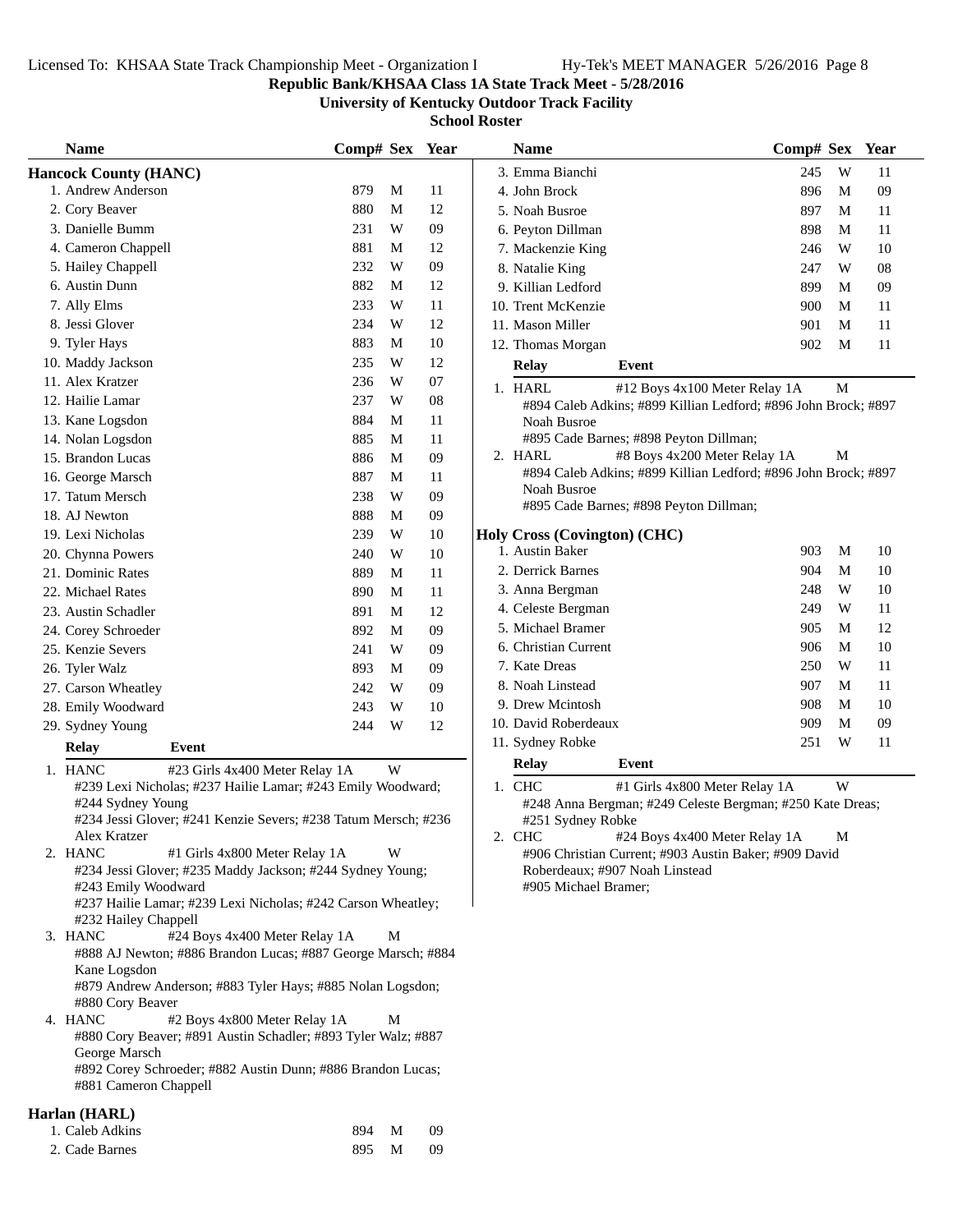## **Republic Bank/KHSAA Class 1A State Track Meet - 5/28/2016**

**University of Kentucky Outdoor Track Facility**

**School Roster**

| <b>Name</b>                                                                         | Comp# Sex Year |             |    | <b>Name</b>        |                                                                                                 | Comp# Sex Year |   |    |
|-------------------------------------------------------------------------------------|----------------|-------------|----|--------------------|-------------------------------------------------------------------------------------------------|----------------|---|----|
| <b>Hancock County (HANC)</b>                                                        |                |             |    | 3. Emma Bianchi    |                                                                                                 | 245            | W | 11 |
| 1. Andrew Anderson                                                                  | 879            | M           | 11 | 4. John Brock      |                                                                                                 | 896            | M | 09 |
| 2. Cory Beaver                                                                      | 880            | M           | 12 | 5. Noah Busroe     |                                                                                                 | 897            | M | 11 |
| 3. Danielle Bumm                                                                    | 231            | W           | 09 | 6. Peyton Dillman  |                                                                                                 | 898            | M | 11 |
| 4. Cameron Chappell                                                                 | 881            | M           | 12 | 7. Mackenzie King  |                                                                                                 | 246            | W | 10 |
| 5. Hailey Chappell                                                                  | 232            | W           | 09 | 8. Natalie King    |                                                                                                 | 247            | W | 08 |
| 6. Austin Dunn                                                                      | 882            | M           | 12 | 9. Killian Ledford |                                                                                                 | 899            | M | 09 |
| 7. Ally Elms                                                                        | 233            | W           | 11 | 10. Trent McKenzie |                                                                                                 | 900            | M | 11 |
| 8. Jessi Glover                                                                     | 234            | W           | 12 | 11. Mason Miller   |                                                                                                 | 901            | M | 11 |
| 9. Tyler Hays                                                                       | 883            | M           | 10 | 12. Thomas Morgan  |                                                                                                 | 902            | M | 11 |
| 10. Maddy Jackson                                                                   | 235            | W           | 12 | <b>Relay</b>       | Event                                                                                           |                |   |    |
| 11. Alex Kratzer                                                                    | 236            | W           | 07 |                    |                                                                                                 |                |   |    |
| 12. Hailie Lamar                                                                    | 237            | W           | 08 | 1. HARL            | #12 Boys 4x100 Meter Relay 1A<br>#894 Caleb Adkins; #899 Killian Ledford; #896 John Brock; #897 |                | M |    |
| 13. Kane Logsdon                                                                    | 884            | M           | 11 |                    | Noah Busroe                                                                                     |                |   |    |
| 14. Nolan Logsdon                                                                   | 885            | M           | 11 |                    | #895 Cade Barnes; #898 Peyton Dillman;                                                          |                |   |    |
| 15. Brandon Lucas                                                                   | 886            | $\mathbf M$ | 09 | 2. HARL            | #8 Boys 4x200 Meter Relay 1A                                                                    |                | М |    |
| 16. George Marsch                                                                   | 887            | $\mathbf M$ | 11 |                    | #894 Caleb Adkins; #899 Killian Ledford; #896 John Brock; #897                                  |                |   |    |
| 17. Tatum Mersch                                                                    | 238            | W           | 09 |                    | Noah Busroe                                                                                     |                |   |    |
| 18. AJ Newton                                                                       | 888            | M           | 09 |                    | #895 Cade Barnes; #898 Peyton Dillman;                                                          |                |   |    |
| 19. Lexi Nicholas                                                                   | 239            | W           | 10 |                    | <b>Holy Cross (Covington) (CHC)</b>                                                             |                |   |    |
| 20. Chynna Powers                                                                   | 240            | W           | 10 | 1. Austin Baker    |                                                                                                 | 903            | M | 10 |
| 21. Dominic Rates                                                                   | 889            | M           | 11 | 2. Derrick Barnes  |                                                                                                 | 904            | M | 10 |
| 22. Michael Rates                                                                   | 890            | M           | 11 | 3. Anna Bergman    |                                                                                                 | 248            | W | 10 |
| 23. Austin Schadler                                                                 | 891            | M           | 12 |                    | 4. Celeste Bergman                                                                              | 249            | W | 11 |
| 24. Corey Schroeder                                                                 | 892            | M           | 09 | 5. Michael Bramer  |                                                                                                 | 905            | M | 12 |
| 25. Kenzie Severs                                                                   | 241            | W           | 09 |                    | 6. Christian Current                                                                            | 906            | M | 10 |
| 26. Tyler Walz                                                                      | 893            | M           | 09 | 7. Kate Dreas      |                                                                                                 | 250            | W | 11 |
| 27. Carson Wheatley                                                                 | 242            | W           | 09 | 8. Noah Linstead   |                                                                                                 | 907            | M | 11 |
| 28. Emily Woodward                                                                  | 243            | W           | 10 | 9. Drew Mcintosh   |                                                                                                 | 908            | M | 10 |
| 29. Sydney Young                                                                    | 244            | W           | 12 |                    | 10. David Roberdeaux                                                                            | 909            | M | 09 |
| <b>Relay</b><br>Event                                                               |                |             |    | 11. Sydney Robke   |                                                                                                 | 251            | W | 11 |
| 1. HANC<br>#23 Girls 4x400 Meter Relay 1A                                           |                | W           |    | Relay              | Event                                                                                           |                |   |    |
| #239 Lexi Nicholas; #237 Hailie Lamar; #243 Emily Woodward;                         |                |             |    | 1. CHC             | #1 Girls 4x800 Meter Relay 1A                                                                   |                | W |    |
| #244 Sydney Young                                                                   |                |             |    |                    | #248 Anna Bergman; #249 Celeste Bergman; #250 Kate Dreas;                                       |                |   |    |
| #234 Jessi Glover; #241 Kenzie Severs; #238 Tatum Mersch; #236                      |                |             |    |                    | #251 Sydney Robke                                                                               |                |   |    |
| Alex Kratzer                                                                        |                |             |    | 2. CHC             | #24 Boys 4x400 Meter Relay 1A                                                                   |                | M |    |
| #1 Girls 4x800 Meter Relay 1A<br>2. HANC                                            |                | W           |    |                    | #906 Christian Current; #903 Austin Baker; #909 David                                           |                |   |    |
| #234 Jessi Glover; #235 Maddy Jackson; #244 Sydney Young;                           |                |             |    |                    | Roberdeaux; #907 Noah Linstead                                                                  |                |   |    |
| #243 Emily Woodward<br>#237 Hailie Lamar; #239 Lexi Nicholas; #242 Carson Wheatley; |                |             |    |                    | #905 Michael Bramer;                                                                            |                |   |    |
| #232 Hailey Chappell                                                                |                |             |    |                    |                                                                                                 |                |   |    |
| #24 Boys 4x400 Meter Relay 1A<br>3. HANC                                            |                | M           |    |                    |                                                                                                 |                |   |    |
| #888 AJ Newton; #886 Brandon Lucas; #887 George Marsch; #884                        |                |             |    |                    |                                                                                                 |                |   |    |
| Kane Logsdon                                                                        |                |             |    |                    |                                                                                                 |                |   |    |
| #879 Andrew Anderson; #883 Tyler Hays; #885 Nolan Logsdon;                          |                |             |    |                    |                                                                                                 |                |   |    |
| #880 Cory Beaver                                                                    |                |             |    |                    |                                                                                                 |                |   |    |
| 4. HANC<br>#2 Boys 4x800 Meter Relay 1A                                             |                | M           |    |                    |                                                                                                 |                |   |    |
| #880 Cory Beaver; #891 Austin Schadler; #893 Tyler Walz; #887<br>George Marsch      |                |             |    |                    |                                                                                                 |                |   |    |
| #892 Corey Schroeder; #882 Austin Dunn; #886 Brandon Lucas;                         |                |             |    |                    |                                                                                                 |                |   |    |
| #881 Cameron Chappell                                                               |                |             |    |                    |                                                                                                 |                |   |    |
| $(TT + T)$                                                                          |                |             |    |                    |                                                                                                 |                |   |    |

| Harlan (HARL)   |       |       |     |
|-----------------|-------|-------|-----|
| 1. Caleb Adkins | 894 M |       | -09 |
| 2. Cade Barnes  |       | 895 M | 09  |

| <b>Name</b>                         |                                                                                                 | Comp# Sex |   | Year |
|-------------------------------------|-------------------------------------------------------------------------------------------------|-----------|---|------|
| 3. Emma Bianchi                     |                                                                                                 | 245       | W | 11   |
| 4. John Brock                       |                                                                                                 | 896       | М | 09   |
| 5. Noah Busroe                      |                                                                                                 | 897       | M | 11   |
| 6. Peyton Dillman                   |                                                                                                 | 898       | М | 11   |
| 7. Mackenzie King                   |                                                                                                 | 246       | W | 10   |
| 8. Natalie King                     |                                                                                                 | 247       | W | 08   |
| 9. Killian Ledford                  |                                                                                                 | 899       | M | 09   |
| 10. Trent McKenzie                  |                                                                                                 | 900       | М | 11   |
| 11. Mason Miller                    |                                                                                                 | 901       | М | 11   |
| 12. Thomas Morgan                   |                                                                                                 | 902       | M | 11   |
| <b>Relay</b>                        | Event                                                                                           |           |   |      |
| 1. HARL                             | #12 Boys 4x100 Meter Relay 1A<br>#894 Caleb Adkins; #899 Killian Ledford; #896 John Brock; #897 |           | М |      |
| <b>Noah Busroe</b>                  | #895 Cade Barnes; #898 Peyton Dillman;                                                          |           |   |      |
| 2. HARL                             | #8 Boys 4x200 Meter Relay 1A                                                                    |           | М |      |
|                                     | #894 Caleb Adkins; #899 Killian Ledford; #896 John Brock; #897                                  |           |   |      |
| Noah Busroe                         |                                                                                                 |           |   |      |
|                                     | #895 Cade Barnes; #898 Peyton Dillman;                                                          |           |   |      |
| <b>Holy Cross (Covington) (CHC)</b> |                                                                                                 |           |   |      |
| 1. Austin Baker                     |                                                                                                 | 903       | М | 10   |
| 2. Derrick Barnes                   |                                                                                                 | 904       | М | 10   |
| 3. Anna Bergman                     |                                                                                                 | 248       | W | 10   |
| 4. Celeste Bergman                  |                                                                                                 | 249       | W | 11   |
| 5. Michael Bramer                   |                                                                                                 | 905       | М | 12   |
| 6. Christian Current                |                                                                                                 | 906       | М | 10   |
| 7. Kate Dreas                       |                                                                                                 | 250       | W | 11   |
| 8. Noah Linstead                    |                                                                                                 | 907       | M | 11   |
| 9. Drew Mcintosh                    |                                                                                                 | 908       | М | 10   |
| 10. David Roberdeaux                |                                                                                                 | 909       | M | 09   |
| 11. Sydney Robke                    |                                                                                                 | 251       | W | 11   |
| <b>Relay</b>                        | Event                                                                                           |           |   |      |
| 1. CHC                              | #1 Girls 4x800 Meter Relay 1A                                                                   |           | W |      |
| #251 Sydney Robke                   | #248 Anna Bergman; #249 Celeste Bergman; #250 Kate Dreas;                                       |           |   |      |
| 2. CHC                              | #24 Boys 4x400 Meter Relay 1A                                                                   |           | М |      |
|                                     | #906 Christian Current; #903 Austin Baker; #909 David                                           |           |   |      |
|                                     |                                                                                                 |           |   |      |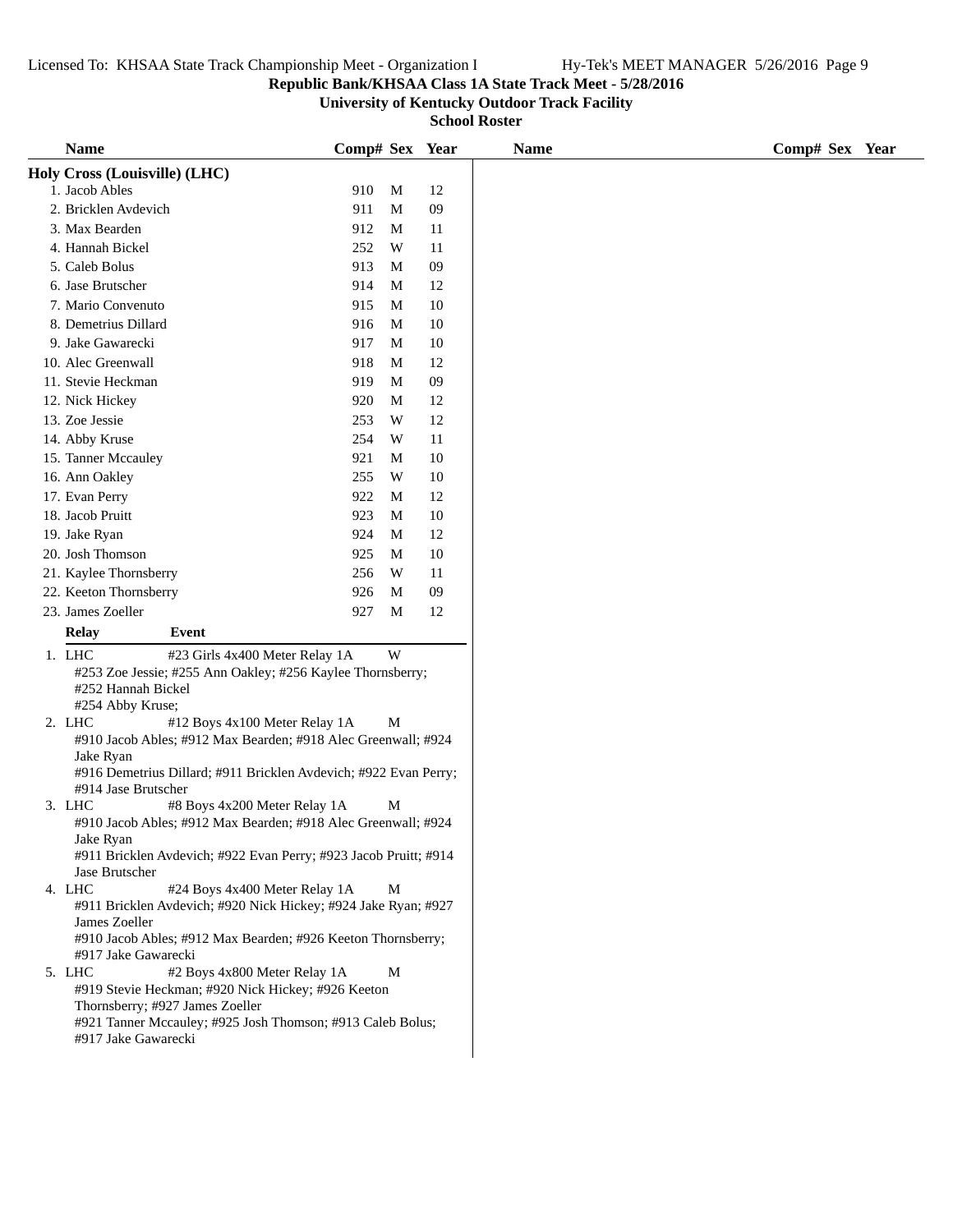## **Republic Bank/KHSAA Class 1A State Track Meet - 5/28/2016**

**University of Kentucky Outdoor Track Facility**

| <b>Name</b>                                                                       | Comp# Sex Year                                                                                                                                                                                                                                                                                                                                                                                                                                                                      |                                                                                                                                                                                                               |                                                                                                                                                                                                                                                                                                                                                                                                                                                                                   |
|-----------------------------------------------------------------------------------|-------------------------------------------------------------------------------------------------------------------------------------------------------------------------------------------------------------------------------------------------------------------------------------------------------------------------------------------------------------------------------------------------------------------------------------------------------------------------------------|---------------------------------------------------------------------------------------------------------------------------------------------------------------------------------------------------------------|-----------------------------------------------------------------------------------------------------------------------------------------------------------------------------------------------------------------------------------------------------------------------------------------------------------------------------------------------------------------------------------------------------------------------------------------------------------------------------------|
|                                                                                   |                                                                                                                                                                                                                                                                                                                                                                                                                                                                                     |                                                                                                                                                                                                               |                                                                                                                                                                                                                                                                                                                                                                                                                                                                                   |
| 1. Jacob Ables                                                                    | 910                                                                                                                                                                                                                                                                                                                                                                                                                                                                                 | M                                                                                                                                                                                                             | 12                                                                                                                                                                                                                                                                                                                                                                                                                                                                                |
| 2. Bricklen Avdevich                                                              | 911                                                                                                                                                                                                                                                                                                                                                                                                                                                                                 | M                                                                                                                                                                                                             | 09                                                                                                                                                                                                                                                                                                                                                                                                                                                                                |
| 3. Max Bearden                                                                    | 912                                                                                                                                                                                                                                                                                                                                                                                                                                                                                 | М                                                                                                                                                                                                             | 11                                                                                                                                                                                                                                                                                                                                                                                                                                                                                |
|                                                                                   |                                                                                                                                                                                                                                                                                                                                                                                                                                                                                     |                                                                                                                                                                                                               | 11                                                                                                                                                                                                                                                                                                                                                                                                                                                                                |
|                                                                                   |                                                                                                                                                                                                                                                                                                                                                                                                                                                                                     |                                                                                                                                                                                                               | 09                                                                                                                                                                                                                                                                                                                                                                                                                                                                                |
|                                                                                   |                                                                                                                                                                                                                                                                                                                                                                                                                                                                                     |                                                                                                                                                                                                               | 12                                                                                                                                                                                                                                                                                                                                                                                                                                                                                |
|                                                                                   |                                                                                                                                                                                                                                                                                                                                                                                                                                                                                     |                                                                                                                                                                                                               | 10                                                                                                                                                                                                                                                                                                                                                                                                                                                                                |
|                                                                                   |                                                                                                                                                                                                                                                                                                                                                                                                                                                                                     |                                                                                                                                                                                                               | $10\,$                                                                                                                                                                                                                                                                                                                                                                                                                                                                            |
|                                                                                   |                                                                                                                                                                                                                                                                                                                                                                                                                                                                                     |                                                                                                                                                                                                               | 10                                                                                                                                                                                                                                                                                                                                                                                                                                                                                |
|                                                                                   |                                                                                                                                                                                                                                                                                                                                                                                                                                                                                     |                                                                                                                                                                                                               | 12                                                                                                                                                                                                                                                                                                                                                                                                                                                                                |
|                                                                                   |                                                                                                                                                                                                                                                                                                                                                                                                                                                                                     |                                                                                                                                                                                                               |                                                                                                                                                                                                                                                                                                                                                                                                                                                                                   |
|                                                                                   |                                                                                                                                                                                                                                                                                                                                                                                                                                                                                     |                                                                                                                                                                                                               | $09\,$                                                                                                                                                                                                                                                                                                                                                                                                                                                                            |
|                                                                                   |                                                                                                                                                                                                                                                                                                                                                                                                                                                                                     |                                                                                                                                                                                                               | 12                                                                                                                                                                                                                                                                                                                                                                                                                                                                                |
|                                                                                   |                                                                                                                                                                                                                                                                                                                                                                                                                                                                                     |                                                                                                                                                                                                               | 12                                                                                                                                                                                                                                                                                                                                                                                                                                                                                |
|                                                                                   |                                                                                                                                                                                                                                                                                                                                                                                                                                                                                     |                                                                                                                                                                                                               | 11                                                                                                                                                                                                                                                                                                                                                                                                                                                                                |
|                                                                                   | 921                                                                                                                                                                                                                                                                                                                                                                                                                                                                                 | M                                                                                                                                                                                                             | 10                                                                                                                                                                                                                                                                                                                                                                                                                                                                                |
|                                                                                   | 255                                                                                                                                                                                                                                                                                                                                                                                                                                                                                 | W                                                                                                                                                                                                             | 10                                                                                                                                                                                                                                                                                                                                                                                                                                                                                |
| 17. Evan Perry                                                                    | 922                                                                                                                                                                                                                                                                                                                                                                                                                                                                                 | М                                                                                                                                                                                                             | 12                                                                                                                                                                                                                                                                                                                                                                                                                                                                                |
| 18. Jacob Pruitt                                                                  | 923                                                                                                                                                                                                                                                                                                                                                                                                                                                                                 | М                                                                                                                                                                                                             | 10                                                                                                                                                                                                                                                                                                                                                                                                                                                                                |
| 19. Jake Ryan                                                                     | 924                                                                                                                                                                                                                                                                                                                                                                                                                                                                                 | М                                                                                                                                                                                                             | 12                                                                                                                                                                                                                                                                                                                                                                                                                                                                                |
| 20. Josh Thomson                                                                  | 925                                                                                                                                                                                                                                                                                                                                                                                                                                                                                 | M                                                                                                                                                                                                             | 10                                                                                                                                                                                                                                                                                                                                                                                                                                                                                |
| 21. Kaylee Thornsberry                                                            | 256                                                                                                                                                                                                                                                                                                                                                                                                                                                                                 | W                                                                                                                                                                                                             | 11                                                                                                                                                                                                                                                                                                                                                                                                                                                                                |
| 22. Keeton Thornsberry                                                            | 926                                                                                                                                                                                                                                                                                                                                                                                                                                                                                 | M                                                                                                                                                                                                             | 09                                                                                                                                                                                                                                                                                                                                                                                                                                                                                |
|                                                                                   | 927                                                                                                                                                                                                                                                                                                                                                                                                                                                                                 | M                                                                                                                                                                                                             | 12                                                                                                                                                                                                                                                                                                                                                                                                                                                                                |
|                                                                                   |                                                                                                                                                                                                                                                                                                                                                                                                                                                                                     |                                                                                                                                                                                                               |                                                                                                                                                                                                                                                                                                                                                                                                                                                                                   |
|                                                                                   |                                                                                                                                                                                                                                                                                                                                                                                                                                                                                     |                                                                                                                                                                                                               |                                                                                                                                                                                                                                                                                                                                                                                                                                                                                   |
|                                                                                   |                                                                                                                                                                                                                                                                                                                                                                                                                                                                                     |                                                                                                                                                                                                               |                                                                                                                                                                                                                                                                                                                                                                                                                                                                                   |
|                                                                                   |                                                                                                                                                                                                                                                                                                                                                                                                                                                                                     |                                                                                                                                                                                                               |                                                                                                                                                                                                                                                                                                                                                                                                                                                                                   |
|                                                                                   |                                                                                                                                                                                                                                                                                                                                                                                                                                                                                     |                                                                                                                                                                                                               |                                                                                                                                                                                                                                                                                                                                                                                                                                                                                   |
| 2. LHC                                                                            |                                                                                                                                                                                                                                                                                                                                                                                                                                                                                     |                                                                                                                                                                                                               |                                                                                                                                                                                                                                                                                                                                                                                                                                                                                   |
|                                                                                   |                                                                                                                                                                                                                                                                                                                                                                                                                                                                                     |                                                                                                                                                                                                               |                                                                                                                                                                                                                                                                                                                                                                                                                                                                                   |
| Jake Ryan                                                                         |                                                                                                                                                                                                                                                                                                                                                                                                                                                                                     |                                                                                                                                                                                                               |                                                                                                                                                                                                                                                                                                                                                                                                                                                                                   |
|                                                                                   |                                                                                                                                                                                                                                                                                                                                                                                                                                                                                     |                                                                                                                                                                                                               |                                                                                                                                                                                                                                                                                                                                                                                                                                                                                   |
|                                                                                   |                                                                                                                                                                                                                                                                                                                                                                                                                                                                                     |                                                                                                                                                                                                               |                                                                                                                                                                                                                                                                                                                                                                                                                                                                                   |
|                                                                                   |                                                                                                                                                                                                                                                                                                                                                                                                                                                                                     |                                                                                                                                                                                                               |                                                                                                                                                                                                                                                                                                                                                                                                                                                                                   |
|                                                                                   |                                                                                                                                                                                                                                                                                                                                                                                                                                                                                     |                                                                                                                                                                                                               |                                                                                                                                                                                                                                                                                                                                                                                                                                                                                   |
|                                                                                   |                                                                                                                                                                                                                                                                                                                                                                                                                                                                                     |                                                                                                                                                                                                               |                                                                                                                                                                                                                                                                                                                                                                                                                                                                                   |
|                                                                                   |                                                                                                                                                                                                                                                                                                                                                                                                                                                                                     |                                                                                                                                                                                                               |                                                                                                                                                                                                                                                                                                                                                                                                                                                                                   |
|                                                                                   |                                                                                                                                                                                                                                                                                                                                                                                                                                                                                     |                                                                                                                                                                                                               |                                                                                                                                                                                                                                                                                                                                                                                                                                                                                   |
|                                                                                   |                                                                                                                                                                                                                                                                                                                                                                                                                                                                                     |                                                                                                                                                                                                               |                                                                                                                                                                                                                                                                                                                                                                                                                                                                                   |
| James Zoeller                                                                     |                                                                                                                                                                                                                                                                                                                                                                                                                                                                                     |                                                                                                                                                                                                               |                                                                                                                                                                                                                                                                                                                                                                                                                                                                                   |
| #910 Jacob Ables; #912 Max Bearden; #926 Keeton Thornsberry;                      |                                                                                                                                                                                                                                                                                                                                                                                                                                                                                     |                                                                                                                                                                                                               |                                                                                                                                                                                                                                                                                                                                                                                                                                                                                   |
| #917 Jake Gawarecki                                                               |                                                                                                                                                                                                                                                                                                                                                                                                                                                                                     |                                                                                                                                                                                                               |                                                                                                                                                                                                                                                                                                                                                                                                                                                                                   |
|                                                                                   |                                                                                                                                                                                                                                                                                                                                                                                                                                                                                     | M                                                                                                                                                                                                             |                                                                                                                                                                                                                                                                                                                                                                                                                                                                                   |
| 5. LHC<br>#2 Boys 4x800 Meter Relay 1A                                            |                                                                                                                                                                                                                                                                                                                                                                                                                                                                                     |                                                                                                                                                                                                               |                                                                                                                                                                                                                                                                                                                                                                                                                                                                                   |
| #919 Stevie Heckman; #920 Nick Hickey; #926 Keeton                                |                                                                                                                                                                                                                                                                                                                                                                                                                                                                                     |                                                                                                                                                                                                               |                                                                                                                                                                                                                                                                                                                                                                                                                                                                                   |
| Thornsberry; #927 James Zoeller                                                   |                                                                                                                                                                                                                                                                                                                                                                                                                                                                                     |                                                                                                                                                                                                               |                                                                                                                                                                                                                                                                                                                                                                                                                                                                                   |
| #921 Tanner Mccauley; #925 Josh Thomson; #913 Caleb Bolus;<br>#917 Jake Gawarecki |                                                                                                                                                                                                                                                                                                                                                                                                                                                                                     |                                                                                                                                                                                                               |                                                                                                                                                                                                                                                                                                                                                                                                                                                                                   |
|                                                                                   | Holy Cross (Louisville) (LHC)<br>4. Hannah Bickel<br>5. Caleb Bolus<br>6. Jase Brutscher<br>7. Mario Convenuto<br>8. Demetrius Dillard<br>9. Jake Gawarecki<br>10. Alec Greenwall<br>11. Stevie Heckman<br>12. Nick Hickey<br>13. Zoe Jessie<br>14. Abby Kruse<br>15. Tanner Mccauley<br>16. Ann Oakley<br>23. James Zoeller<br><b>Relay</b><br>Event<br>1. LHC<br>#252 Hannah Bickel<br>#254 Abby Kruse;<br>#914 Jase Brutscher<br>3. LHC<br>Jake Ryan<br>Jase Brutscher<br>4. LHC | 252<br>913<br>914<br>915<br>916<br>917<br>918<br>919<br>920<br>253<br>254<br>#23 Girls 4x400 Meter Relay 1A<br>#12 Boys 4x100 Meter Relay 1A<br>#8 Boys 4x200 Meter Relay 1A<br>#24 Boys 4x400 Meter Relay 1A | W<br>M<br>M<br>M<br>M<br>M<br>M<br>M<br>M<br>W<br>W<br>W<br>#253 Zoe Jessie; #255 Ann Oakley; #256 Kaylee Thornsberry;<br>M<br>#910 Jacob Ables; #912 Max Bearden; #918 Alec Greenwall; #924<br>#916 Demetrius Dillard; #911 Bricklen Avdevich; #922 Evan Perry;<br>M<br>#910 Jacob Ables; #912 Max Bearden; #918 Alec Greenwall; #924<br>#911 Bricklen Avdevich; #922 Evan Perry; #923 Jacob Pruitt; #914<br>М<br>#911 Bricklen Avdevich; #920 Nick Hickey; #924 Jake Ryan; #927 |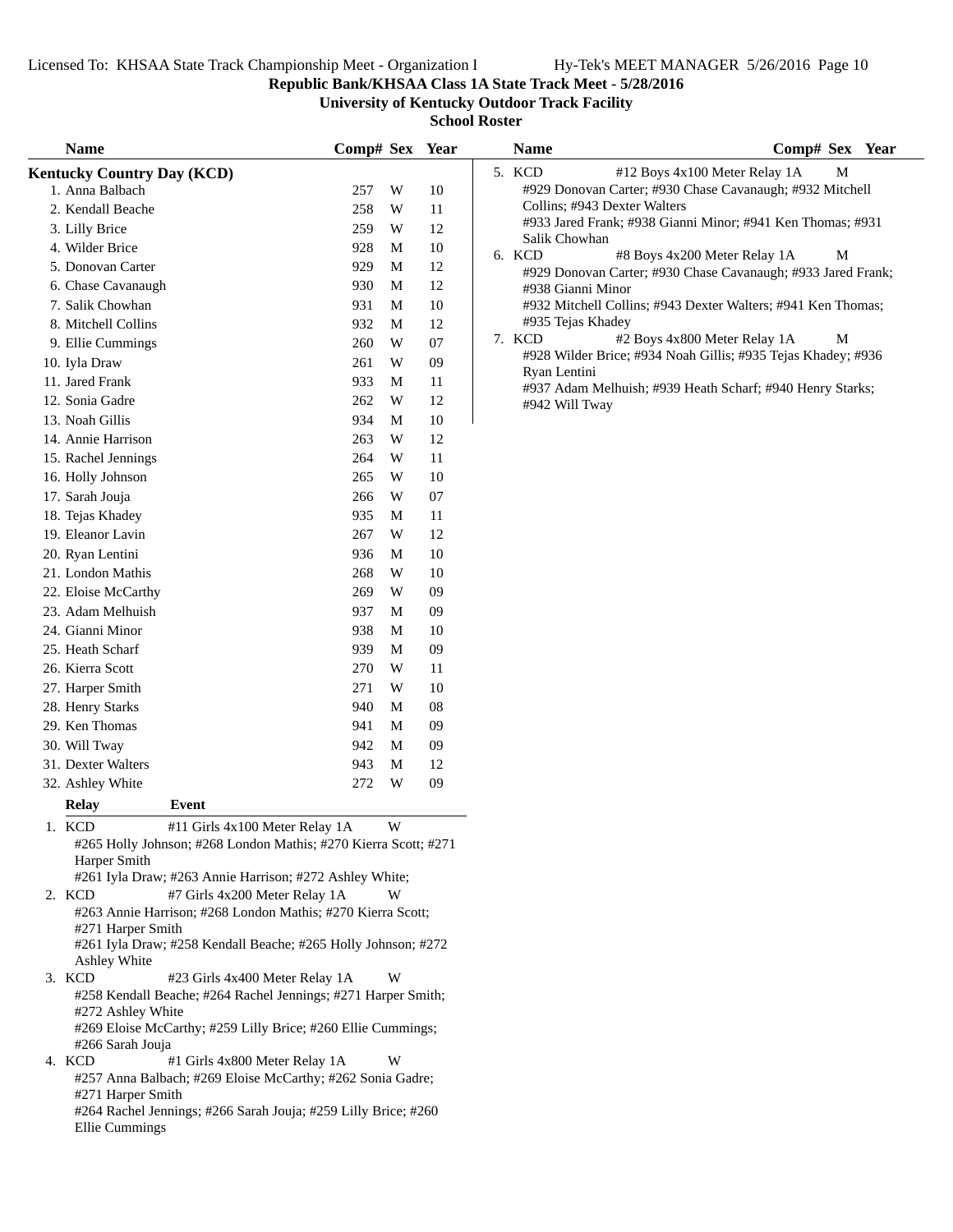**Republic Bank/KHSAA Class 1A State Track Meet - 5/28/2016**

**University of Kentucky Outdoor Track Facility**

|        | <b>Name</b>                       |                                                                 | Comp# Sex Year |   |    | <b>Name</b>       | Comp# Sex Year                                               |
|--------|-----------------------------------|-----------------------------------------------------------------|----------------|---|----|-------------------|--------------------------------------------------------------|
|        | <b>Kentucky Country Day (KCD)</b> |                                                                 |                |   |    | 5. KCD            | M<br>#12 Boys 4x100 Meter Relay 1A                           |
|        | 1. Anna Balbach                   |                                                                 | 257            | W | 10 |                   | #929 Donovan Carter; #930 Chase Cavanaugh; #932 Mitchell     |
|        | 2. Kendall Beache                 |                                                                 | 258            | W | 11 |                   | Collins; #943 Dexter Walters                                 |
|        | 3. Lilly Brice                    |                                                                 | 259            | W | 12 | Salik Chowhan     | #933 Jared Frank; #938 Gianni Minor; #941 Ken Thomas; #931   |
|        | 4. Wilder Brice                   |                                                                 | 928            | M | 10 | 6. KCD            | #8 Boys 4x200 Meter Relay 1A<br>M                            |
|        | 5. Donovan Carter                 |                                                                 | 929            | M | 12 |                   | #929 Donovan Carter; #930 Chase Cavanaugh; #933 Jared Frank; |
|        | 6. Chase Cavanaugh                |                                                                 | 930            | M | 12 | #938 Gianni Minor |                                                              |
|        | 7. Salik Chowhan                  |                                                                 | 931            | M | 10 |                   | #932 Mitchell Collins; #943 Dexter Walters; #941 Ken Thomas; |
|        | 8. Mitchell Collins               |                                                                 | 932            | M | 12 | #935 Tejas Khadey |                                                              |
|        | 9. Ellie Cummings                 |                                                                 | 260            | W | 07 | 7. KCD            | #2 Boys 4x800 Meter Relay 1A<br>M                            |
|        | 10. Iyla Draw                     |                                                                 | 261            | W | 09 |                   | #928 Wilder Brice; #934 Noah Gillis; #935 Tejas Khadey; #936 |
|        | 11. Jared Frank                   |                                                                 | 933            | M | 11 | Ryan Lentini      |                                                              |
|        | 12. Sonia Gadre                   |                                                                 | 262            | W | 12 | #942 Will Tway    | #937 Adam Melhuish; #939 Heath Scharf; #940 Henry Starks;    |
|        | 13. Noah Gillis                   |                                                                 | 934            | M | 10 |                   |                                                              |
|        | 14. Annie Harrison                |                                                                 | 263            | W | 12 |                   |                                                              |
|        | 15. Rachel Jennings               |                                                                 | 264            | W | 11 |                   |                                                              |
|        | 16. Holly Johnson                 |                                                                 | 265            | W | 10 |                   |                                                              |
|        | 17. Sarah Jouja                   |                                                                 | 266            | W | 07 |                   |                                                              |
|        | 18. Tejas Khadey                  |                                                                 | 935            | M | 11 |                   |                                                              |
|        | 19. Eleanor Lavin                 |                                                                 | 267            | W | 12 |                   |                                                              |
|        | 20. Ryan Lentini                  |                                                                 | 936            | M | 10 |                   |                                                              |
|        | 21. London Mathis                 |                                                                 | 268            | W | 10 |                   |                                                              |
|        |                                   |                                                                 | 269            | W | 09 |                   |                                                              |
|        | 22. Eloise McCarthy               |                                                                 |                |   |    |                   |                                                              |
|        | 23. Adam Melhuish                 |                                                                 | 937            | M | 09 |                   |                                                              |
|        | 24. Gianni Minor                  |                                                                 | 938            | M | 10 |                   |                                                              |
|        | 25. Heath Scharf                  |                                                                 | 939            | M | 09 |                   |                                                              |
|        | 26. Kierra Scott                  |                                                                 | 270            | W | 11 |                   |                                                              |
|        | 27. Harper Smith                  |                                                                 | 271            | W | 10 |                   |                                                              |
|        | 28. Henry Starks                  |                                                                 | 940            | M | 08 |                   |                                                              |
|        | 29. Ken Thomas                    |                                                                 | 941            | M | 09 |                   |                                                              |
|        | 30. Will Tway                     |                                                                 | 942            | M | 09 |                   |                                                              |
|        | 31. Dexter Walters                |                                                                 | 943            | M | 12 |                   |                                                              |
|        | 32. Ashley White                  |                                                                 | 272            | W | 09 |                   |                                                              |
|        | <b>Relay</b>                      | Event                                                           |                |   |    |                   |                                                              |
| 1. KCD |                                   | #11 Girls 4x100 Meter Relay 1A                                  |                | W |    |                   |                                                              |
|        |                                   | #265 Holly Johnson; #268 London Mathis; #270 Kierra Scott; #271 |                |   |    |                   |                                                              |
|        | Harper Smith                      | #261 Iyla Draw; #263 Annie Harrison; #272 Ashley White;         |                |   |    |                   |                                                              |
| 2. KCD |                                   | #7 Girls 4x200 Meter Relay 1A                                   |                | W |    |                   |                                                              |
|        |                                   | #263 Annie Harrison; #268 London Mathis; #270 Kierra Scott;     |                |   |    |                   |                                                              |
|        | #271 Harper Smith                 |                                                                 |                |   |    |                   |                                                              |
|        |                                   | #261 Iyla Draw; #258 Kendall Beache; #265 Holly Johnson; #272   |                |   |    |                   |                                                              |
| 3. KCD | Ashley White                      | #23 Girls 4x400 Meter Relay 1A                                  |                | W |    |                   |                                                              |
|        |                                   | #258 Kendall Beache; #264 Rachel Jennings; #271 Harper Smith;   |                |   |    |                   |                                                              |
|        | #272 Ashley White                 | #269 Eloise McCarthy; #259 Lilly Brice; #260 Ellie Cummings;    |                |   |    |                   |                                                              |
|        | #266 Sarah Jouja                  |                                                                 |                |   |    |                   |                                                              |
| 4. KCD |                                   | #1 Girls 4x800 Meter Relay 1A                                   |                | W |    |                   |                                                              |
|        |                                   | #257 Anna Balbach; #269 Eloise McCarthy; #262 Sonia Gadre;      |                |   |    |                   |                                                              |
|        | #271 Harper Smith                 |                                                                 |                |   |    |                   |                                                              |
|        |                                   | #264 Rachel Jennings; #266 Sarah Jouja; #259 Lilly Brice; #260  |                |   |    |                   |                                                              |
|        | Ellie Cummings                    |                                                                 |                |   |    |                   |                                                              |
|        |                                   |                                                                 |                |   |    |                   |                                                              |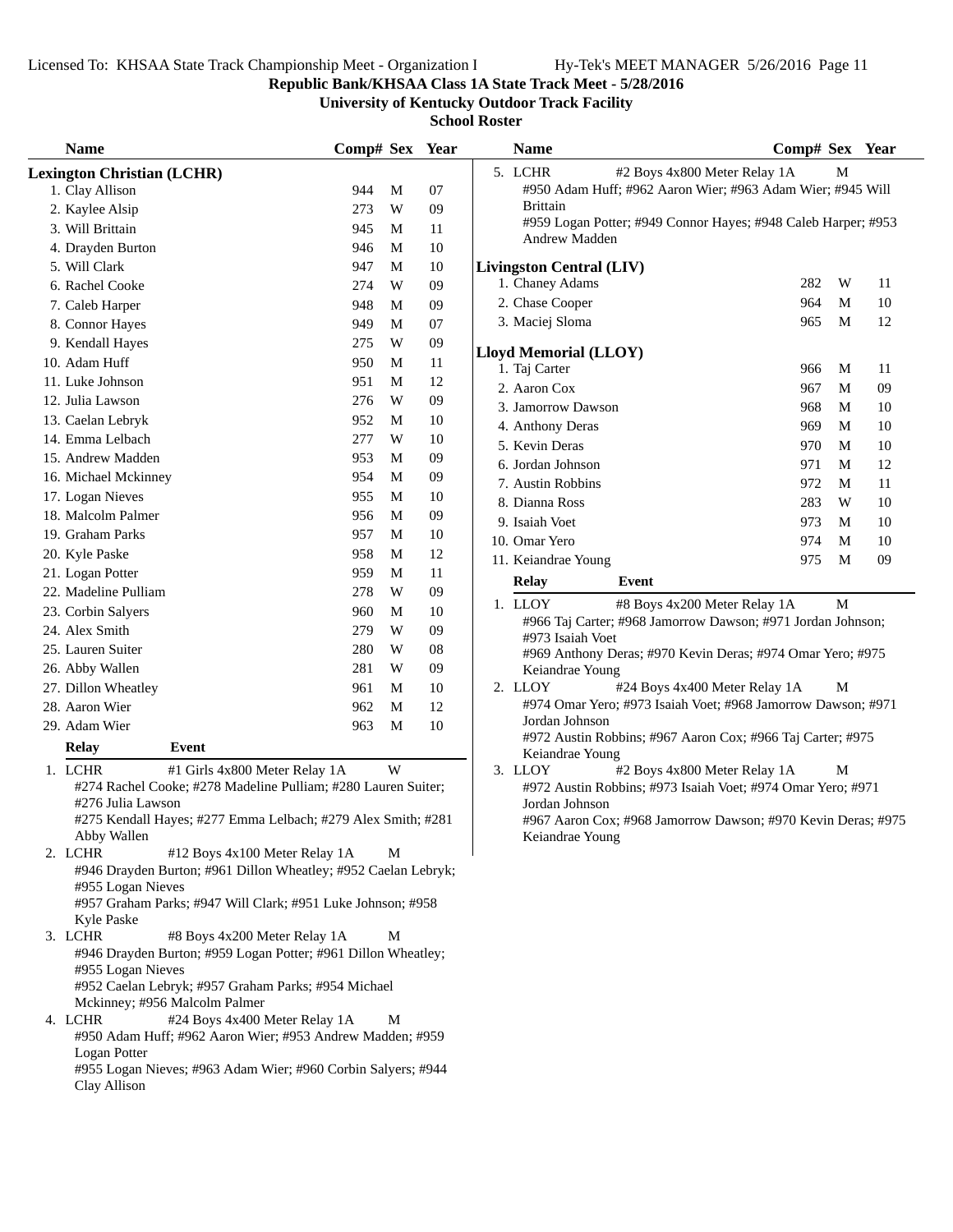**Republic Bank/KHSAA Class 1A State Track Meet - 5/28/2016**

**University of Kentucky Outdoor Track Facility**

| <b>Name</b>                                                                          | Comp# Sex Year |   |    | <b>Name</b>                                                                           | Comp# Sex Year |   |        |
|--------------------------------------------------------------------------------------|----------------|---|----|---------------------------------------------------------------------------------------|----------------|---|--------|
| <b>Lexington Christian (LCHR)</b>                                                    |                |   |    | 5. LCHR<br>#2 Boys 4x800 Meter Relay 1A                                               |                | M |        |
| 1. Clay Allison                                                                      | 944            | M | 07 | #950 Adam Huff; #962 Aaron Wier; #963 Adam Wier; #945 Will                            |                |   |        |
| 2. Kaylee Alsip                                                                      | 273            | W | 09 | <b>Brittain</b>                                                                       |                |   |        |
| 3. Will Brittain                                                                     | 945            | M | 11 | #959 Logan Potter; #949 Connor Hayes; #948 Caleb Harper; #953<br><b>Andrew Madden</b> |                |   |        |
| 4. Drayden Burton                                                                    | 946            | M | 10 |                                                                                       |                |   |        |
| 5. Will Clark                                                                        | 947            | M | 10 | <b>Livingston Central (LIV)</b>                                                       |                |   |        |
| 6. Rachel Cooke                                                                      | 274            | W | 09 | 1. Chaney Adams                                                                       | 282            | W | 11     |
| 7. Caleb Harper                                                                      | 948            | M | 09 | 2. Chase Cooper                                                                       | 964            | M | $10\,$ |
| 8. Connor Hayes                                                                      | 949            | M | 07 | 3. Maciej Sloma                                                                       | 965            | M | 12     |
| 9. Kendall Hayes                                                                     | 275            | W | 09 | <b>Lloyd Memorial (LLOY)</b>                                                          |                |   |        |
| 10. Adam Huff                                                                        | 950            | M | 11 | 1. Taj Carter                                                                         | 966            | M | 11     |
| 11. Luke Johnson                                                                     | 951            | M | 12 | 2. Aaron Cox                                                                          | 967            | M | 09     |
| 12. Julia Lawson                                                                     | 276            | W | 09 | 3. Jamorrow Dawson                                                                    | 968            | M | 10     |
| 13. Caelan Lebryk                                                                    | 952            | M | 10 | 4. Anthony Deras                                                                      | 969            | M | 10     |
| 14. Emma Lelbach                                                                     | 277            | W | 10 | 5. Kevin Deras                                                                        | 970            | M | 10     |
| 15. Andrew Madden                                                                    | 953            | M | 09 | 6. Jordan Johnson                                                                     | 971            | M | 12     |
| 16. Michael Mckinney                                                                 | 954            | M | 09 | 7. Austin Robbins                                                                     | 972            | M | 11     |
| 17. Logan Nieves                                                                     | 955            | M | 10 | 8. Dianna Ross                                                                        | 283            | W | 10     |
| 18. Malcolm Palmer                                                                   | 956            | M | 09 | 9. Isaiah Voet                                                                        | 973            | M | 10     |
| 19. Graham Parks                                                                     | 957            | M | 10 | 10. Omar Yero                                                                         | 974            | M | 10     |
| 20. Kyle Paske                                                                       | 958            | M | 12 | 11. Keiandrae Young                                                                   | 975            | M | 09     |
| 21. Logan Potter                                                                     | 959            | M | 11 | <b>Relay</b><br>Event                                                                 |                |   |        |
| 22. Madeline Pulliam                                                                 | 278            | W | 09 |                                                                                       |                |   |        |
| 23. Corbin Salyers                                                                   | 960            | M | 10 | 1. LLOY<br>#8 Boys 4x200 Meter Relay 1A                                               |                | M |        |
| 24. Alex Smith                                                                       | 279            | W | 09 | #966 Taj Carter; #968 Jamorrow Dawson; #971 Jordan Johnson;<br>#973 Isaiah Voet       |                |   |        |
| 25. Lauren Suiter                                                                    | 280            | W | 08 | #969 Anthony Deras; #970 Kevin Deras; #974 Omar Yero; #975                            |                |   |        |
| 26. Abby Wallen                                                                      | 281            | W | 09 | Keiandrae Young                                                                       |                |   |        |
| 27. Dillon Wheatley                                                                  | 961            | M | 10 | 2. LLOY<br>#24 Boys 4x400 Meter Relay 1A                                              |                | M |        |
| 28. Aaron Wier                                                                       | 962            | M | 12 | #974 Omar Yero; #973 Isaiah Voet; #968 Jamorrow Dawson; #971                          |                |   |        |
| 29. Adam Wier                                                                        | 963            | M | 10 | Jordan Johnson                                                                        |                |   |        |
| <b>Relay</b><br>Event                                                                |                |   |    | #972 Austin Robbins; #967 Aaron Cox; #966 Taj Carter; #975<br>Keiandrae Young         |                |   |        |
| 1. LCHR<br>#1 Girls 4x800 Meter Relay 1A                                             |                | W |    | #2 Boys 4x800 Meter Relay 1A<br>3. LLOY                                               |                | М |        |
| #274 Rachel Cooke; #278 Madeline Pulliam; #280 Lauren Suiter;                        |                |   |    | #972 Austin Robbins; #973 Isaiah Voet; #974 Omar Yero; #971                           |                |   |        |
| #276 Julia Lawson                                                                    |                |   |    | Jordan Johnson                                                                        |                |   |        |
| #275 Kendall Hayes; #277 Emma Lelbach; #279 Alex Smith; #281                         |                |   |    | #967 Aaron Cox; #968 Jamorrow Dawson; #970 Kevin Deras; #97                           |                |   |        |
| Abby Wallen                                                                          |                |   |    | Keiandrae Young                                                                       |                |   |        |
| 2. LCHR<br>#12 Boys 4x100 Meter Relay 1A                                             |                | M |    |                                                                                       |                |   |        |
| #946 Drayden Burton; #961 Dillon Wheatley; #952 Caelan Lebryk;<br>#955 Logan Nieves  |                |   |    |                                                                                       |                |   |        |
| #957 Graham Parks; #947 Will Clark; #951 Luke Johnson; #958                          |                |   |    |                                                                                       |                |   |        |
| Kyle Paske                                                                           |                |   |    |                                                                                       |                |   |        |
| 3. LCHR<br>#8 Boys 4x200 Meter Relay 1A                                              |                | M |    |                                                                                       |                |   |        |
| #946 Drayden Burton; #959 Logan Potter; #961 Dillon Wheatley;                        |                |   |    |                                                                                       |                |   |        |
| #955 Logan Nieves                                                                    |                |   |    |                                                                                       |                |   |        |
| #952 Caelan Lebryk; #957 Graham Parks; #954 Michael<br>Mckinney; #956 Malcolm Palmer |                |   |    |                                                                                       |                |   |        |
| 4. LCHR<br>#24 Boys 4x400 Meter Relay 1A                                             |                | M |    |                                                                                       |                |   |        |
| #950 Adam Huff; #962 Aaron Wier; #953 Andrew Madden; #959                            |                |   |    |                                                                                       |                |   |        |
| Logan Potter                                                                         |                |   |    |                                                                                       |                |   |        |
| #955 Logan Nieves; #963 Adam Wier; #960 Corbin Salyers; #944                         |                |   |    |                                                                                       |                |   |        |
| Clay Allison                                                                         |                |   |    |                                                                                       |                |   |        |
|                                                                                      |                |   |    |                                                                                       |                |   |        |

| <b>Name</b>                                                                                                                                    |                                                                                                                                                                                                                                                                                                                                                                                                                                                                                         | Comp# Sex Year |             |    |
|------------------------------------------------------------------------------------------------------------------------------------------------|-----------------------------------------------------------------------------------------------------------------------------------------------------------------------------------------------------------------------------------------------------------------------------------------------------------------------------------------------------------------------------------------------------------------------------------------------------------------------------------------|----------------|-------------|----|
| 5. LCHR<br><b>Brittain</b><br>Andrew Madden                                                                                                    | #2 Boys 4x800 Meter Relay 1A<br>#950 Adam Huff; #962 Aaron Wier; #963 Adam Wier; #945 Will<br>#959 Logan Potter; #949 Connor Hayes; #948 Caleb Harper; #953                                                                                                                                                                                                                                                                                                                             |                | М           |    |
| <b>Livingston Central (LIV)</b>                                                                                                                |                                                                                                                                                                                                                                                                                                                                                                                                                                                                                         |                |             |    |
| 1. Chaney Adams                                                                                                                                |                                                                                                                                                                                                                                                                                                                                                                                                                                                                                         | 282            | W           | 11 |
| 2. Chase Cooper                                                                                                                                |                                                                                                                                                                                                                                                                                                                                                                                                                                                                                         | 964            | M           | 10 |
| 3. Maciej Sloma                                                                                                                                |                                                                                                                                                                                                                                                                                                                                                                                                                                                                                         | 965            | М           | 12 |
| <b>Lloyd Memorial (LLOY)</b>                                                                                                                   |                                                                                                                                                                                                                                                                                                                                                                                                                                                                                         |                |             |    |
| 1. Taj Carter                                                                                                                                  |                                                                                                                                                                                                                                                                                                                                                                                                                                                                                         | 966            | М           | 11 |
| 2. Aaron Cox                                                                                                                                   |                                                                                                                                                                                                                                                                                                                                                                                                                                                                                         | 967            | M           | 09 |
| 3. Jamorrow Dawson                                                                                                                             |                                                                                                                                                                                                                                                                                                                                                                                                                                                                                         | 968            | M           | 10 |
| 4. Anthony Deras                                                                                                                               |                                                                                                                                                                                                                                                                                                                                                                                                                                                                                         | 969            | M           | 10 |
| 5. Kevin Deras                                                                                                                                 |                                                                                                                                                                                                                                                                                                                                                                                                                                                                                         | 970            | M           | 10 |
| 6. Jordan Johnson                                                                                                                              |                                                                                                                                                                                                                                                                                                                                                                                                                                                                                         | 971            | M           | 12 |
| 7. Austin Robbins                                                                                                                              |                                                                                                                                                                                                                                                                                                                                                                                                                                                                                         | 972            | M           | 11 |
| 8. Dianna Ross                                                                                                                                 |                                                                                                                                                                                                                                                                                                                                                                                                                                                                                         | 283            | W           | 10 |
| 9. Isaiah Voet                                                                                                                                 |                                                                                                                                                                                                                                                                                                                                                                                                                                                                                         | 973            | M           | 10 |
| 10. Omar Yero                                                                                                                                  |                                                                                                                                                                                                                                                                                                                                                                                                                                                                                         | 974            | M           | 10 |
| 11. Keiandrae Young                                                                                                                            |                                                                                                                                                                                                                                                                                                                                                                                                                                                                                         | 975            | M           | 09 |
| <b>Relay</b>                                                                                                                                   | Event                                                                                                                                                                                                                                                                                                                                                                                                                                                                                   |                |             |    |
| 1. LLOY<br>#973 Isaiah Voet<br>Keiandrae Young<br>2. LLOY<br>Jordan Johnson<br>Keiandrae Young<br>3. LLOY<br>Jordan Johnson<br>Keiandrae Young | #8 Boys 4x200 Meter Relay 1A<br>#966 Taj Carter; #968 Jamorrow Dawson; #971 Jordan Johnson;<br>#969 Anthony Deras; #970 Kevin Deras; #974 Omar Yero; #975<br>#24 Boys 4x400 Meter Relay 1A<br>#974 Omar Yero; #973 Isaiah Voet; #968 Jamorrow Dawson; #971<br>#972 Austin Robbins; #967 Aaron Cox; #966 Taj Carter; #975<br>#2 Boys 4x800 Meter Relay 1A<br>#972 Austin Robbins; #973 Isaiah Voet; #974 Omar Yero; #971<br>#967 Aaron Cox; #968 Jamorrow Dawson; #970 Kevin Deras; #975 |                | М<br>М<br>М |    |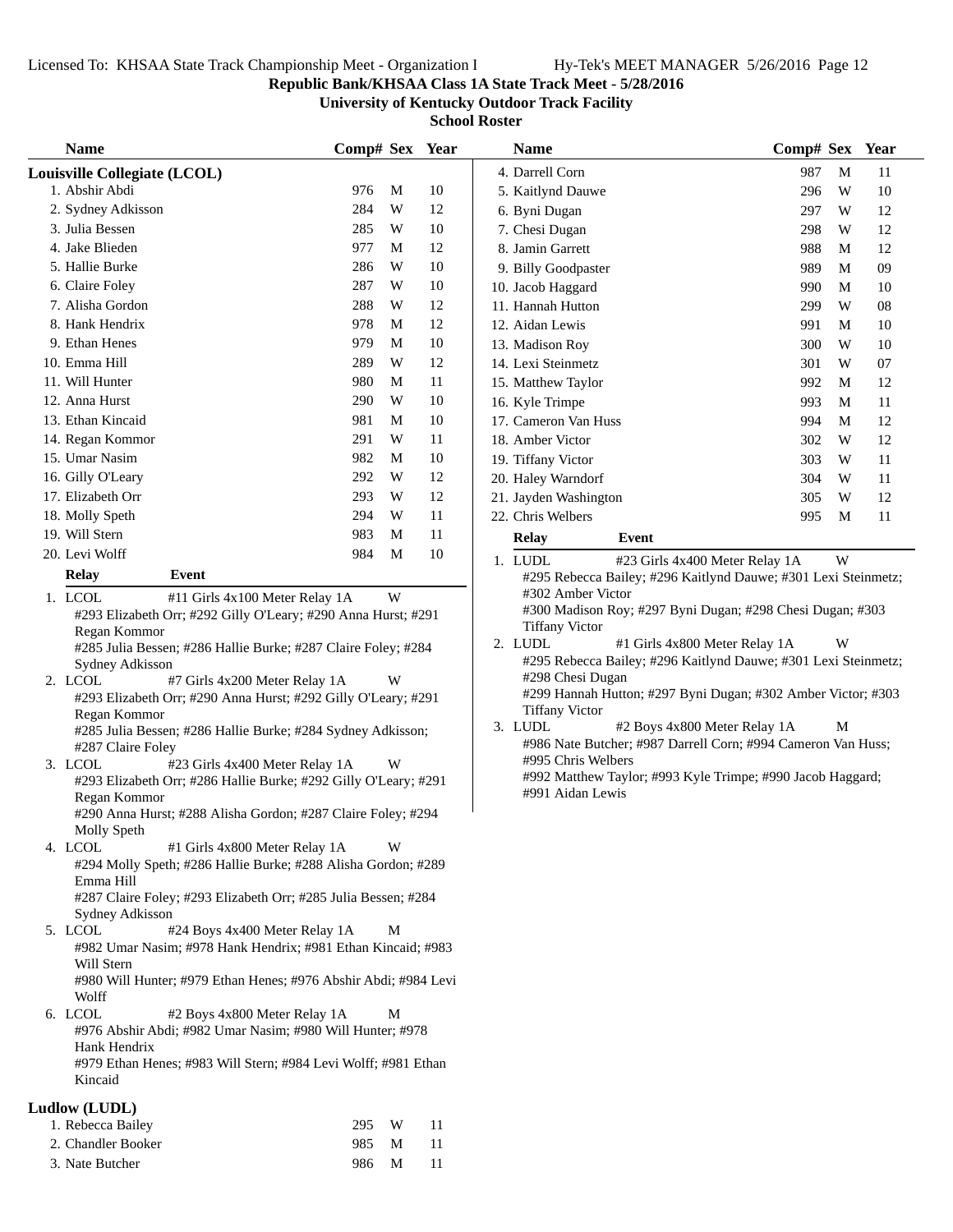## **Republic Bank/KHSAA Class 1A State Track Meet - 5/28/2016**

**University of Kentucky Outdoor Track Facility**

| <b>Name</b>                                                                                               | Comp# Sex Year |   |    | <b>Name</b>                                                                        | Comp# Sex Year |   |    |
|-----------------------------------------------------------------------------------------------------------|----------------|---|----|------------------------------------------------------------------------------------|----------------|---|----|
| Louisville Collegiate (LCOL)                                                                              |                |   |    | 4. Darrell Corn                                                                    | 987            | M | 11 |
| 1. Abshir Abdi                                                                                            | 976            | M | 10 | 5. Kaitlynd Dauwe                                                                  | 296            | W | 10 |
| 2. Sydney Adkisson                                                                                        | 284            | W | 12 | 6. Byni Dugan                                                                      | 297            | W | 12 |
| 3. Julia Bessen                                                                                           | 285            | W | 10 | 7. Chesi Dugan                                                                     | 298            | W | 12 |
| 4. Jake Blieden                                                                                           | 977            | M | 12 | 8. Jamin Garrett                                                                   | 988            | M | 12 |
| 5. Hallie Burke                                                                                           | 286            | W | 10 | 9. Billy Goodpaster                                                                | 989            | M | 09 |
| 6. Claire Foley                                                                                           | 287            | W | 10 | 10. Jacob Haggard                                                                  | 990            | M | 10 |
| 7. Alisha Gordon                                                                                          | 288            | W | 12 | 11. Hannah Hutton                                                                  | 299            | W | 08 |
| 8. Hank Hendrix                                                                                           | 978            | M | 12 | 12. Aidan Lewis                                                                    | 991            | M | 10 |
| 9. Ethan Henes                                                                                            | 979            | M | 10 | 13. Madison Roy                                                                    | 300            | W | 10 |
| 10. Emma Hill                                                                                             | 289            | W | 12 | 14. Lexi Steinmetz                                                                 | 301            | W | 07 |
| 11. Will Hunter                                                                                           | 980            | M | 11 | 15. Matthew Taylor                                                                 | 992            | M | 12 |
| 12. Anna Hurst                                                                                            | 290            | W | 10 | 16. Kyle Trimpe                                                                    | 993            | M | 11 |
| 13. Ethan Kincaid                                                                                         | 981            | M | 10 | 17. Cameron Van Huss                                                               | 994            | M | 12 |
| 14. Regan Kommor                                                                                          | 291            | W | 11 | 18. Amber Victor                                                                   | 302            | W | 12 |
| 15. Umar Nasim                                                                                            | 982            | M | 10 | 19. Tiffany Victor                                                                 | 303            | W | 11 |
| 16. Gilly O'Leary                                                                                         | 292            | W | 12 | 20. Haley Warndorf                                                                 | 304            | W | 11 |
| 17. Elizabeth Orr                                                                                         | 293            | W | 12 | 21. Jayden Washington                                                              | 305            | W | 12 |
| 18. Molly Speth                                                                                           | 294            | W | 11 | 22. Chris Welbers                                                                  | 995            | M | 11 |
| 19. Will Stern                                                                                            | 983            | M | 11 | <b>Relay</b><br>Event                                                              |                |   |    |
| 20. Levi Wolff                                                                                            | 984            | M | 10 | 1. LUDL<br>#23 Girls 4x400 Meter Relay 1A                                          |                | W |    |
| <b>Event</b><br><b>Relay</b>                                                                              |                |   |    | #295 Rebecca Bailey; #296 Kaitlynd Dauwe; #301 Lexi Steinmetz;                     |                |   |    |
| 1. LCOL<br>#11 Girls 4x100 Meter Relay 1A                                                                 |                | W |    | #302 Amber Victor                                                                  |                |   |    |
| #293 Elizabeth Orr; #292 Gilly O'Leary; #290 Anna Hurst; #291                                             |                |   |    | #300 Madison Roy; #297 Byni Dugan; #298 Chesi Dugan; #303                          |                |   |    |
| Regan Kommor                                                                                              |                |   |    | <b>Tiffany Victor</b>                                                              |                |   |    |
| #285 Julia Bessen; #286 Hallie Burke; #287 Claire Foley; #284                                             |                |   |    | 2. LUDL<br>#1 Girls 4x800 Meter Relay 1A                                           |                | W |    |
| Sydney Adkisson                                                                                           |                |   |    | #295 Rebecca Bailey; #296 Kaitlynd Dauwe; #301 Lexi Steinmetz;<br>#298 Chesi Dugan |                |   |    |
| 2. LCOL<br>#7 Girls 4x200 Meter Relay 1A                                                                  |                | W |    | #299 Hannah Hutton; #297 Byni Dugan; #302 Amber Victor; #303                       |                |   |    |
| #293 Elizabeth Orr; #290 Anna Hurst; #292 Gilly O'Leary; #291<br>Regan Kommor                             |                |   |    | <b>Tiffany Victor</b>                                                              |                |   |    |
| #285 Julia Bessen; #286 Hallie Burke; #284 Sydney Adkisson;                                               |                |   |    | 3. LUDL<br>#2 Boys 4x800 Meter Relay 1A                                            |                | М |    |
| #287 Claire Foley                                                                                         |                |   |    | #986 Nate Butcher; #987 Darrell Corn; #994 Cameron Van Huss;                       |                |   |    |
| 3. LCOL<br>#23 Girls 4x400 Meter Relay 1A                                                                 |                | W |    | #995 Chris Welbers                                                                 |                |   |    |
| #293 Elizabeth Orr; #286 Hallie Burke; #292 Gilly O'Leary; #291                                           |                |   |    | #992 Matthew Taylor; #993 Kyle Trimpe; #990 Jacob Haggard;                         |                |   |    |
| Regan Kommor                                                                                              |                |   |    | #991 Aidan Lewis                                                                   |                |   |    |
| #290 Anna Hurst; #288 Alisha Gordon; #287 Claire Foley; #294                                              |                |   |    |                                                                                    |                |   |    |
| Molly Speth                                                                                               |                |   |    |                                                                                    |                |   |    |
| 4. LCOL<br>#1 Girls 4x800 Meter Relay 1A<br>#294 Molly Speth; #286 Hallie Burke; #288 Alisha Gordon; #289 |                | W |    |                                                                                    |                |   |    |
| Emma Hill                                                                                                 |                |   |    |                                                                                    |                |   |    |
| #287 Claire Foley; #293 Elizabeth Orr; #285 Julia Bessen; #284                                            |                |   |    |                                                                                    |                |   |    |
| Sydney Adkisson                                                                                           |                |   |    |                                                                                    |                |   |    |
| 5. LCOL<br>#24 Boys 4x400 Meter Relay 1A                                                                  |                | М |    |                                                                                    |                |   |    |
| #982 Umar Nasim; #978 Hank Hendrix; #981 Ethan Kincaid; #983                                              |                |   |    |                                                                                    |                |   |    |
| Will Stern                                                                                                |                |   |    |                                                                                    |                |   |    |
| #980 Will Hunter; #979 Ethan Henes; #976 Abshir Abdi; #984 Levi                                           |                |   |    |                                                                                    |                |   |    |
| Wolff<br>6. LCOL<br>#2 Boys 4x800 Meter Relay 1A                                                          |                | М |    |                                                                                    |                |   |    |
| #976 Abshir Abdi; #982 Umar Nasim; #980 Will Hunter; #978                                                 |                |   |    |                                                                                    |                |   |    |
| Hank Hendrix                                                                                              |                |   |    |                                                                                    |                |   |    |
| #979 Ethan Henes; #983 Will Stern; #984 Levi Wolff; #981 Ethan                                            |                |   |    |                                                                                    |                |   |    |
| Kincaid                                                                                                   |                |   |    |                                                                                    |                |   |    |
| Ludlow (LUDL)                                                                                             |                |   |    |                                                                                    |                |   |    |
| 1. Rebecca Bailey                                                                                         | 295            | W | 11 |                                                                                    |                |   |    |
| 2. Chandler Booker                                                                                        | 985            | M | 11 |                                                                                    |                |   |    |
| 3. Nate Butcher                                                                                           | 986            | M | 11 |                                                                                    |                |   |    |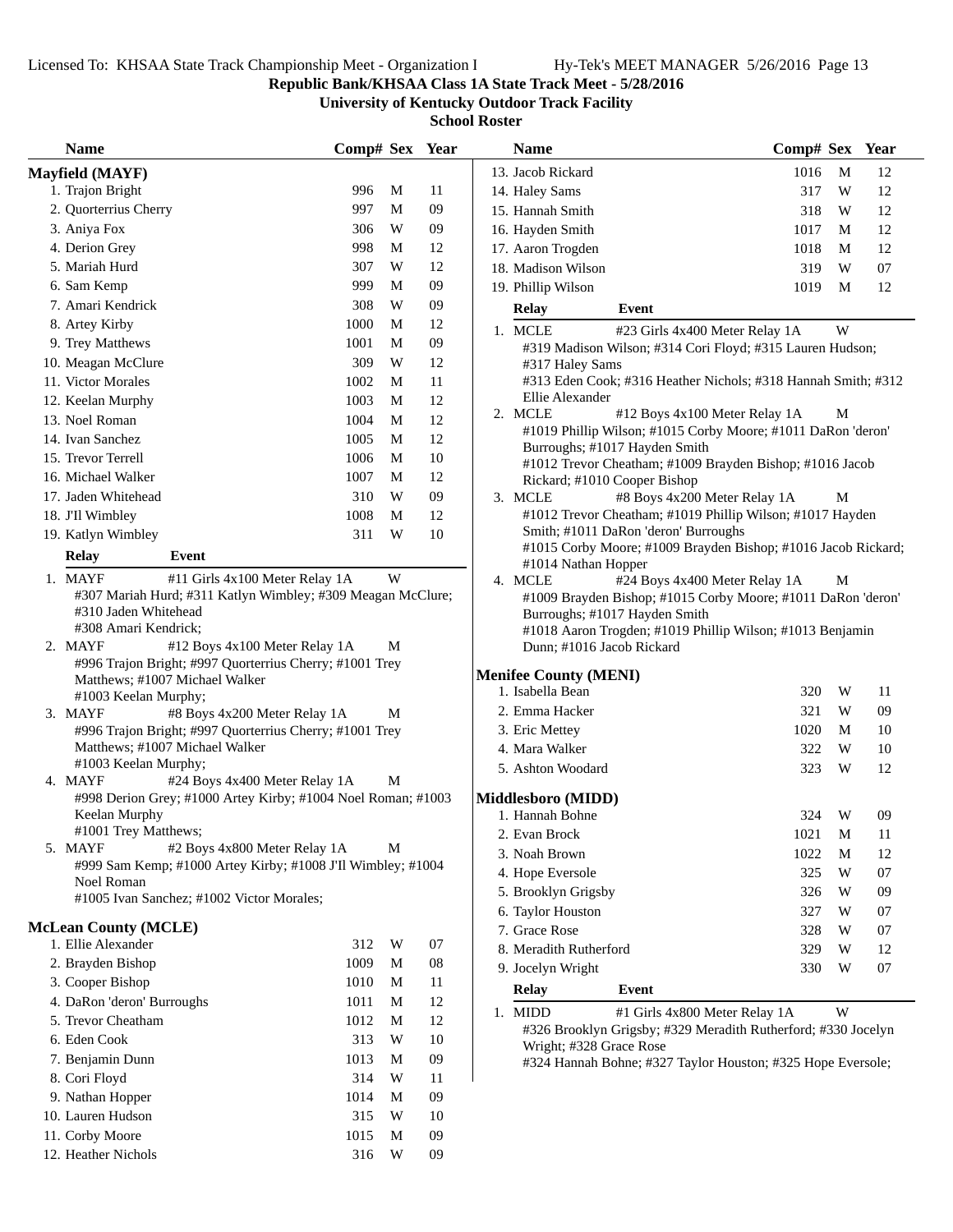### **Republic Bank/KHSAA Class 1A State Track Meet - 5/28/2016**

**University of Kentucky Outdoor Track Facility**

| <b>Name</b>                 |                                                              | Comp# Sex Year |            | <b>Name</b>                                                                              | Comp# Sex Year                 |   |    |
|-----------------------------|--------------------------------------------------------------|----------------|------------|------------------------------------------------------------------------------------------|--------------------------------|---|----|
| <b>Mayfield (MAYF)</b>      |                                                              |                |            | 13. Jacob Rickard                                                                        | 1016                           | M | 12 |
| 1. Trajon Bright            |                                                              | M<br>996       | 11         | 14. Haley Sams                                                                           | 317                            | W | 12 |
| 2. Quorterrius Cherry       |                                                              | 997<br>M       | 09         | 15. Hannah Smith                                                                         | 318                            | W | 12 |
| 3. Aniya Fox                |                                                              | 306<br>W       | 09         | 16. Hayden Smith                                                                         | 1017                           | M | 12 |
| 4. Derion Grey              |                                                              | 998<br>M       | 12         | 17. Aaron Trogden                                                                        | 1018                           | M | 12 |
| 5. Mariah Hurd              |                                                              | 307<br>W       | 12         | 18. Madison Wilson                                                                       | 319                            | W | 07 |
| 6. Sam Kemp                 |                                                              | 999<br>M       | 09         | 19. Phillip Wilson                                                                       | 1019                           | M | 12 |
| 7. Amari Kendrick           |                                                              | 308<br>W       | 09         | <b>Relay</b><br>Event                                                                    |                                |   |    |
| 8. Artey Kirby              |                                                              | 1000<br>M      | 12         | 1. MCLE                                                                                  | #23 Girls 4x400 Meter Relay 1A | W |    |
| 9. Trey Matthews            |                                                              | 1001<br>M      | 09         | #319 Madison Wilson; #314 Cori Floyd; #315 Lauren Hudson;                                |                                |   |    |
| 10. Meagan McClure          |                                                              | 309<br>W       | 12         | #317 Haley Sams                                                                          |                                |   |    |
| 11. Victor Morales          |                                                              | 1002<br>M      | 11         | #313 Eden Cook; #316 Heather Nichols; #318 Hannah Smith; #312                            |                                |   |    |
| 12. Keelan Murphy           |                                                              | 1003<br>M      | 12         | Ellie Alexander                                                                          |                                |   |    |
| 13. Noel Roman              |                                                              | 1004<br>M      | 12         | 2. MCLE                                                                                  | #12 Boys 4x100 Meter Relay 1A  | M |    |
| 14. Ivan Sanchez            |                                                              | 1005<br>M      | 12         | #1019 Phillip Wilson; #1015 Corby Moore; #1011 DaRon 'deron'                             |                                |   |    |
| 15. Trevor Terrell          |                                                              | 1006<br>M      | $10\,$     | Burroughs; #1017 Hayden Smith                                                            |                                |   |    |
| 16. Michael Walker          |                                                              | 1007<br>M      | 12         | #1012 Trevor Cheatham; #1009 Brayden Bishop; #1016 Jacob<br>Rickard; #1010 Cooper Bishop |                                |   |    |
| 17. Jaden Whitehead         |                                                              | W<br>310       | 09         | 3. MCLE                                                                                  | #8 Boys 4x200 Meter Relay 1A   | М |    |
| 18. J'Il Wimbley            |                                                              | 1008<br>M      | 12         | #1012 Trevor Cheatham; #1019 Phillip Wilson; #1017 Hayden                                |                                |   |    |
| 19. Katlyn Wimbley          |                                                              | 311<br>W       | 10         | Smith; #1011 DaRon 'deron' Burroughs                                                     |                                |   |    |
| <b>Relay</b>                | Event                                                        |                |            | #1015 Corby Moore; #1009 Brayden Bishop; #1016 Jacob Rickard;                            |                                |   |    |
|                             |                                                              |                |            | #1014 Nathan Hopper                                                                      |                                |   |    |
| 1. MAYF                     | #11 Girls 4x100 Meter Relay 1A                               | W              |            | 4. MCLE                                                                                  | #24 Boys 4x400 Meter Relay 1A  | M |    |
|                             | #307 Mariah Hurd; #311 Katlyn Wimbley; #309 Meagan McClure;  |                |            | #1009 Brayden Bishop; #1015 Corby Moore; #1011 DaRon 'deron'                             |                                |   |    |
|                             | #310 Jaden Whitehead<br>#308 Amari Kendrick;                 |                |            | Burroughs; #1017 Hayden Smith                                                            |                                |   |    |
| 2. MAYF                     | #12 Boys 4x100 Meter Relay 1A                                | M              |            | #1018 Aaron Trogden; #1019 Phillip Wilson; #1013 Benjamin<br>Dunn; #1016 Jacob Rickard   |                                |   |    |
|                             | #996 Trajon Bright; #997 Quorterrius Cherry; #1001 Trey      |                |            |                                                                                          |                                |   |    |
|                             | Matthews; #1007 Michael Walker                               |                |            | <b>Menifee County (MENI)</b>                                                             |                                |   |    |
|                             | #1003 Keelan Murphy;                                         |                |            | 1. Isabella Bean                                                                         | 320                            | W | 11 |
| 3. MAYF                     | #8 Boys 4x200 Meter Relay 1A                                 | M              |            | 2. Emma Hacker                                                                           | 321                            | W | 09 |
|                             | #996 Trajon Bright; #997 Quorterrius Cherry; #1001 Trey      |                |            | 3. Eric Mettey                                                                           | 1020                           | M | 10 |
|                             | Matthews; #1007 Michael Walker                               |                |            | 4. Mara Walker                                                                           | 322                            | W | 10 |
|                             | #1003 Keelan Murphy;                                         |                |            | 5. Ashton Woodard                                                                        | 323                            | W | 12 |
| 4. MAYF                     | #24 Boys 4x400 Meter Relay 1A                                | M              |            |                                                                                          |                                |   |    |
|                             | #998 Derion Grey; #1000 Artey Kirby; #1004 Noel Roman; #1003 |                |            | <b>Middlesboro (MIDD)</b>                                                                |                                |   |    |
| Keelan Murphy               |                                                              |                |            | 1. Hannah Bohne                                                                          | 324                            | W | 09 |
| 5. MAYF                     | #1001 Trey Matthews;<br>#2 Boys 4x800 Meter Relay 1A         | M              |            | 2. Evan Brock                                                                            | 1021 M                         |   | 11 |
|                             | #999 Sam Kemp; #1000 Artey Kirby; #1008 J'Il Wimbley; #1004  |                |            | 3. Noah Brown                                                                            | 1022                           | M | 12 |
| Noel Roman                  |                                                              |                |            | 4. Hope Eversole                                                                         | 325                            | W | 07 |
|                             | #1005 Ivan Sanchez; #1002 Victor Morales;                    |                |            | 5. Brooklyn Grigsby                                                                      | 326                            | W | 09 |
|                             |                                                              |                |            | 6. Taylor Houston                                                                        | 327                            | W | 07 |
| <b>McLean County (MCLE)</b> |                                                              |                |            | 7. Grace Rose                                                                            | 328                            | W | 07 |
| 1. Ellie Alexander          |                                                              | W<br>312       | 07         | 8. Meradith Rutherford                                                                   | 329                            | W | 12 |
| 2. Brayden Bishop           |                                                              | 1009<br>M      | ${\bf 08}$ | 9. Jocelyn Wright                                                                        | 330                            | W | 07 |
| 3. Cooper Bishop            |                                                              | M<br>1010      | 11         | Event<br><b>Relay</b>                                                                    |                                |   |    |
| 4. DaRon 'deron' Burroughs  |                                                              | 1011<br>M      | 12         | 1. MIDD                                                                                  | #1 Girls 4x800 Meter Relay 1A  | W |    |
| 5. Trevor Cheatham          |                                                              | 1012<br>M      | 12         | #326 Brooklyn Grigsby; #329 Meradith Rutherford; #330 Jocelyn                            |                                |   |    |
| 6. Eden Cook                |                                                              | 313<br>W       | 10         | Wright; #328 Grace Rose                                                                  |                                |   |    |
| 7. Benjamin Dunn            |                                                              | 1013<br>M      | $09\,$     | #324 Hannah Bohne; #327 Taylor Houston; #325 Hope Eversole;                              |                                |   |    |
| 8. Cori Floyd               |                                                              | 314<br>W       | 11         |                                                                                          |                                |   |    |
| 9. Nathan Hopper            |                                                              | 1014<br>M      | 09         |                                                                                          |                                |   |    |
| 10. Lauren Hudson           |                                                              | 315<br>W       | 10         |                                                                                          |                                |   |    |
| 11. Corby Moore             |                                                              | 1015<br>M      | 09         |                                                                                          |                                |   |    |
| 12. Heather Nichols         |                                                              | 316<br>W       | 09         |                                                                                          |                                |   |    |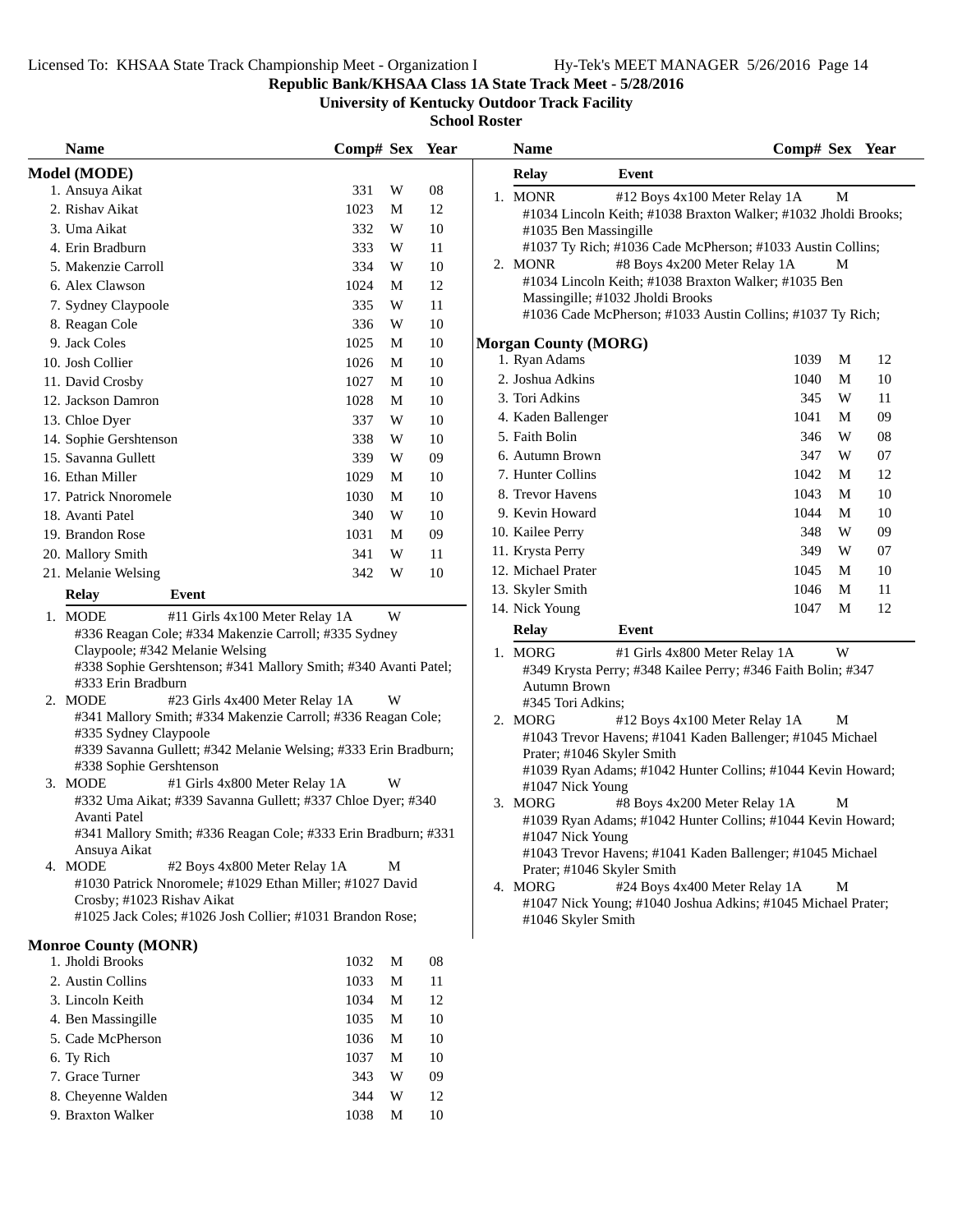**Republic Bank/KHSAA Class 1A State Track Meet - 5/28/2016**

**University of Kentucky Outdoor Track Facility**

| <b>Name</b>                                                                                                                                                                                                                                                                             | Comp# Sex |   | Year |   |
|-----------------------------------------------------------------------------------------------------------------------------------------------------------------------------------------------------------------------------------------------------------------------------------------|-----------|---|------|---|
| <b>Model (MODE)</b>                                                                                                                                                                                                                                                                     |           |   |      |   |
| 1. Ansuya Aikat                                                                                                                                                                                                                                                                         | 331       | W | 08   |   |
| 2. Rishav Aikat                                                                                                                                                                                                                                                                         | 1023      | М | 12   |   |
| 3. Uma Aikat                                                                                                                                                                                                                                                                            | 332       | W | 10   |   |
| 4. Erin Bradburn                                                                                                                                                                                                                                                                        | 333       | W | 11   |   |
| 5. Makenzie Carroll                                                                                                                                                                                                                                                                     | 334       | W | 10   |   |
| 6. Alex Clawson                                                                                                                                                                                                                                                                         | 1024      | M | 12   |   |
| 7. Sydney Claypoole                                                                                                                                                                                                                                                                     | 335       | W | 11   |   |
| 8. Reagan Cole                                                                                                                                                                                                                                                                          | 336       | W | 10   |   |
| 9. Jack Coles                                                                                                                                                                                                                                                                           | 1025      | M | 10   | M |
| 10. Josh Collier                                                                                                                                                                                                                                                                        | 1026      | М | 10   |   |
| 11. David Crosby                                                                                                                                                                                                                                                                        | 1027      | М | 10   |   |
| 12. Jackson Damron                                                                                                                                                                                                                                                                      | 1028      | М | 10   |   |
| 13. Chloe Dyer                                                                                                                                                                                                                                                                          | 337       | W | 10   |   |
| 14. Sophie Gershtenson                                                                                                                                                                                                                                                                  | 338       | W | 10   |   |
| 15. Savanna Gullett                                                                                                                                                                                                                                                                     | 339       | W | 09   |   |
| 16. Ethan Miller                                                                                                                                                                                                                                                                        | 1029      | M | 10   |   |
| 17. Patrick Nnoromele                                                                                                                                                                                                                                                                   | 1030      | M | 10   |   |
| 18. Avanti Patel                                                                                                                                                                                                                                                                        | 340       | W | 10   |   |
| 19. Brandon Rose                                                                                                                                                                                                                                                                        | 1031      | M | 09   |   |
| 20. Mallory Smith                                                                                                                                                                                                                                                                       | 341       | W | 11   |   |
| 21. Melanie Welsing                                                                                                                                                                                                                                                                     | 342       | W | 10   |   |
| <b>Relay</b><br>Event                                                                                                                                                                                                                                                                   |           |   |      |   |
| 1. MODE<br>#11 Girls 4x100 Meter Relay 1A                                                                                                                                                                                                                                               |           | W |      |   |
| #336 Reagan Cole; #334 Makenzie Carroll; #335 Sydney                                                                                                                                                                                                                                    |           |   |      |   |
| Claypoole; #342 Melanie Welsing<br>#338 Sophie Gershtenson; #341 Mallory Smith; #340 Avanti Patel;<br>#333 Erin Bradburn<br>2. MODE<br>#23 Girls 4x400 Meter Relay 1A<br>#341 Mallory Smith; #334 Makenzie Carroll; #336 Reagan Cole;<br>#335 Sydney Claypoole                          |           | W |      |   |
| #339 Savanna Gullett; #342 Melanie Welsing; #333 Erin Bradburn;<br>#338 Sophie Gershtenson<br>3. MODE<br>#1 Girls 4x800 Meter Relay 1A<br>#332 Uma Aikat; #339 Savanna Gullett; #337 Chloe Dyer; #340<br>Avanti Patel<br>#341 Mallory Smith; #336 Reagan Cole; #333 Erin Bradburn; #331 |           | W |      |   |
| Ansuya Aikat<br>4. MODE<br>#2 Boys 4x800 Meter Relay 1A<br>#1030 Patrick Nnoromele; #1029 Ethan Miller; #1027 David<br>Crosby; #1023 Rishav Aikat<br>#1025 Jack Coles; #1026 Josh Collier; #1031 Brandon Rose;                                                                          |           | М |      |   |
| <b>Monroe County (MONR)</b>                                                                                                                                                                                                                                                             |           |   |      |   |
| 1. Jholdi Brooks                                                                                                                                                                                                                                                                        | 1032      | M | 08   |   |
| 2. Austin Collins                                                                                                                                                                                                                                                                       | 1033      | М | 11   |   |
| 3. Lincoln Keith                                                                                                                                                                                                                                                                        | 1034      | М | 12   |   |
| 4. Ben Massingille                                                                                                                                                                                                                                                                      | 1035      | М | 10   |   |
| 5. Cade McPherson                                                                                                                                                                                                                                                                       | 1036      | M | 10   |   |
| 6. Ty Rich                                                                                                                                                                                                                                                                              | 1037      | M | 10   |   |
| 7. Grace Turner                                                                                                                                                                                                                                                                         | 343       | W | 09   |   |
| 8. Cheyenne Walden                                                                                                                                                                                                                                                                      | 344       | W | 12   |   |
| 9. Braxton Walker                                                                                                                                                                                                                                                                       | 1038      | М | 10   |   |
|                                                                                                                                                                                                                                                                                         |           |   |      |   |

| <b>Name</b>                 |                                                                                                | Comp# Sex |   | Year |
|-----------------------------|------------------------------------------------------------------------------------------------|-----------|---|------|
| Relay                       | Event                                                                                          |           |   |      |
| 1. MONR                     | #12 Boys 4x100 Meter Relay 1A                                                                  |           | М |      |
|                             | #1034 Lincoln Keith; #1038 Braxton Walker; #1032 Jholdi Brooks;                                |           |   |      |
| #1035 Ben Massingille       |                                                                                                |           |   |      |
|                             | #1037 Ty Rich; #1036 Cade McPherson; #1033 Austin Collins;                                     |           |   |      |
| 2. MONR                     | #8 Boys 4x200 Meter Relay 1A                                                                   |           | М |      |
|                             | #1034 Lincoln Keith; #1038 Braxton Walker; #1035 Ben                                           |           |   |      |
|                             | Massingille; #1032 Jholdi Brooks<br>#1036 Cade McPherson; #1033 Austin Collins; #1037 Ty Rich; |           |   |      |
|                             |                                                                                                |           |   |      |
| <b>Morgan County (MORG)</b> |                                                                                                |           |   |      |
| 1. Ryan Adams               |                                                                                                | 1039      | М | 12   |
| 2. Joshua Adkins            |                                                                                                | 1040      | M | 10   |
| 3. Tori Adkins              |                                                                                                | 345       | W | 11   |
| 4. Kaden Ballenger          |                                                                                                | 1041      | M | 09   |
| 5. Faith Bolin              |                                                                                                | 346       | W | 08   |
| 6. Autumn Brown             |                                                                                                | 347       | W | 07   |
| 7. Hunter Collins           |                                                                                                | 1042      | M | 12   |
| 8. Trevor Havens            |                                                                                                | 1043      | M | 10   |
| 9. Kevin Howard             |                                                                                                | 1044      | M | 10   |
| 10. Kailee Perry            |                                                                                                | 348       | W | 09   |
| 11. Krysta Perry            |                                                                                                | 349       | W | 07   |
| 12. Michael Prater          |                                                                                                | 1045      | M | 10   |
| 13. Skyler Smith            |                                                                                                | 1046      | M | 11   |
| 14. Nick Young              |                                                                                                | 1047      | M | 12   |
| <b>Relay</b>                | Event                                                                                          |           |   |      |
| 1. MORG                     | #1 Girls 4x800 Meter Relay 1A                                                                  |           | W |      |
|                             | #349 Krysta Perry; #348 Kailee Perry; #346 Faith Bolin; #347                                   |           |   |      |
| Autumn Brown                |                                                                                                |           |   |      |
| #345 Tori Adkins;           |                                                                                                |           |   |      |
| 2. MORG                     | #12 Boys 4x100 Meter Relay 1A                                                                  |           | М |      |
|                             | #1043 Trevor Havens; #1041 Kaden Ballenger; #1045 Michael                                      |           |   |      |
| Prater; #1046 Skyler Smith  | #1039 Ryan Adams; #1042 Hunter Collins; #1044 Kevin Howard;                                    |           |   |      |
| #1047 Nick Young            |                                                                                                |           |   |      |
| 3. MORG                     | #8 Boys 4x200 Meter Relay 1A                                                                   |           | М |      |
|                             | #1039 Ryan Adams; #1042 Hunter Collins; #1044 Kevin Howard;                                    |           |   |      |
| #1047 Nick Young            |                                                                                                |           |   |      |
|                             | #1043 Trevor Havens; #1041 Kaden Ballenger; #1045 Michael                                      |           |   |      |
| Prater; #1046 Skyler Smith  |                                                                                                |           |   |      |
| 4. MORG                     | #24 Boys 4x400 Meter Relay 1A                                                                  |           | М |      |
|                             | #1047 Nick Young; #1040 Joshua Adkins; #1045 Michael Prater;                                   |           |   |      |
| #1046 Skyler Smith          |                                                                                                |           |   |      |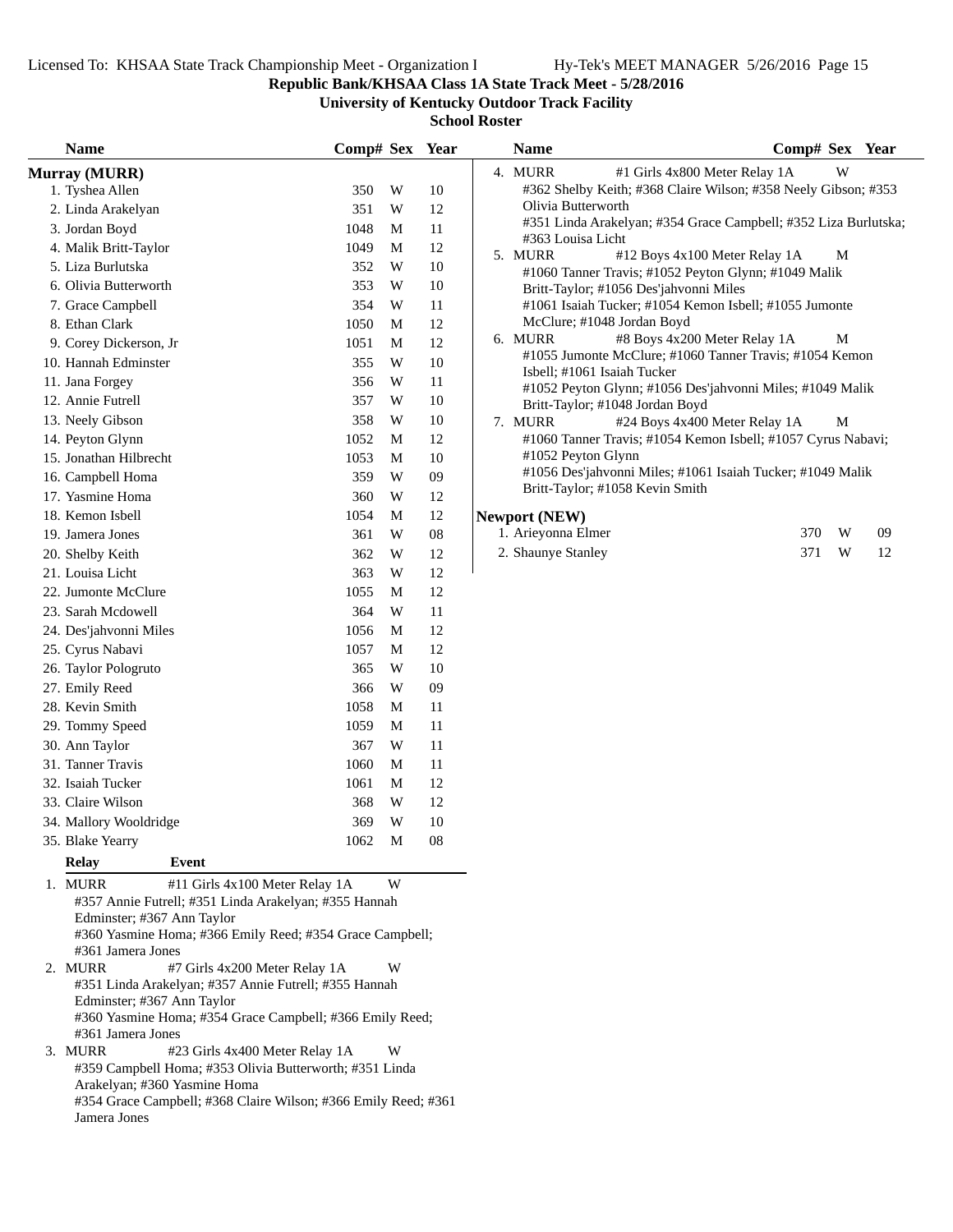**Republic Bank/KHSAA Class 1A State Track Meet - 5/28/2016**

**University of Kentucky Outdoor Track Facility**

| <b>Name</b>                                                                                                                                                                                                                                                                                                                                                                                                                           | Comp# Sex Year |             |            | <b>Name</b>                                                                                      | Comp# Sex Year |   |    |
|---------------------------------------------------------------------------------------------------------------------------------------------------------------------------------------------------------------------------------------------------------------------------------------------------------------------------------------------------------------------------------------------------------------------------------------|----------------|-------------|------------|--------------------------------------------------------------------------------------------------|----------------|---|----|
| <b>Murray (MURR)</b>                                                                                                                                                                                                                                                                                                                                                                                                                  |                |             |            | 4. MURR<br>#1 Girls 4x800 Meter Relay 1A                                                         |                | W |    |
| 1. Tyshea Allen                                                                                                                                                                                                                                                                                                                                                                                                                       | 350            | W           | 10         | #362 Shelby Keith; #368 Claire Wilson; #358 Neely Gibson; #353                                   |                |   |    |
| 2. Linda Arakelyan                                                                                                                                                                                                                                                                                                                                                                                                                    | 351            | W           | 12         | Olivia Butterworth                                                                               |                |   |    |
| 3. Jordan Boyd                                                                                                                                                                                                                                                                                                                                                                                                                        | 1048           | M           | 11         | #351 Linda Arakelyan; #354 Grace Campbell; #352 Liza Burlutska;                                  |                |   |    |
| 4. Malik Britt-Taylor                                                                                                                                                                                                                                                                                                                                                                                                                 | 1049           | M           | 12         | #363 Louisa Licht                                                                                |                |   |    |
| 5. Liza Burlutska                                                                                                                                                                                                                                                                                                                                                                                                                     | 352            | W           | 10         | 5. MURR<br>#12 Boys 4x100 Meter Relay 1A<br>#1060 Tanner Travis; #1052 Peyton Glynn; #1049 Malik |                | M |    |
| 6. Olivia Butterworth                                                                                                                                                                                                                                                                                                                                                                                                                 | 353            | W           | 10         | Britt-Taylor; #1056 Des'jahvonni Miles                                                           |                |   |    |
| 7. Grace Campbell                                                                                                                                                                                                                                                                                                                                                                                                                     | 354            | W           | 11         | #1061 Isaiah Tucker; #1054 Kemon Isbell; #1055 Jumonte                                           |                |   |    |
| 8. Ethan Clark                                                                                                                                                                                                                                                                                                                                                                                                                        | 1050           | M           | 12         | McClure; #1048 Jordan Boyd                                                                       |                |   |    |
| 9. Corey Dickerson, Jr                                                                                                                                                                                                                                                                                                                                                                                                                | 1051           | M           | 12         | 6. MURR<br>#8 Boys 4x200 Meter Relay 1A                                                          |                | M |    |
| 10. Hannah Edminster                                                                                                                                                                                                                                                                                                                                                                                                                  | 355            | W           | 10         | #1055 Jumonte McClure; #1060 Tanner Travis; #1054 Kemon                                          |                |   |    |
| 11. Jana Forgey                                                                                                                                                                                                                                                                                                                                                                                                                       | 356            | W           | 11         | Isbell; #1061 Isaiah Tucker                                                                      |                |   |    |
| 12. Annie Futrell                                                                                                                                                                                                                                                                                                                                                                                                                     | 357            | W           | 10         | #1052 Peyton Glynn; #1056 Des'jahvonni Miles; #1049 Malik                                        |                |   |    |
| 13. Neely Gibson                                                                                                                                                                                                                                                                                                                                                                                                                      | 358            | W           | 10         | Britt-Taylor; #1048 Jordan Boyd<br>7. MURR<br>#24 Boys 4x400 Meter Relay 1A                      |                | M |    |
| 14. Peyton Glynn                                                                                                                                                                                                                                                                                                                                                                                                                      | 1052           | M           | 12         | #1060 Tanner Travis; #1054 Kemon Isbell; #1057 Cyrus Nabavi;                                     |                |   |    |
| 15. Jonathan Hilbrecht                                                                                                                                                                                                                                                                                                                                                                                                                | 1053           | M           | 10         | #1052 Peyton Glynn                                                                               |                |   |    |
| 16. Campbell Homa                                                                                                                                                                                                                                                                                                                                                                                                                     | 359            | W           | 09         | #1056 Des'jahvonni Miles; #1061 Isaiah Tucker; #1049 Malik                                       |                |   |    |
| 17. Yasmine Homa                                                                                                                                                                                                                                                                                                                                                                                                                      | 360            | W           | 12         | Britt-Taylor; #1058 Kevin Smith                                                                  |                |   |    |
| 18. Kemon Isbell                                                                                                                                                                                                                                                                                                                                                                                                                      | 1054           | M           | 12         | <b>Newport (NEW)</b>                                                                             |                |   |    |
| 19. Jamera Jones                                                                                                                                                                                                                                                                                                                                                                                                                      | 361            | W           | ${\bf 08}$ | 1. Arieyonna Elmer                                                                               | 370            | W | 09 |
| 20. Shelby Keith                                                                                                                                                                                                                                                                                                                                                                                                                      | 362            | W           | 12         | 2. Shaunye Stanley                                                                               | 371            | W | 12 |
| 21. Louisa Licht                                                                                                                                                                                                                                                                                                                                                                                                                      | 363            | W           | $12\,$     |                                                                                                  |                |   |    |
| 22. Jumonte McClure                                                                                                                                                                                                                                                                                                                                                                                                                   | 1055           | M           | 12         |                                                                                                  |                |   |    |
| 23. Sarah Mcdowell                                                                                                                                                                                                                                                                                                                                                                                                                    | 364            | W           | 11         |                                                                                                  |                |   |    |
| 24. Des'jahvonni Miles                                                                                                                                                                                                                                                                                                                                                                                                                | 1056           | M           | 12         |                                                                                                  |                |   |    |
| 25. Cyrus Nabavi                                                                                                                                                                                                                                                                                                                                                                                                                      | 1057           | M           | 12         |                                                                                                  |                |   |    |
| 26. Taylor Pologruto                                                                                                                                                                                                                                                                                                                                                                                                                  | 365            | W           | 10         |                                                                                                  |                |   |    |
| 27. Emily Reed                                                                                                                                                                                                                                                                                                                                                                                                                        | 366            | W           | 09         |                                                                                                  |                |   |    |
| 28. Kevin Smith                                                                                                                                                                                                                                                                                                                                                                                                                       | 1058           | M           | 11         |                                                                                                  |                |   |    |
| 29. Tommy Speed                                                                                                                                                                                                                                                                                                                                                                                                                       | 1059           | M           | 11         |                                                                                                  |                |   |    |
| 30. Ann Taylor                                                                                                                                                                                                                                                                                                                                                                                                                        | 367            | W           | 11         |                                                                                                  |                |   |    |
| 31. Tanner Travis                                                                                                                                                                                                                                                                                                                                                                                                                     | 1060           | M           | 11         |                                                                                                  |                |   |    |
| 32. Isaiah Tucker                                                                                                                                                                                                                                                                                                                                                                                                                     | 1061           | M           | 12         |                                                                                                  |                |   |    |
| 33. Claire Wilson                                                                                                                                                                                                                                                                                                                                                                                                                     | 368            | W           | 12         |                                                                                                  |                |   |    |
| 34. Mallory Wooldridge                                                                                                                                                                                                                                                                                                                                                                                                                | 369            | W           | 10         |                                                                                                  |                |   |    |
| 35. Blake Yearry                                                                                                                                                                                                                                                                                                                                                                                                                      | 1062           | $\mathbf M$ | 08         |                                                                                                  |                |   |    |
| <b>Relay</b><br>Event                                                                                                                                                                                                                                                                                                                                                                                                                 |                |             |            |                                                                                                  |                |   |    |
| 1. MURR<br>#11 Girls 4x100 Meter Relay 1A<br>#357 Annie Futrell; #351 Linda Arakelyan; #355 Hannah<br>Edminster; #367 Ann Taylor<br>#360 Yasmine Homa; #366 Emily Reed; #354 Grace Campbell;<br>#361 Jamera Jones<br>2. MURR<br>#7 Girls 4x200 Meter Relay 1A<br>#351 Linda Arakelyan; #357 Annie Futrell; #355 Hannah<br>Edminster; #367 Ann Taylor<br>#360 Yasmine Homa; #354 Grace Campbell; #366 Emily Reed;<br>#361 Jamera Jones |                |             |            |                                                                                                  |                |   |    |
| 3. MURR<br>#23 Girls 4x400 Meter Relay 1A<br>W<br>#359 Campbell Homa; #353 Olivia Butterworth; #351 Linda<br>Arakelyan; #360 Yasmine Homa<br>#354 Grace Campbell; #368 Claire Wilson; #366 Emily Reed; #361<br>Jamera Jones                                                                                                                                                                                                           |                |             |            |                                                                                                  |                |   |    |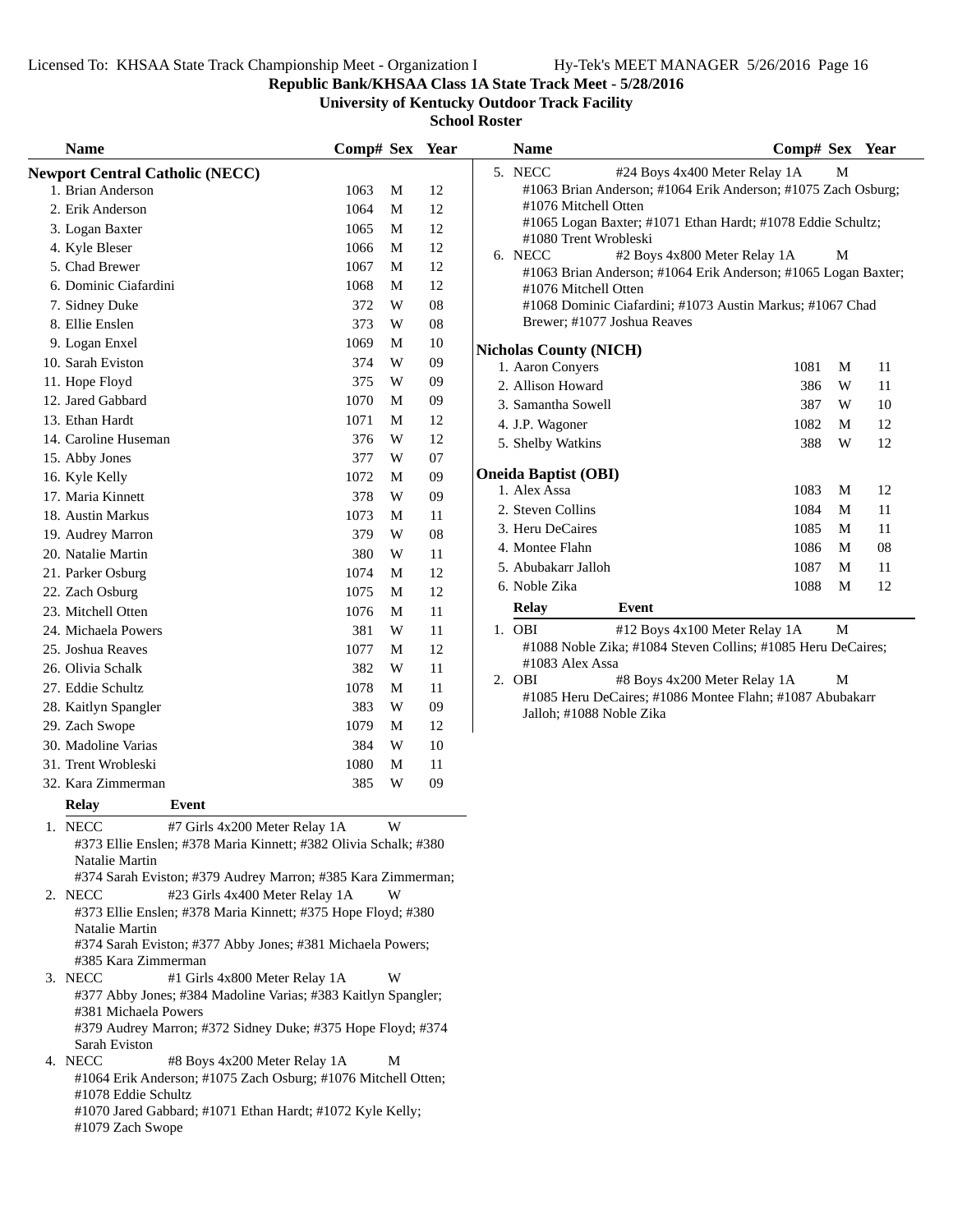**Republic Bank/KHSAA Class 1A State Track Meet - 5/28/2016**

**University of Kentucky Outdoor Track Facility**

**School Roster**

| <b>Name</b>                                                                                               | Comp# Sex Year |                         |    | <b>Name</b>                                                      | Comp# Sex Year |        |    |
|-----------------------------------------------------------------------------------------------------------|----------------|-------------------------|----|------------------------------------------------------------------|----------------|--------|----|
| <b>Newport Central Catholic (NECC)</b>                                                                    |                |                         |    | 5. NECC<br>#24 Boys 4x400 Meter Relay 1A                         |                | M      |    |
| 1. Brian Anderson                                                                                         | 1063           | M                       | 12 | #1063 Brian Anderson; #1064 Erik Anderson; #1075 Zach Osburg     |                |        |    |
| 2. Erik Anderson                                                                                          | 1064           | M                       | 12 | #1076 Mitchell Otten                                             |                |        |    |
| 3. Logan Baxter                                                                                           | 1065           | M                       | 12 | #1065 Logan Baxter; #1071 Ethan Hardt; #1078 Eddie Schultz;      |                |        |    |
| 4. Kyle Bleser                                                                                            | 1066           | M                       | 12 | #1080 Trent Wrobleski<br>6. NECC<br>#2 Boys 4x800 Meter Relay 1A |                | М      |    |
| 5. Chad Brewer                                                                                            | 1067           | $\mathbf M$             | 12 | #1063 Brian Anderson; #1064 Erik Anderson; #1065 Logan Baxte     |                |        |    |
| 6. Dominic Ciafardini                                                                                     | 1068           | M                       | 12 | #1076 Mitchell Otten                                             |                |        |    |
| 7. Sidney Duke                                                                                            | 372            | W                       | 08 | #1068 Dominic Ciafardini; #1073 Austin Markus; #1067 Chad        |                |        |    |
| 8. Ellie Enslen                                                                                           | 373            | W                       | 08 | Brewer; #1077 Joshua Reaves                                      |                |        |    |
| 9. Logan Enxel                                                                                            | 1069           | M                       | 10 | <b>Nicholas County (NICH)</b>                                    |                |        |    |
| 10. Sarah Eviston                                                                                         | 374            | W                       | 09 | 1. Aaron Conyers                                                 | 1081           | M      | 11 |
| 11. Hope Floyd                                                                                            | 375            | W                       | 09 | 2. Allison Howard                                                | 386            | W      | 11 |
| 12. Jared Gabbard                                                                                         | 1070           | M                       | 09 | 3. Samantha Sowell                                               | 387            | W      | 10 |
| 13. Ethan Hardt                                                                                           | 1071           | M                       | 12 | 4. J.P. Wagoner                                                  | 1082           | M      | 12 |
| 14. Caroline Huseman                                                                                      | 376            | W                       | 12 | 5. Shelby Watkins                                                | 388            | W      | 12 |
| 15. Abby Jones                                                                                            | 377            | W                       | 07 |                                                                  |                |        |    |
| 16. Kyle Kelly                                                                                            | 1072           | M                       | 09 | <b>Oneida Baptist (OBI)</b>                                      |                |        |    |
| 17. Maria Kinnett                                                                                         | 378            | W                       | 09 | 1. Alex Assa                                                     | 1083           | M      | 12 |
| 18. Austin Markus                                                                                         | 1073           | M                       | 11 | 2. Steven Collins                                                | 1084           | M      | 11 |
| 19. Audrey Marron                                                                                         | 379            | W                       | 08 | 3. Heru DeCaires                                                 | 1085           | M      | 11 |
| 20. Natalie Martin                                                                                        | 380            | W                       | 11 | 4. Montee Flahn                                                  | 1086           | М      | 08 |
| 21. Parker Osburg                                                                                         | 1074           | M                       | 12 | 5. Abubakarr Jalloh                                              | 1087           | M<br>M | 11 |
| 22. Zach Osburg                                                                                           | 1075           | M                       | 12 | 6. Noble Zika                                                    | 1088           |        | 12 |
| 23. Mitchell Otten                                                                                        | 1076           | M                       | 11 | <b>Relay</b><br>Event                                            |                |        |    |
| 24. Michaela Powers                                                                                       | 381            | $\ensuremath{\text{W}}$ | 11 | 1. OBI<br>#12 Boys 4x100 Meter Relay 1A                          |                | M      |    |
| 25. Joshua Reaves                                                                                         | 1077           | M                       | 12 | #1088 Noble Zika; #1084 Steven Collins; #1085 Heru DeCaires;     |                |        |    |
| 26. Olivia Schalk                                                                                         | 382            | W                       | 11 | #1083 Alex Assa<br>2. OBI<br>#8 Boys 4x200 Meter Relay 1A        |                | М      |    |
| 27. Eddie Schultz                                                                                         | 1078           | M                       | 11 | #1085 Heru DeCaires; #1086 Montee Flahn; #1087 Abubakarr         |                |        |    |
| 28. Kaitlyn Spangler                                                                                      | 383            | W                       | 09 | Jalloh; #1088 Noble Zika                                         |                |        |    |
| 29. Zach Swope                                                                                            | 1079           | M                       | 12 |                                                                  |                |        |    |
| 30. Madoline Varias                                                                                       | 384            | W                       | 10 |                                                                  |                |        |    |
| 31. Trent Wrobleski                                                                                       | 1080           | M                       | 11 |                                                                  |                |        |    |
| 32. Kara Zimmerman                                                                                        | 385            | W                       | 09 |                                                                  |                |        |    |
| <b>Relay</b><br>Event                                                                                     |                |                         |    |                                                                  |                |        |    |
| 1. NECC<br>#7 Girls 4x200 Meter Relay 1A                                                                  |                | W                       |    |                                                                  |                |        |    |
| #373 Ellie Enslen; #378 Maria Kinnett; #382 Olivia Schalk; #380                                           |                |                         |    |                                                                  |                |        |    |
| Natalie Martin                                                                                            |                |                         |    |                                                                  |                |        |    |
| #374 Sarah Eviston; #379 Audrey Marron; #385 Kara Zimmerman;<br>2. NECC<br>#23 Girls 4x400 Meter Relay 1A |                | W                       |    |                                                                  |                |        |    |
| #373 Ellie Enslen; #378 Maria Kinnett; #375 Hope Floyd; #380                                              |                |                         |    |                                                                  |                |        |    |
| Natalie Martin                                                                                            |                |                         |    |                                                                  |                |        |    |

#374 Sarah Eviston; #377 Abby Jones; #381 Michaela Powers; #385 Kara Zimmerman

- 3. NECC #1 Girls 4x800 Meter Relay 1A W #377 Abby Jones; #384 Madoline Varias; #383 Kaitlyn Spangler; #381 Michaela Powers #379 Audrey Marron; #372 Sidney Duke; #375 Hope Floyd; #374 Sarah Eviston
- 4. NECC #8 Boys 4x200 Meter Relay 1A M #1064 Erik Anderson; #1075 Zach Osburg; #1076 Mitchell Otten; #1078 Eddie Schultz #1070 Jared Gabbard; #1071 Ethan Hardt; #1072 Kyle Kelly;

#1079 Zach Swope

| ivame                                       |                                                                | $\mathbf{Comp}\# \mathbf{Sex}$ |   | rear |
|---------------------------------------------|----------------------------------------------------------------|--------------------------------|---|------|
| 5. NECC                                     | #24 Boys 4x400 Meter Relay 1A                                  |                                | М |      |
|                                             | #1063 Brian Anderson; #1064 Erik Anderson; #1075 Zach Osburg;  |                                |   |      |
| #1076 Mitchell Otten                        |                                                                |                                |   |      |
|                                             | #1065 Logan Baxter; #1071 Ethan Hardt; #1078 Eddie Schultz;    |                                |   |      |
| #1080 Trent Wrobleski                       |                                                                |                                |   |      |
| 6. NECC                                     | #2 Boys 4x800 Meter Relay 1A                                   |                                | М |      |
|                                             | #1063 Brian Anderson; #1064 Erik Anderson; #1065 Logan Baxter; |                                |   |      |
| #1076 Mitchell Otten                        |                                                                |                                |   |      |
| Brewer; #1077 Joshua Reaves                 | #1068 Dominic Ciafardini; #1073 Austin Markus; #1067 Chad      |                                |   |      |
|                                             |                                                                |                                |   |      |
| <b>Nicholas County (NICH)</b>               |                                                                |                                |   |      |
| 1. Aaron Conyers                            |                                                                | 1081                           | M | 11   |
| 2. Allison Howard                           |                                                                | 386                            | W | 11   |
| 3. Samantha Sowell                          |                                                                | 387                            | W | 10   |
| 4. J.P. Wagoner                             |                                                                | 1082                           | M | 12   |
| 5. Shelby Watkins                           |                                                                | 388                            | W | 12   |
|                                             |                                                                |                                |   |      |
| <b>Oneida Baptist (OBI)</b><br>1. Alex Assa |                                                                | 1083                           | M | 12   |
| 2. Steven Collins                           |                                                                | 1084                           | M | 11   |
| 3. Heru DeCaires                            |                                                                | 1085                           | M | 11   |
|                                             |                                                                |                                |   |      |
| 4. Montee Flahn                             |                                                                | 1086                           | M | 08   |
| 5. Abubakarr Jalloh                         |                                                                | 1087                           | M | 11   |
| 6. Noble Zika                               |                                                                | 1088                           | М | 12   |
| <b>Relay</b>                                | Event                                                          |                                |   |      |
| $1.$ OBI                                    | #12 Boys 4x100 Meter Relay 1A                                  |                                | M |      |
|                                             | #1088 Noble Zika; #1084 Steven Collins; #1085 Heru DeCaires;   |                                |   |      |
| #1083 Alex Assa                             |                                                                |                                |   |      |
| 2. OBI                                      | #8 Boys 4x200 Meter Relay 1A                                   |                                | М |      |
|                                             | #1085 Heru DeCaires: #1086 Montee Flahn: #1087 Abubakarr       |                                |   |      |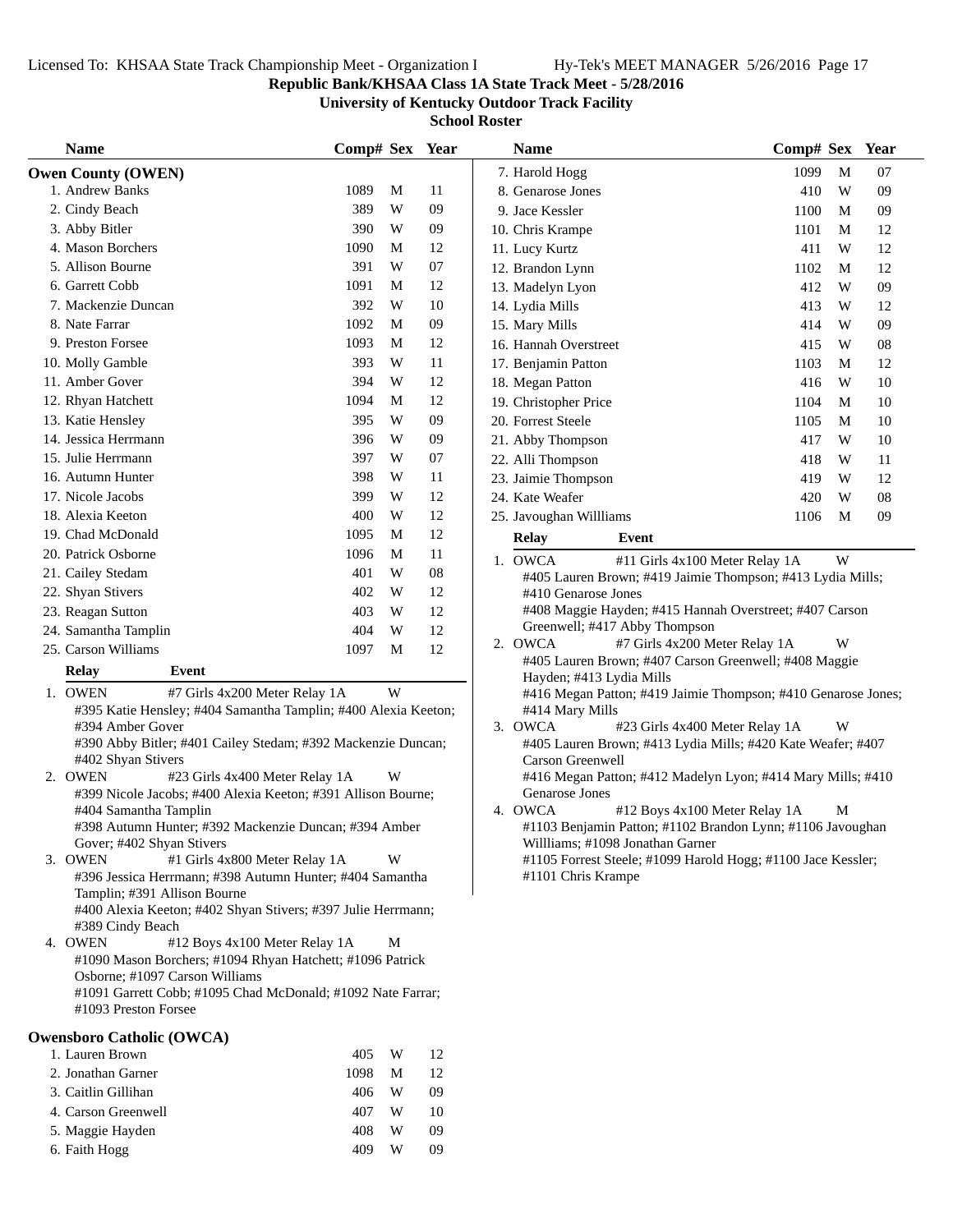## **Republic Bank/KHSAA Class 1A State Track Meet - 5/28/2016**

**University of Kentucky Outdoor Track Facility**

| <b>Name</b>                                                                           | Comp# Sex Year |   |    | <b>Name</b>                                                                                 | Comp# Sex Year |   |    |
|---------------------------------------------------------------------------------------|----------------|---|----|---------------------------------------------------------------------------------------------|----------------|---|----|
| <b>Owen County (OWEN)</b>                                                             |                |   |    | 7. Harold Hogg                                                                              | 1099           | M | 07 |
| 1. Andrew Banks                                                                       | 1089           | M | 11 | 8. Genarose Jones                                                                           | 410            | W | 09 |
| 2. Cindy Beach                                                                        | 389            | W | 09 | 9. Jace Kessler                                                                             | 1100           | M | 09 |
| 3. Abby Bitler                                                                        | 390            | W | 09 | 10. Chris Krampe                                                                            | 1101           | M | 12 |
| 4. Mason Borchers                                                                     | 1090           | M | 12 | 11. Lucy Kurtz                                                                              | 411            | W | 12 |
| 5. Allison Bourne                                                                     | 391            | W | 07 | 12. Brandon Lynn                                                                            | 1102           | M | 12 |
| 6. Garrett Cobb                                                                       | 1091           | M | 12 | 13. Madelyn Lyon                                                                            | 412            | W | 09 |
| 7. Mackenzie Duncan                                                                   | 392            | W | 10 | 14. Lydia Mills                                                                             | 413            | W | 12 |
| 8. Nate Farrar                                                                        | 1092           | M | 09 | 15. Mary Mills                                                                              | 414            | W | 09 |
| 9. Preston Forsee                                                                     | 1093           | M | 12 | 16. Hannah Overstreet                                                                       | 415            | W | 08 |
| 10. Molly Gamble                                                                      | 393            | W | 11 | 17. Benjamin Patton                                                                         | 1103           | M | 12 |
| 11. Amber Gover                                                                       | 394            | W | 12 | 18. Megan Patton                                                                            | 416            | W | 10 |
| 12. Rhyan Hatchett                                                                    | 1094           | M | 12 | 19. Christopher Price                                                                       | 1104           | M | 10 |
| 13. Katie Hensley                                                                     | 395            | W | 09 | 20. Forrest Steele                                                                          | 1105           | M | 10 |
| 14. Jessica Herrmann                                                                  | 396            | W | 09 | 21. Abby Thompson                                                                           | 417            | W | 10 |
| 15. Julie Herrmann                                                                    | 397            | W | 07 | 22. Alli Thompson                                                                           | 418            | W | 11 |
| 16. Autumn Hunter                                                                     | 398            | W | 11 | 23. Jaimie Thompson                                                                         | 419            | W | 12 |
| 17. Nicole Jacobs                                                                     | 399            | W | 12 | 24. Kate Weafer                                                                             | 420            | W | 08 |
| 18. Alexia Keeton                                                                     | 400            | W | 12 | 25. Javoughan Willliams                                                                     | 1106           | M | 09 |
| 19. Chad McDonald                                                                     | 1095           | M | 12 | <b>Relay</b><br>Event                                                                       |                |   |    |
| 20. Patrick Osborne                                                                   | 1096           | M | 11 | 1. OWCA<br>#11 Girls 4x100 Meter Relay 1A                                                   |                | W |    |
| 21. Cailey Stedam                                                                     | 401            | W | 08 | #405 Lauren Brown; #419 Jaimie Thompson; #413 Lydia Mills;                                  |                |   |    |
| 22. Shyan Stivers                                                                     | 402            | W | 12 | #410 Genarose Jones                                                                         |                |   |    |
| 23. Reagan Sutton                                                                     | 403            | W | 12 | #408 Maggie Hayden; #415 Hannah Overstreet; #407 Carson                                     |                |   |    |
| 24. Samantha Tamplin                                                                  | 404            | W | 12 | Greenwell; #417 Abby Thompson                                                               |                |   |    |
| 25. Carson Williams                                                                   | 1097           | M | 12 | 2. OWCA<br>#7 Girls 4x200 Meter Relay 1A                                                    |                | W |    |
| <b>Relay</b><br>Event                                                                 |                |   |    | #405 Lauren Brown; #407 Carson Greenwell; #408 Maggie                                       |                |   |    |
| 1. OWEN<br>#7 Girls 4x200 Meter Relay 1A                                              |                | W |    | Hayden; #413 Lydia Mills<br>#416 Megan Patton; #419 Jaimie Thompson; #410 Genarose Jones;   |                |   |    |
| #395 Katie Hensley; #404 Samantha Tamplin; #400 Alexia Keeton;                        |                |   |    | #414 Mary Mills                                                                             |                |   |    |
| #394 Amber Gover                                                                      |                |   |    | 3. OWCA<br>#23 Girls 4x400 Meter Relay 1A                                                   |                | W |    |
| #390 Abby Bitler; #401 Cailey Stedam; #392 Mackenzie Duncan;                          |                |   |    | #405 Lauren Brown; #413 Lydia Mills; #420 Kate Weafer; #407                                 |                |   |    |
| #402 Shyan Stivers                                                                    |                |   |    | Carson Greenwell                                                                            |                |   |    |
| 2. OWEN<br>#23 Girls 4x400 Meter Relay 1A                                             |                | W |    | #416 Megan Patton; #412 Madelyn Lyon; #414 Mary Mills; #410                                 |                |   |    |
| #399 Nicole Jacobs; #400 Alexia Keeton; #391 Allison Bourne;<br>#404 Samantha Tamplin |                |   |    | <b>Genarose Jones</b><br>4. OWCA                                                            |                | M |    |
| #398 Autumn Hunter; #392 Mackenzie Duncan; #394 Amber                                 |                |   |    | #12 Boys 4x100 Meter Relay 1A<br>#1103 Benjamin Patton; #1102 Brandon Lynn; #1106 Javoughan |                |   |    |
| Gover; #402 Shyan Stivers                                                             |                |   |    | Willliams; #1098 Jonathan Garner                                                            |                |   |    |
| 3. OWEN<br>#1 Girls 4x800 Meter Relay 1A                                              |                | W |    | #1105 Forrest Steele; #1099 Harold Hogg; #1100 Jace Kessler;                                |                |   |    |
| #396 Jessica Herrmann; #398 Autumn Hunter; #404 Samantha                              |                |   |    | #1101 Chris Krampe                                                                          |                |   |    |
| Tamplin; #391 Allison Bourne                                                          |                |   |    |                                                                                             |                |   |    |
| #400 Alexia Keeton; #402 Shyan Stivers; #397 Julie Herrmann;                          |                |   |    |                                                                                             |                |   |    |
| #389 Cindy Beach<br>4. OWEN<br>#12 Boys 4x100 Meter Relay 1A                          |                | М |    |                                                                                             |                |   |    |
| #1090 Mason Borchers; #1094 Rhyan Hatchett; #1096 Patrick                             |                |   |    |                                                                                             |                |   |    |
| Osborne; #1097 Carson Williams                                                        |                |   |    |                                                                                             |                |   |    |
| #1091 Garrett Cobb; #1095 Chad McDonald; #1092 Nate Farrar;                           |                |   |    |                                                                                             |                |   |    |
| #1093 Preston Forsee                                                                  |                |   |    |                                                                                             |                |   |    |
| <b>Owensboro Catholic (OWCA)</b>                                                      |                |   |    |                                                                                             |                |   |    |
| 1. Lauren Brown                                                                       | 405            | W | 12 |                                                                                             |                |   |    |
| 2. Jonathan Garner                                                                    | 1098           | M | 12 |                                                                                             |                |   |    |
| 3. Caitlin Gillihan                                                                   | 406            | W | 09 |                                                                                             |                |   |    |
| 4. Carson Greenwell                                                                   | 407            | W | 10 |                                                                                             |                |   |    |
| 5. Maggie Hayden                                                                      | 408            | W | 09 |                                                                                             |                |   |    |
| 6. Faith Hogg                                                                         | 409            | W | 09 |                                                                                             |                |   |    |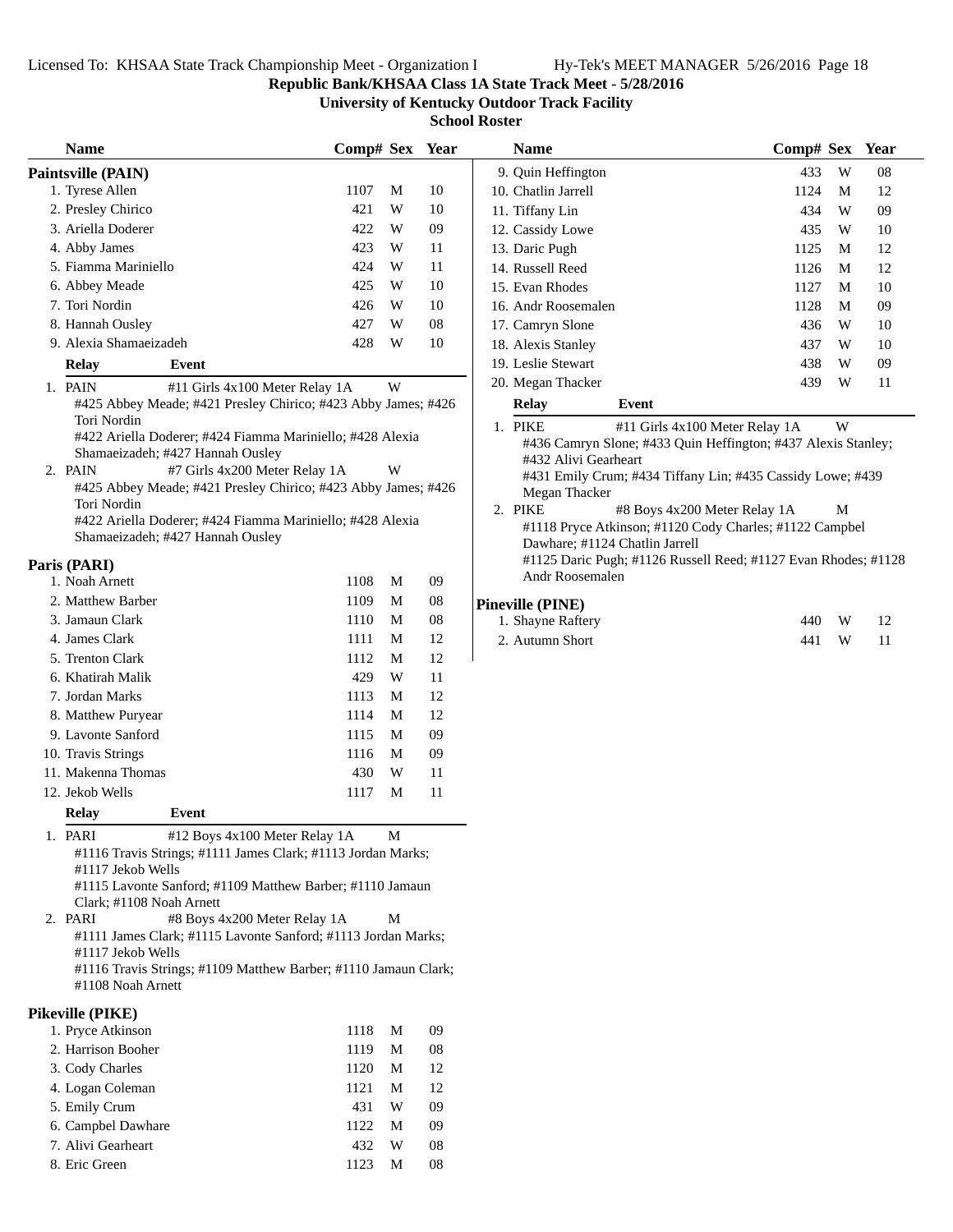**Republic Bank/KHSAA Class 1A State Track Meet - 5/28/2016**

**University of Kentucky Outdoor Track Facility**

**School Roster**

| <b>Name</b>                                                                           | Comp# Sex Year |              |    | <b>Name</b>             | $Comp#$ Sex                                                   |   | Year       |
|---------------------------------------------------------------------------------------|----------------|--------------|----|-------------------------|---------------------------------------------------------------|---|------------|
| Paintsville (PAIN)                                                                    |                |              |    | 9. Quin Heffington      | 433                                                           | W | ${\bf 08}$ |
| 1. Tyrese Allen                                                                       | 1107           | M            | 10 | 10. Chatlin Jarrell     | 1124                                                          | M | 12         |
| 2. Presley Chirico                                                                    | 421            | $\mathbf W$  | 10 | 11. Tiffany Lin         | 434                                                           | W | 09         |
| 3. Ariella Doderer                                                                    | 422            | W            | 09 | 12. Cassidy Lowe        | 435                                                           | W | 10         |
| 4. Abby James                                                                         | 423            | W            | 11 | 13. Daric Pugh          | 1125                                                          | M | 12         |
| 5. Fiamma Mariniello                                                                  | 424            | W            | 11 | 14. Russell Reed        | 1126                                                          | M | 12         |
| 6. Abbey Meade                                                                        | 425            | W            | 10 | 15. Evan Rhodes         | 1127                                                          | M | 10         |
| 7. Tori Nordin                                                                        | 426            | W            | 10 | 16. Andr Roosemalen     | 1128                                                          | M | 09         |
| 8. Hannah Ousley                                                                      | 427            | W            | 08 | 17. Camryn Slone        | 436                                                           | W | 10         |
| 9. Alexia Shamaeizadeh                                                                | 428            | W            | 10 | 18. Alexis Stanley      | 437                                                           | W | 10         |
| <b>Relay</b><br>Event                                                                 |                |              |    | 19. Leslie Stewart      | 438                                                           | W | 09         |
|                                                                                       |                |              |    | 20. Megan Thacker       | 439                                                           | W | 11         |
| 1. PAIN<br>#11 Girls 4x100 Meter Relay 1A                                             |                | W            |    |                         | Event                                                         |   |            |
| #425 Abbey Meade; #421 Presley Chirico; #423 Abby James; #426<br>Tori Nordin          |                |              |    | <b>Relay</b>            |                                                               |   |            |
| #422 Ariella Doderer; #424 Fiamma Mariniello; #428 Alexia                             |                |              |    | 1. PIKE                 | #11 Girls 4x100 Meter Relay 1A                                | W |            |
| Shamaeizadeh; #427 Hannah Ousley                                                      |                |              |    |                         | #436 Camryn Slone; #433 Quin Heffington; #437 Alexis Stanley; |   |            |
| 2. PAIN<br>#7 Girls 4x200 Meter Relay 1A                                              |                | W            |    | #432 Alivi Gearheart    | #431 Emily Crum; #434 Tiffany Lin; #435 Cassidy Lowe; #439    |   |            |
| #425 Abbey Meade; #421 Presley Chirico; #423 Abby James; #426                         |                |              |    | Megan Thacker           |                                                               |   |            |
| Tori Nordin                                                                           |                |              |    | 2. PIKE                 | #8 Boys 4x200 Meter Relay 1A                                  | M |            |
| #422 Ariella Doderer; #424 Fiamma Mariniello; #428 Alexia                             |                |              |    |                         | #1118 Pryce Atkinson; #1120 Cody Charles; #1122 Campbel       |   |            |
| Shamaeizadeh; #427 Hannah Ousley                                                      |                |              |    |                         | Dawhare; #1124 Chatlin Jarrell                                |   |            |
| Paris (PARI)                                                                          |                |              |    |                         | #1125 Daric Pugh; #1126 Russell Reed; #1127 Evan Rhodes; #112 |   |            |
| 1. Noah Arnett                                                                        | 1108           | M            | 09 | Andr Roosemalen         |                                                               |   |            |
| 2. Matthew Barber                                                                     | 1109           | M            | 08 | <b>Pineville (PINE)</b> |                                                               |   |            |
| 3. Jamaun Clark                                                                       | 1110           | M            | 08 | 1. Shayne Raftery       | 440                                                           | W | 12         |
| 4. James Clark                                                                        | 1111           | M            | 12 | 2. Autumn Short         | 441                                                           | W | 11         |
| 5. Trenton Clark                                                                      | 1112           | M            | 12 |                         |                                                               |   |            |
| 6. Khatirah Malik                                                                     | 429            | W            | 11 |                         |                                                               |   |            |
| 7. Jordan Marks                                                                       | 1113           | M            | 12 |                         |                                                               |   |            |
| 8. Matthew Puryear                                                                    | 1114           | M            | 12 |                         |                                                               |   |            |
| 9. Lavonte Sanford                                                                    | 1115           | M            | 09 |                         |                                                               |   |            |
| 10. Travis Strings                                                                    | 1116           | M            | 09 |                         |                                                               |   |            |
| 11. Makenna Thomas                                                                    | 430            | W            | 11 |                         |                                                               |   |            |
| 12. Jekob Wells                                                                       | 1117           | M            | 11 |                         |                                                               |   |            |
|                                                                                       |                |              |    |                         |                                                               |   |            |
| Event<br><b>Relay</b>                                                                 |                |              |    |                         |                                                               |   |            |
| 1. PARI<br>#12 Boys 4x100 Meter Relay 1A                                              |                | $\mathbf{M}$ |    |                         |                                                               |   |            |
| #1116 Travis Strings; #1111 James Clark; #1113 Jordan Marks;                          |                |              |    |                         |                                                               |   |            |
| #1117 Jekob Wells                                                                     |                |              |    |                         |                                                               |   |            |
| #1115 Lavonte Sanford; #1109 Matthew Barber; #1110 Jamaun<br>Clark; #1108 Noah Arnett |                |              |    |                         |                                                               |   |            |
| 2. PARI<br>#8 Boys 4x200 Meter Relay 1A                                               |                | M            |    |                         |                                                               |   |            |
| #1111 James Clark; #1115 Lavonte Sanford; #1113 Jordan Marks;                         |                |              |    |                         |                                                               |   |            |
| #1117 Jekob Wells                                                                     |                |              |    |                         |                                                               |   |            |
| #1116 Travis Strings; #1109 Matthew Barber; #1110 Jamaun Clark;                       |                |              |    |                         |                                                               |   |            |
| #1108 Noah Arnett                                                                     |                |              |    |                         |                                                               |   |            |
|                                                                                       |                |              |    |                         |                                                               |   |            |
| Pikeville (PIKE)                                                                      |                |              |    |                         |                                                               |   |            |
| 1. Pryce Atkinson                                                                     | 1118           | M            | 09 |                         |                                                               |   |            |

| 1. Pryce Atkinson  | 1118 | M | 09 |
|--------------------|------|---|----|
| 2. Harrison Booher | 1119 | М | 08 |
| 3. Cody Charles    | 1120 | M | 12 |
| 4. Logan Coleman   | 1121 | М | 12 |
| 5. Emily Crum      | 431  | W | 09 |
| 6. Campbel Dawhare | 1122 | M | 09 |
| 7. Alivi Gearheart | 432  | W | 08 |
| 8. Eric Green      | 1123 | М | 08 |
|                    |      |   |    |

|         | Name                 |       | Comp# Sex Year                                                |   |    |
|---------|----------------------|-------|---------------------------------------------------------------|---|----|
|         | 9. Ouin Heffington   |       | 433                                                           | W | 08 |
|         | 10. Chatlin Jarrell  |       | 1124                                                          | М | 12 |
|         | 11. Tiffany Lin      |       | 434                                                           | W | 09 |
|         | 12. Cassidy Lowe     |       | 435                                                           | W | 10 |
|         | 13. Daric Pugh       |       | 1125                                                          | М | 12 |
|         | 14. Russell Reed     |       | 1126                                                          | М | 12 |
|         | 15. Evan Rhodes      |       | 1127                                                          | М | 10 |
|         | 16. Andr Roosemalen  |       | 1128                                                          | М | 09 |
|         | 17. Camryn Slone     |       | 436                                                           | W | 10 |
|         | 18. Alexis Stanley   |       | 437                                                           | W | 10 |
|         | 19. Leslie Stewart   |       | 438                                                           | W | 09 |
|         | 20. Megan Thacker    |       | 439                                                           | W | 11 |
|         | <b>Relay</b>         | Event |                                                               |   |    |
| $1_{-}$ | <b>PIKE</b>          |       | #11 Girls 4x100 Meter Relay 1A                                | W |    |
|         |                      |       | #436 Camryn Slone; #433 Quin Heffington; #437 Alexis Stanley; |   |    |
|         | #432 Alivi Gearheart |       |                                                               |   |    |
|         |                      |       | #431 Emily Crum; #434 Tiffany Lin; #435 Cassidy Lowe; #439    |   |    |
|         | Megan Thacker        |       |                                                               |   |    |

| 2. PIKE | #8 Boys 4x200 Meter Relay 1A                                   | M |
|---------|----------------------------------------------------------------|---|
|         | #1118 Pryce Atkinson; #1120 Cody Charles; #1122 Campbel        |   |
|         | Dawhare: #1124 Chatlin Jarrell                                 |   |
|         | #1125 Daric Pugh; #1126 Russell Reed; #1127 Evan Rhodes; #1128 |   |
|         | Andr Roosemalen                                                |   |
|         |                                                                |   |

## **Pineville (PINE)**

| 1. Shayne Raftery |     | 440 W | - 12 |
|-------------------|-----|-------|------|
| 2. Autumn Short   | 441 | W —   | - 11 |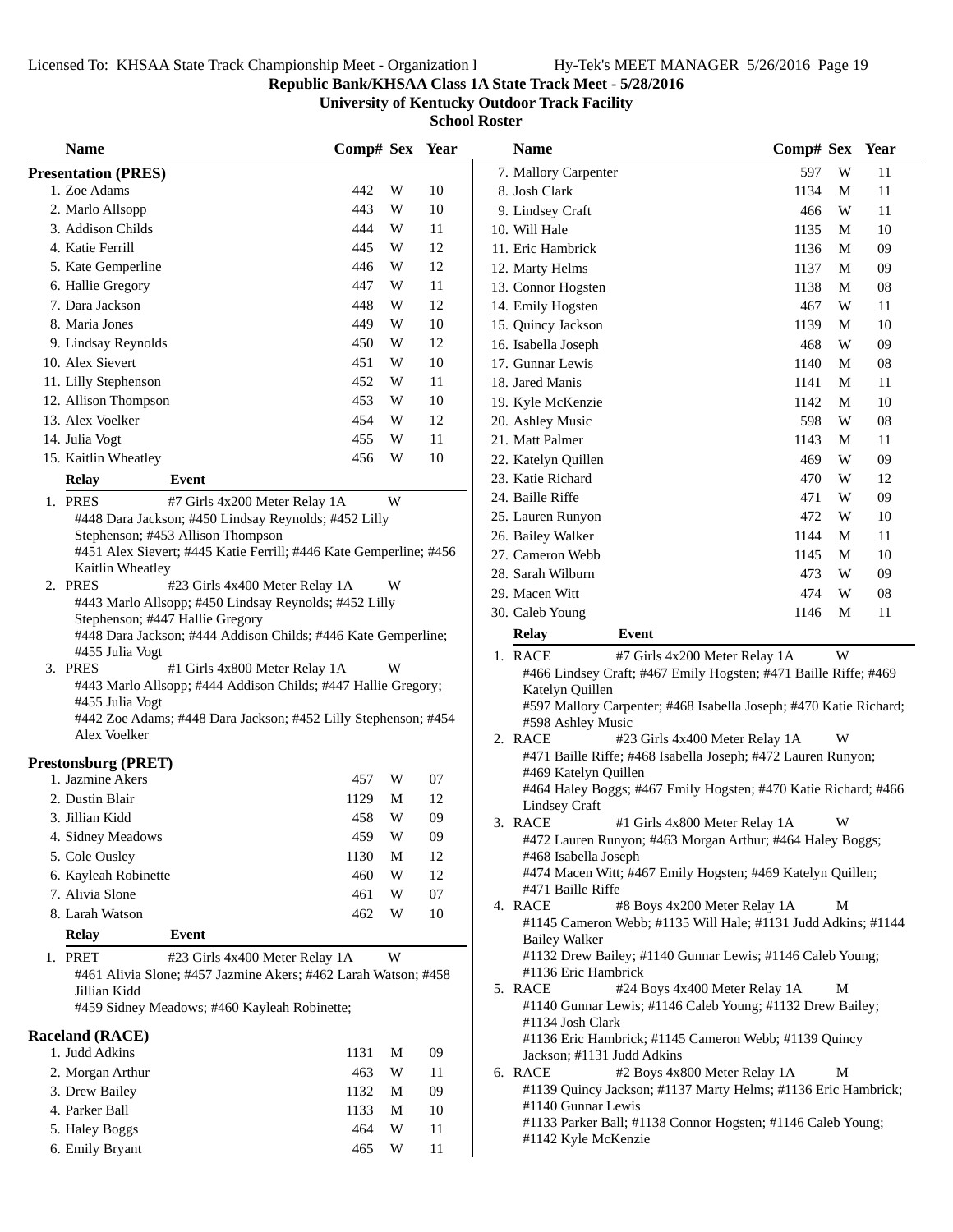## **Republic Bank/KHSAA Class 1A State Track Meet - 5/28/2016**

**University of Kentucky Outdoor Track Facility**

| <b>Name</b>                                                                       | Comp# Sex Year        |          | <b>Name</b>                                                                         | Comp# Sex Year |    |
|-----------------------------------------------------------------------------------|-----------------------|----------|-------------------------------------------------------------------------------------|----------------|----|
| <b>Presentation (PRES)</b>                                                        |                       |          | 7. Mallory Carpenter                                                                | 597<br>W       | 11 |
| 1. Zoe Adams                                                                      | W<br>442              | 10       | 8. Josh Clark                                                                       | 1134<br>M      | 11 |
| 2. Marlo Allsopp                                                                  | 443<br>W              | 10       | 9. Lindsey Craft                                                                    | W<br>466       | 11 |
| 3. Addison Childs                                                                 | 444<br>W              | 11       | 10. Will Hale                                                                       | 1135<br>M      | 10 |
| 4. Katie Ferrill                                                                  | 445<br>W              | 12       | 11. Eric Hambrick                                                                   | 1136<br>M      | 09 |
| 5. Kate Gemperline                                                                | W<br>446              | 12       | 12. Marty Helms                                                                     | 1137<br>M      | 09 |
| 6. Hallie Gregory                                                                 | 447<br>W              | 11       | 13. Connor Hogsten                                                                  | 1138<br>M      | 08 |
| 7. Dara Jackson                                                                   | W<br>448              | 12       | 14. Emily Hogsten                                                                   | W<br>467       | 11 |
| 8. Maria Jones                                                                    | W<br>449              | 10       | 15. Quincy Jackson                                                                  | 1139<br>M      | 10 |
| 9. Lindsay Reynolds                                                               | 450<br>W              | 12       | 16. Isabella Joseph                                                                 | 468<br>W       | 09 |
| 10. Alex Sievert                                                                  | 451<br>W              | 10       | 17. Gunnar Lewis                                                                    | 1140<br>M      | 08 |
| 11. Lilly Stephenson                                                              | 452<br>W              | 11       | 18. Jared Manis                                                                     | 1141<br>M      | 11 |
| 12. Allison Thompson                                                              | 453<br>W              | 10       | 19. Kyle McKenzie                                                                   | 1142<br>M      | 10 |
| 13. Alex Voelker                                                                  | 454<br>W              | 12       | 20. Ashley Music                                                                    | 598<br>W       | 08 |
| 14. Julia Vogt                                                                    | W<br>455              | 11       | 21. Matt Palmer                                                                     | 1143<br>M      | 11 |
| 15. Kaitlin Wheatley                                                              | 456<br>W              | 10       | 22. Katelyn Quillen                                                                 | W<br>469       | 09 |
| <b>Relay</b><br>Event                                                             |                       |          | 23. Katie Richard                                                                   | 470<br>W       | 12 |
| 1. PRES<br>#7 Girls 4x200 Meter Relay 1A                                          | W                     |          | 24. Baille Riffe                                                                    | 471<br>W       | 09 |
| #448 Dara Jackson; #450 Lindsay Reynolds; #452 Lilly                              |                       |          | 25. Lauren Runyon                                                                   | 472<br>W       | 10 |
| Stephenson; #453 Allison Thompson                                                 |                       |          | 26. Bailey Walker                                                                   | 1144<br>M      | 11 |
| #451 Alex Sievert; #445 Katie Ferrill; #446 Kate Gemperline; #456                 |                       |          | 27. Cameron Webb                                                                    | 1145<br>M      | 10 |
| Kaitlin Wheatley<br>2. PRES<br>#23 Girls 4x400 Meter Relay 1A                     | W                     |          | 28. Sarah Wilburn                                                                   | 473<br>W       | 09 |
| #443 Marlo Allsopp; #450 Lindsay Reynolds; #452 Lilly                             |                       |          | 29. Macen Witt                                                                      | 474<br>W       | 08 |
| Stephenson; #447 Hallie Gregory                                                   |                       |          | 30. Caleb Young                                                                     | 1146<br>M      | 11 |
| #448 Dara Jackson; #444 Addison Childs; #446 Kate Gemperline;                     |                       |          | <b>Relay</b><br>Event                                                               |                |    |
| #455 Julia Vogt                                                                   |                       |          | 1. RACE<br>#7 Girls 4x200 Meter Relay 1A                                            | W              |    |
| 3. PRES<br>#1 Girls 4x800 Meter Relay 1A                                          | W                     |          | #466 Lindsey Craft; #467 Emily Hogsten; #471 Baille Riffe; #469                     |                |    |
| #443 Marlo Allsopp; #444 Addison Childs; #447 Hallie Gregory;                     |                       |          | Katelyn Quillen                                                                     |                |    |
| #455 Julia Vogt<br>#442 Zoe Adams; #448 Dara Jackson; #452 Lilly Stephenson; #454 |                       |          | #597 Mallory Carpenter; #468 Isabella Joseph; #470 Katie Richard;                   |                |    |
| Alex Voelker                                                                      |                       |          | #598 Ashley Music<br>2. RACE<br>#23 Girls 4x400 Meter Relay 1A                      | W              |    |
|                                                                                   |                       |          | #471 Baille Riffe; #468 Isabella Joseph; #472 Lauren Runyon;                        |                |    |
| <b>Prestonsburg (PRET)</b><br>1. Jazmine Akers                                    |                       |          | #469 Katelyn Quillen                                                                |                |    |
| 2. Dustin Blair                                                                   | 457<br>W<br>1129<br>M | 07<br>12 | #464 Haley Boggs; #467 Emily Hogsten; #470 Katie Richard; #466                      |                |    |
| 3. Jillian Kidd                                                                   | 458<br>W              | 09       | <b>Lindsey Craft</b>                                                                |                |    |
|                                                                                   | 459<br>W              | 09       | 3. RACE<br>#1 Girls 4x800 Meter Relay 1A                                            | W              |    |
| 4. Sidney Meadows<br>5. Cole Ousley                                               | 1130<br>M             | 12       | #472 Lauren Runyon; #463 Morgan Arthur; #464 Haley Boggs;<br>#468 Isabella Joseph   |                |    |
| 6. Kayleah Robinette                                                              | 460<br>W              | 12       | #474 Macen Witt; #467 Emily Hogsten; #469 Katelyn Quillen;                          |                |    |
| 7. Alivia Slone                                                                   | 461<br>W              | 07       | #471 Baille Riffe                                                                   |                |    |
| 8. Larah Watson                                                                   | 462<br>W              | 10       | 4. RACE<br>#8 Boys 4x200 Meter Relay 1A                                             | M              |    |
|                                                                                   |                       |          | #1145 Cameron Webb; #1135 Will Hale; #1131 Judd Adkins; #1144                       |                |    |
| <b>Relay</b><br>Event                                                             |                       |          | <b>Bailey Walker</b>                                                                |                |    |
| 1. PRET<br>#23 Girls 4x400 Meter Relay 1A                                         | W                     |          | #1132 Drew Bailey; #1140 Gunnar Lewis; #1146 Caleb Young;<br>#1136 Eric Hambrick    |                |    |
| #461 Alivia Slone; #457 Jazmine Akers; #462 Larah Watson; #458<br>Jillian Kidd    |                       |          | 5. RACE<br>#24 Boys 4x400 Meter Relay 1A                                            | M              |    |
| #459 Sidney Meadows; #460 Kayleah Robinette;                                      |                       |          | #1140 Gunnar Lewis; #1146 Caleb Young; #1132 Drew Bailey;                           |                |    |
|                                                                                   |                       |          | #1134 Josh Clark                                                                    |                |    |
| <b>Raceland (RACE)</b>                                                            |                       |          | #1136 Eric Hambrick; #1145 Cameron Webb; #1139 Quincy                               |                |    |
| 1. Judd Adkins                                                                    | 1131<br>M             | 09       | Jackson; #1131 Judd Adkins                                                          |                |    |
| 2. Morgan Arthur                                                                  | 463<br>W              | 11       | 6. RACE<br>#2 Boys 4x800 Meter Relay 1A                                             | M              |    |
| 3. Drew Bailey                                                                    | 1132<br>M             | 09       | #1139 Quincy Jackson; #1137 Marty Helms; #1136 Eric Hambrick;<br>#1140 Gunnar Lewis |                |    |
| 4. Parker Ball                                                                    | 1133<br>M             | 10       | #1133 Parker Ball; #1138 Connor Hogsten; #1146 Caleb Young;                         |                |    |
| 5. Haley Boggs                                                                    | 464<br>W              | 11       | #1142 Kyle McKenzie                                                                 |                |    |
| 6. Emily Bryant                                                                   | 465<br>W              | 11       |                                                                                     |                |    |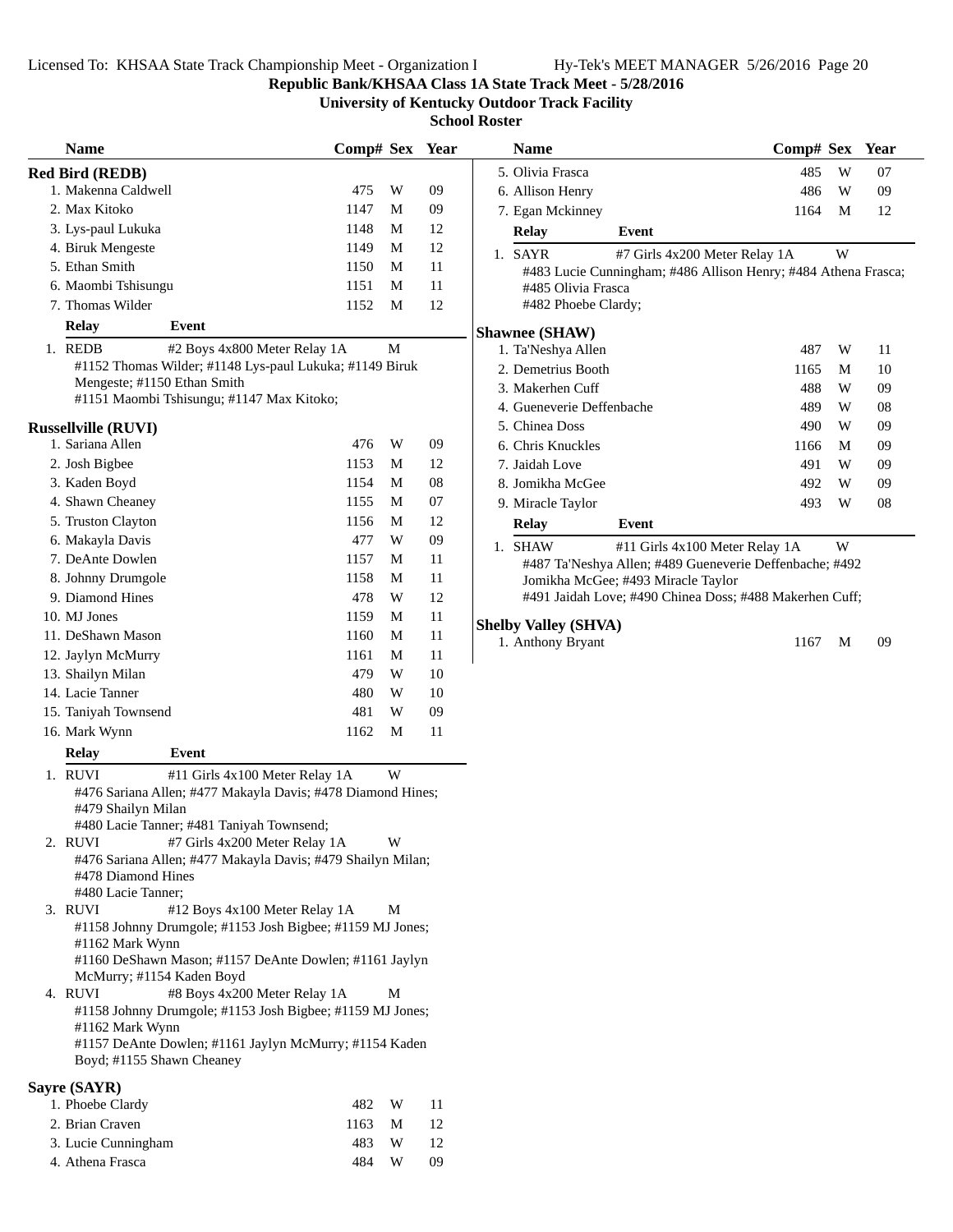**Republic Bank/KHSAA Class 1A State Track Meet - 5/28/2016**

**University of Kentucky Outdoor Track Facility**

**School Roster**

| <b>Name</b>                                                                           | Comp# Sex Year |             |    | <b>Name</b>                        | Comp# Sex Year                                               |
|---------------------------------------------------------------------------------------|----------------|-------------|----|------------------------------------|--------------------------------------------------------------|
| <b>Red Bird (REDB)</b>                                                                |                |             |    | 5. Olivia Frasca                   | W<br>485<br>07                                               |
| 1. Makenna Caldwell                                                                   | 475            | W           | 09 | 6. Allison Henry                   | 486<br>W<br>09                                               |
| 2. Max Kitoko                                                                         | 1147           | M           | 09 | 7. Egan Mckinney                   | 1164<br>M<br>12                                              |
| 3. Lys-paul Lukuka                                                                    | 1148           | M           | 12 | <b>Relay</b><br>Event              |                                                              |
| 4. Biruk Mengeste                                                                     | 1149           | M           | 12 | 1. SAYR                            | W<br>#7 Girls 4x200 Meter Relay 1A                           |
| 5. Ethan Smith                                                                        | 1150           | M           | 11 |                                    | #483 Lucie Cunningham; #486 Allison Henry; #484 Athena Frasc |
| 6. Maombi Tshisungu                                                                   | 1151           | M           | 11 | #485 Olivia Frasca                 |                                                              |
| 7. Thomas Wilder                                                                      | 1152           | M           | 12 | #482 Phoebe Clardy;                |                                                              |
| <b>Relay</b><br>Event                                                                 |                |             |    | <b>Shawnee (SHAW)</b>              |                                                              |
| 1. REDB<br>#2 Boys 4x800 Meter Relay 1A                                               |                | $\mathbf M$ |    | 1. Ta'Neshya Allen                 | 487<br>W<br>11                                               |
| #1152 Thomas Wilder; #1148 Lys-paul Lukuka; #1149 Biruk                               |                |             |    | 2. Demetrius Booth                 | 1165<br>M<br>10                                              |
| Mengeste; #1150 Ethan Smith                                                           |                |             |    | 3. Makerhen Cuff                   | W<br>09<br>488                                               |
| #1151 Maombi Tshisungu; #1147 Max Kitoko;                                             |                |             |    | 4. Gueneverie Deffenbache          | 489<br>W<br>08                                               |
| <b>Russellville (RUVI)</b>                                                            |                |             |    | 5. Chinea Doss                     | 09<br>490<br>W                                               |
| 1. Sariana Allen                                                                      | 476            | W           | 09 | 6. Chris Knuckles                  | 09<br>1166<br>M                                              |
| 2. Josh Bigbee                                                                        | 1153           | M           | 12 | 7. Jaidah Love                     | 491<br>W<br>09                                               |
| 3. Kaden Boyd                                                                         | 1154           | M           | 08 | 8. Jomikha McGee                   | W<br>09<br>492                                               |
| 4. Shawn Cheaney                                                                      | 1155           | M           | 07 | 9. Miracle Taylor                  | 08<br>493<br>W                                               |
| 5. Truston Clayton                                                                    | 1156           | М           | 12 | <b>Relay</b><br>Event              |                                                              |
| 6. Makayla Davis                                                                      | 477            | W           | 09 | 1. SHAW                            | W<br>#11 Girls 4x100 Meter Relay 1A                          |
| 7. DeAnte Dowlen                                                                      | 1157           | М           | 11 |                                    | #487 Ta'Neshya Allen; #489 Gueneverie Deffenbache; #492      |
| 8. Johnny Drumgole                                                                    | 1158           | М           | 11 | Jomikha McGee; #493 Miracle Taylor |                                                              |
| 9. Diamond Hines                                                                      | 478            | W           | 12 |                                    | #491 Jaidah Love; #490 Chinea Doss; #488 Makerhen Cuff;      |
| 10. MJ Jones                                                                          | 1159           | M           | 11 | <b>Shelby Valley (SHVA)</b>        |                                                              |
| 11. DeShawn Mason                                                                     | 1160           | M           | 11 | 1. Anthony Bryant                  | 09<br>1167<br>M                                              |
| 12. Jaylyn McMurry                                                                    | 1161           | M           | 11 |                                    |                                                              |
| 13. Shailyn Milan                                                                     | 479            | W           | 10 |                                    |                                                              |
| 14. Lacie Tanner                                                                      | 480            | W           | 10 |                                    |                                                              |
| 15. Taniyah Townsend                                                                  | 481            | W           | 09 |                                    |                                                              |
| 16. Mark Wynn                                                                         | 1162           | M           | 11 |                                    |                                                              |
| <b>Relay</b><br>Event                                                                 |                |             |    |                                    |                                                              |
| 1. RUVI<br>#11 Girls 4x100 Meter Relay 1A                                             |                | W           |    |                                    |                                                              |
| #476 Sariana Allen; #477 Makayla Davis; #478 Diamond Hines;                           |                |             |    |                                    |                                                              |
| #479 Shailyn Milan                                                                    |                |             |    |                                    |                                                              |
| #480 Lacie Tanner; #481 Taniyah Townsend;<br>2. RUVI<br>#7 Girls 4x200 Meter Relay 1A |                | W           |    |                                    |                                                              |
| #476 Sariana Allen; #477 Makayla Davis; #479 Shailyn Milan;                           |                |             |    |                                    |                                                              |
| #478 Diamond Hines                                                                    |                |             |    |                                    |                                                              |
| #480 Lacie Tanner;                                                                    |                |             |    |                                    |                                                              |
| 3. RUVI<br>#12 Boys 4x100 Meter Relay 1A                                              |                | М           |    |                                    |                                                              |
| #1158 Johnny Drumgole; #1153 Josh Bigbee; #1159 MJ Jones;                             |                |             |    |                                    |                                                              |
| #1162 Mark Wynn<br>#1160 DeShawn Mason; #1157 DeAnte Dowlen; #1161 Jaylyn             |                |             |    |                                    |                                                              |
| McMurry; #1154 Kaden Boyd                                                             |                |             |    |                                    |                                                              |
| #8 Boys 4x200 Meter Relay 1A<br>4. RUVI                                               |                | М           |    |                                    |                                                              |
| #1158 Johnny Drumgole; #1153 Josh Bigbee; #1159 MJ Jones;                             |                |             |    |                                    |                                                              |
| #1162 Mark Wynn                                                                       |                |             |    |                                    |                                                              |
| #1157 DeAnte Dowlen; #1161 Jaylyn McMurry; #1154 Kaden<br>Boyd; #1155 Shawn Cheaney   |                |             |    |                                    |                                                              |
|                                                                                       |                |             |    |                                    |                                                              |
| Sayre (SAYR)                                                                          |                |             |    |                                    |                                                              |
| 1. Phoebe Clardy                                                                      | 482            | W           | 11 |                                    |                                                              |
| 2. Brian Craven                                                                       | 1163           | M           | 12 |                                    |                                                              |
| 3. Lucie Cunningham                                                                   | 483            | W           | 12 |                                    |                                                              |

4. Athena Frasca **484** W 09

| <b>Name</b>                                   |       | Comp# Sex                                                                                                                                            |   | Year |
|-----------------------------------------------|-------|------------------------------------------------------------------------------------------------------------------------------------------------------|---|------|
| 5. Olivia Frasca                              |       | 485                                                                                                                                                  | W | 07   |
| 6. Allison Henry                              |       | 486                                                                                                                                                  | W | 09   |
| 7. Egan Mckinney                              |       | 1164                                                                                                                                                 | M | 12   |
| <b>Relay</b>                                  | Event |                                                                                                                                                      |   |      |
| 1. SAYR                                       |       | #7 Girls 4x200 Meter Relay 1A<br>#483 Lucie Cunningham; #486 Allison Henry; #484 Athena Frasca;                                                      | W |      |
| #485 Olivia Frasca<br>#482 Phoebe Clardy;     |       |                                                                                                                                                      |   |      |
| <b>Shawnee (SHAW)</b>                         |       |                                                                                                                                                      |   |      |
| 1. Ta'Neshya Allen                            |       | 487                                                                                                                                                  | W | 11   |
| 2. Demetrius Booth                            |       | 1165                                                                                                                                                 | M | 10   |
| 3. Makerhen Cuff                              |       | 488                                                                                                                                                  | W | 09   |
| 4. Gueneverie Deffenbache                     |       | 489                                                                                                                                                  | W | 08   |
| 5. Chinea Doss                                |       | 490                                                                                                                                                  | W | 09   |
| 6. Chris Knuckles                             |       | 1166                                                                                                                                                 | M | 09   |
| 7. Jaidah Love                                |       | 491                                                                                                                                                  | W | 09   |
| 8. Jomikha McGee                              |       | 492                                                                                                                                                  | W | 09   |
| 9. Miracle Taylor                             |       | 493                                                                                                                                                  | W | 08   |
| <b>Relay</b>                                  | Event |                                                                                                                                                      |   |      |
| 1. SHAW<br>Jomikha McGee; #493 Miracle Taylor |       | #11 Girls 4x100 Meter Relay 1A<br>#487 Ta'Neshya Allen; #489 Gueneverie Deffenbache; #492<br>#491 Jaidah Love; #490 Chinea Doss; #488 Makerhen Cuff; | W |      |

#### **Shelby Valley (SHVA)**

| 1. Anthony Bryant | 1167 M 09 |  |
|-------------------|-----------|--|
|                   |           |  |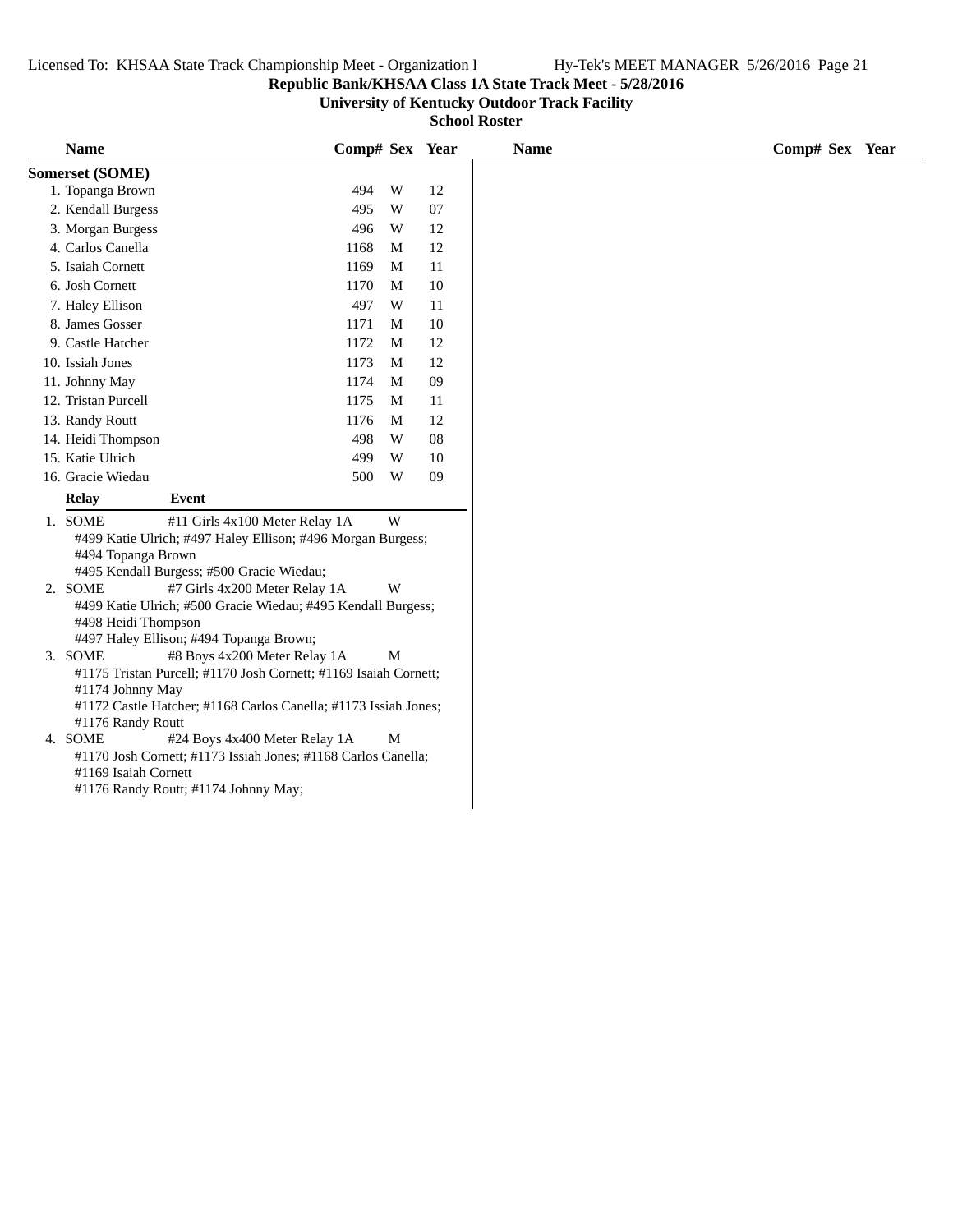## **Republic Bank/KHSAA Class 1A State Track Meet - 5/28/2016**

**University of Kentucky Outdoor Track Facility**

| <b>Name</b>                                      |                                                                                                                                                                     | Comp# Sex Year |   |        | <b>Name</b> | Comp# Sex Year |
|--------------------------------------------------|---------------------------------------------------------------------------------------------------------------------------------------------------------------------|----------------|---|--------|-------------|----------------|
| Somerset (SOME)                                  |                                                                                                                                                                     |                |   |        |             |                |
| 1. Topanga Brown                                 |                                                                                                                                                                     | 494            | W | 12     |             |                |
| 2. Kendall Burgess                               |                                                                                                                                                                     | 495            | W | 07     |             |                |
| 3. Morgan Burgess                                |                                                                                                                                                                     | 496            | W | 12     |             |                |
| 4. Carlos Canella                                |                                                                                                                                                                     | 1168           | M | 12     |             |                |
| 5. Isaiah Cornett                                |                                                                                                                                                                     | 1169           | M | 11     |             |                |
| 6. Josh Cornett                                  |                                                                                                                                                                     | 1170           | M | 10     |             |                |
| 7. Haley Ellison                                 |                                                                                                                                                                     | 497            | W | 11     |             |                |
| 8. James Gosser                                  |                                                                                                                                                                     | 1171           | М | 10     |             |                |
| 9. Castle Hatcher                                |                                                                                                                                                                     | 1172           | M | 12     |             |                |
| 10. Issiah Jones                                 |                                                                                                                                                                     | 1173           | M | 12     |             |                |
| 11. Johnny May                                   |                                                                                                                                                                     | 1174           | M | $09\,$ |             |                |
| 12. Tristan Purcell                              |                                                                                                                                                                     | 1175           | M | 11     |             |                |
| 13. Randy Routt                                  |                                                                                                                                                                     | 1176           | M | 12     |             |                |
| 14. Heidi Thompson                               |                                                                                                                                                                     | 498            | W | 08     |             |                |
| 15. Katie Ulrich                                 |                                                                                                                                                                     | 499            | W | 10     |             |                |
| 16. Gracie Wiedau                                |                                                                                                                                                                     | 500            | W | 09     |             |                |
| <b>Relay</b>                                     | Event                                                                                                                                                               |                |   |        |             |                |
| 1. SOME<br>#494 Topanga Brown                    | #11 Girls 4x100 Meter Relay 1A<br>#499 Katie Ulrich; #497 Haley Ellison; #496 Morgan Burgess;                                                                       |                | W |        |             |                |
|                                                  | #495 Kendall Burgess; #500 Gracie Wiedau;                                                                                                                           |                |   |        |             |                |
| 2. SOME<br>#498 Heidi Thompson                   | #7 Girls 4x200 Meter Relay 1A<br>#499 Katie Ulrich; #500 Gracie Wiedau; #495 Kendall Burgess;<br>#497 Haley Ellison; #494 Topanga Brown;                            |                | W |        |             |                |
| 3. SOME<br>#1174 Johnny May<br>#1176 Randy Routt | #8 Boys 4x200 Meter Relay 1A<br>#1175 Tristan Purcell; #1170 Josh Cornett; #1169 Isaiah Cornett;<br>#1172 Castle Hatcher; #1168 Carlos Canella; #1173 Issiah Jones; |                | M |        |             |                |
| 4. SOME<br>#1169 Isaiah Cornett                  | #24 Boys 4x400 Meter Relay 1A<br>#1170 Josh Cornett; #1173 Issiah Jones; #1168 Carlos Canella;<br>#1176 Randy Routt; #1174 Johnny May;                              |                | M |        |             |                |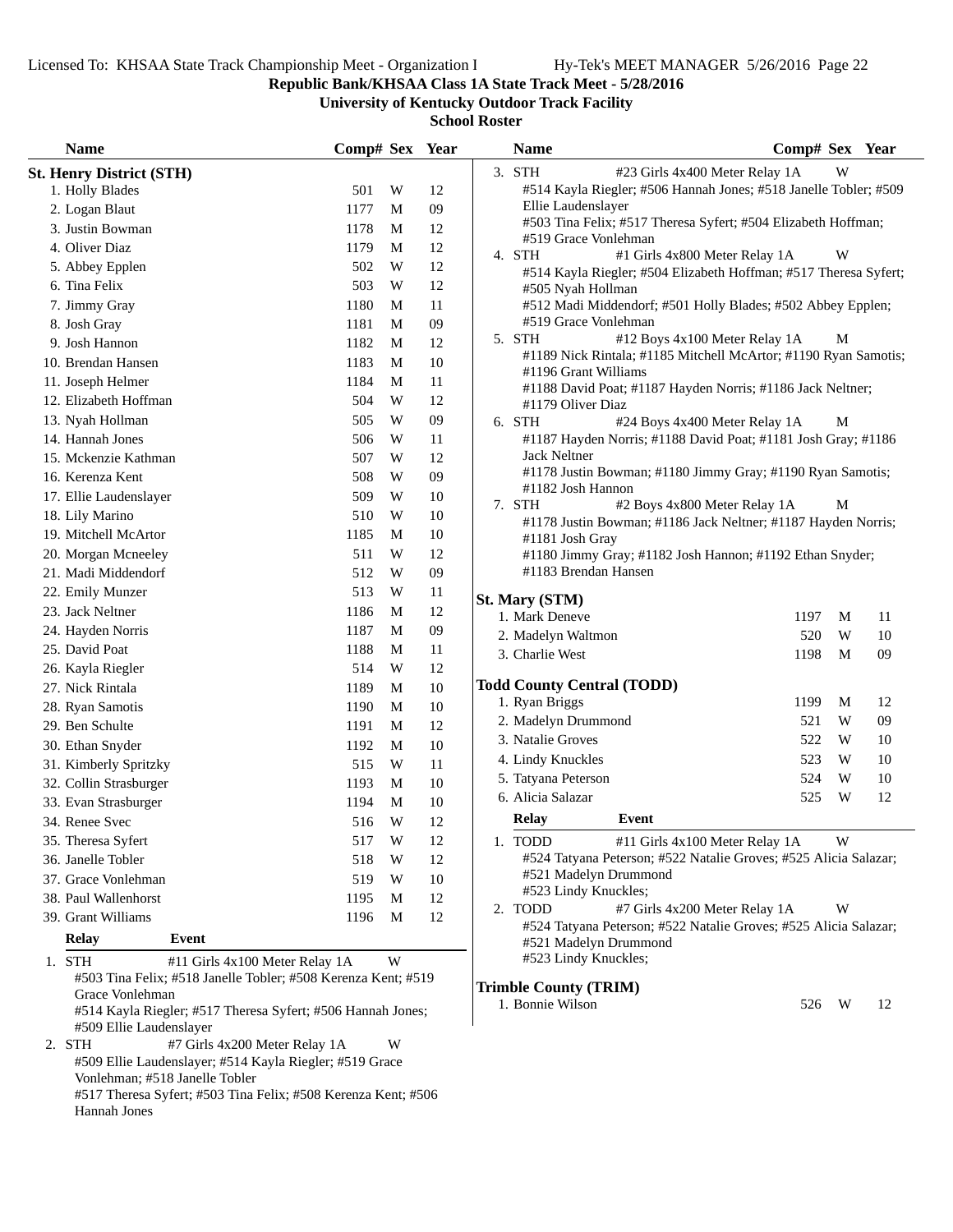Vonlehman; #518 Janelle Tobler

Hannah Jones

#517 Theresa Syfert; #503 Tina Felix; #508 Kerenza Kent; #506

**Republic Bank/KHSAA Class 1A State Track Meet - 5/28/2016**

**University of Kentucky Outdoor Track Facility**

| <b>Name</b>                                                                                                                                                                                                            | Comp# Sex Year |        | <b>Name</b>                                                                                                 | Comp# Sex Year   |
|------------------------------------------------------------------------------------------------------------------------------------------------------------------------------------------------------------------------|----------------|--------|-------------------------------------------------------------------------------------------------------------|------------------|
| <b>St. Henry District (STH)</b>                                                                                                                                                                                        |                |        | 3. STH<br>#23 Girls 4x400 Meter Relay 1A                                                                    | W                |
| 1. Holly Blades                                                                                                                                                                                                        | 501<br>W       | 12     | #514 Kayla Riegler; #506 Hannah Jones; #518 Janelle Tobler; #509                                            |                  |
| 2. Logan Blaut                                                                                                                                                                                                         | 1177<br>M      | 09     | Ellie Laudenslayer                                                                                          |                  |
| 3. Justin Bowman                                                                                                                                                                                                       | 1178<br>M      | 12     | #503 Tina Felix; #517 Theresa Syfert; #504 Elizabeth Hoffman;                                               |                  |
| 4. Oliver Diaz                                                                                                                                                                                                         | 1179<br>M      | 12     | #519 Grace Vonlehman                                                                                        |                  |
| 5. Abbey Epplen                                                                                                                                                                                                        | 502<br>W       | 12     | 4. STH<br>#1 Girls 4x800 Meter Relay 1A<br>#514 Kayla Riegler; #504 Elizabeth Hoffman; #517 Theresa Syfert; | W                |
| 6. Tina Felix                                                                                                                                                                                                          | 503<br>W       | 12     | #505 Nyah Hollman                                                                                           |                  |
| 7. Jimmy Gray                                                                                                                                                                                                          | 1180<br>M      | 11     | #512 Madi Middendorf; #501 Holly Blades; #502 Abbey Epplen;                                                 |                  |
| 8. Josh Gray                                                                                                                                                                                                           | 1181<br>M      | $09\,$ | #519 Grace Vonlehman                                                                                        |                  |
| 9. Josh Hannon                                                                                                                                                                                                         | 1182<br>M      | 12     | #12 Boys 4x100 Meter Relay 1A<br>5. STH                                                                     | M                |
| 10. Brendan Hansen                                                                                                                                                                                                     | 1183<br>M      | 10     | #1189 Nick Rintala; #1185 Mitchell McArtor; #1190 Ryan Samotis;                                             |                  |
| 11. Joseph Helmer                                                                                                                                                                                                      | 1184<br>M      | 11     | #1196 Grant Williams                                                                                        |                  |
| 12. Elizabeth Hoffman                                                                                                                                                                                                  | W<br>504       | 12     | #1188 David Poat; #1187 Hayden Norris; #1186 Jack Neltner;                                                  |                  |
| 13. Nyah Hollman                                                                                                                                                                                                       | W<br>505       | 09     | #1179 Oliver Diaz                                                                                           |                  |
| 14. Hannah Jones                                                                                                                                                                                                       | 506<br>W       | 11     | 6. STH<br>#24 Boys 4x400 Meter Relay 1A<br>#1187 Hayden Norris; #1188 David Poat; #1181 Josh Gray; #1186    | M                |
| 15. Mckenzie Kathman                                                                                                                                                                                                   | W<br>507       | 12     | Jack Neltner                                                                                                |                  |
|                                                                                                                                                                                                                        |                |        | #1178 Justin Bowman; #1180 Jimmy Gray; #1190 Ryan Samotis;                                                  |                  |
| 16. Kerenza Kent                                                                                                                                                                                                       | W<br>508       | 09     | #1182 Josh Hannon                                                                                           |                  |
| 17. Ellie Laudenslayer                                                                                                                                                                                                 | W<br>509       | 10     | 7. STH<br>#2 Boys 4x800 Meter Relay 1A                                                                      | M                |
| 18. Lily Marino                                                                                                                                                                                                        | W<br>510       | 10     | #1178 Justin Bowman; #1186 Jack Neltner; #1187 Hayden Norris;                                               |                  |
| 19. Mitchell McArtor                                                                                                                                                                                                   | 1185<br>M      | $10\,$ | #1181 Josh Gray                                                                                             |                  |
| 20. Morgan Mcneeley                                                                                                                                                                                                    | W<br>511       | 12     | #1180 Jimmy Gray; #1182 Josh Hannon; #1192 Ethan Snyder;                                                    |                  |
| 21. Madi Middendorf                                                                                                                                                                                                    | 512<br>W       | 09     | #1183 Brendan Hansen                                                                                        |                  |
| 22. Emily Munzer                                                                                                                                                                                                       | 513<br>W       | 11     | St. Mary (STM)                                                                                              |                  |
| 23. Jack Neltner                                                                                                                                                                                                       | 1186<br>M      | 12     | 1. Mark Deneve                                                                                              | 1197<br>M<br>11  |
| 24. Hayden Norris                                                                                                                                                                                                      | 1187<br>M      | 09     | 2. Madelyn Waltmon                                                                                          | 520<br>W<br>10   |
| 25. David Poat                                                                                                                                                                                                         | 1188<br>M      | 11     | 3. Charlie West                                                                                             | M<br>09<br>1198  |
| 26. Kayla Riegler                                                                                                                                                                                                      | 514<br>W       | 12     |                                                                                                             |                  |
| 27. Nick Rintala                                                                                                                                                                                                       | 1189<br>M      | 10     | <b>Todd County Central (TODD)</b>                                                                           |                  |
| 28. Ryan Samotis                                                                                                                                                                                                       | 1190<br>M      | 10     | 1. Ryan Briggs                                                                                              | 1199<br>12<br>M  |
| 29. Ben Schulte                                                                                                                                                                                                        | 1191<br>M      | 12     | 2. Madelyn Drummond                                                                                         | W<br>09<br>521   |
| 30. Ethan Snyder                                                                                                                                                                                                       | 1192<br>M      | 10     | 3. Natalie Groves                                                                                           | W<br>522<br>10   |
| 31. Kimberly Spritzky                                                                                                                                                                                                  | W<br>515       | 11     | 4. Lindy Knuckles                                                                                           | W<br>523<br>10   |
| 32. Collin Strasburger                                                                                                                                                                                                 | 1193<br>M      | 10     | 5. Tatyana Peterson                                                                                         | W<br>524<br>10   |
| 33. Evan Strasburger                                                                                                                                                                                                   | 1194<br>M      | 10     | 6. Alicia Salazar                                                                                           | W<br>12<br>525   |
| 34. Renee Svec                                                                                                                                                                                                         | W<br>516       | 12     | <b>Relay</b><br>Event                                                                                       |                  |
| 35. Theresa Syfert                                                                                                                                                                                                     | W<br>517       | 12     | 1. TODD<br>#11 Girls 4x100 Meter Relay 1A                                                                   | W                |
| 36. Janelle Tobler                                                                                                                                                                                                     | 518<br>W       | 12     | #524 Tatyana Peterson; #522 Natalie Groves; #525 Alicia Salazar;                                            |                  |
| 37. Grace Vonlehman                                                                                                                                                                                                    | 519<br>W       | 10     | #521 Madelyn Drummond                                                                                       |                  |
| 38. Paul Wallenhorst                                                                                                                                                                                                   | 1195<br>M      | 12     | #523 Lindy Knuckles;                                                                                        |                  |
|                                                                                                                                                                                                                        |                |        | 2. TODD<br>#7 Girls 4x200 Meter Relay 1A                                                                    | W                |
| 39. Grant Williams                                                                                                                                                                                                     | 1196<br>M      | 12     | #524 Tatyana Peterson; #522 Natalie Groves; #525 Alicia Salazar;                                            |                  |
| <b>Relay</b><br>Event                                                                                                                                                                                                  |                |        | #521 Madelyn Drummond                                                                                       |                  |
| 1. STH<br>#11 Girls 4x100 Meter Relay 1A<br>#503 Tina Felix; #518 Janelle Tobler; #508 Kerenza Kent; #519<br>Grace Vonlehman<br>#514 Kayla Riegler; #517 Theresa Syfert; #506 Hannah Jones;<br>#509 Ellie Laudenslayer | W              |        | #523 Lindy Knuckles;<br><b>Trimble County (TRIM)</b><br>1. Bonnie Wilson                                    | 526<br>- W<br>12 |
| #7 Girls 4x200 Meter Relay 1A<br>2. STH<br>#509 Ellie Laudenslayer; #514 Kayla Riegler; #519 Grace                                                                                                                     | W              |        |                                                                                                             |                  |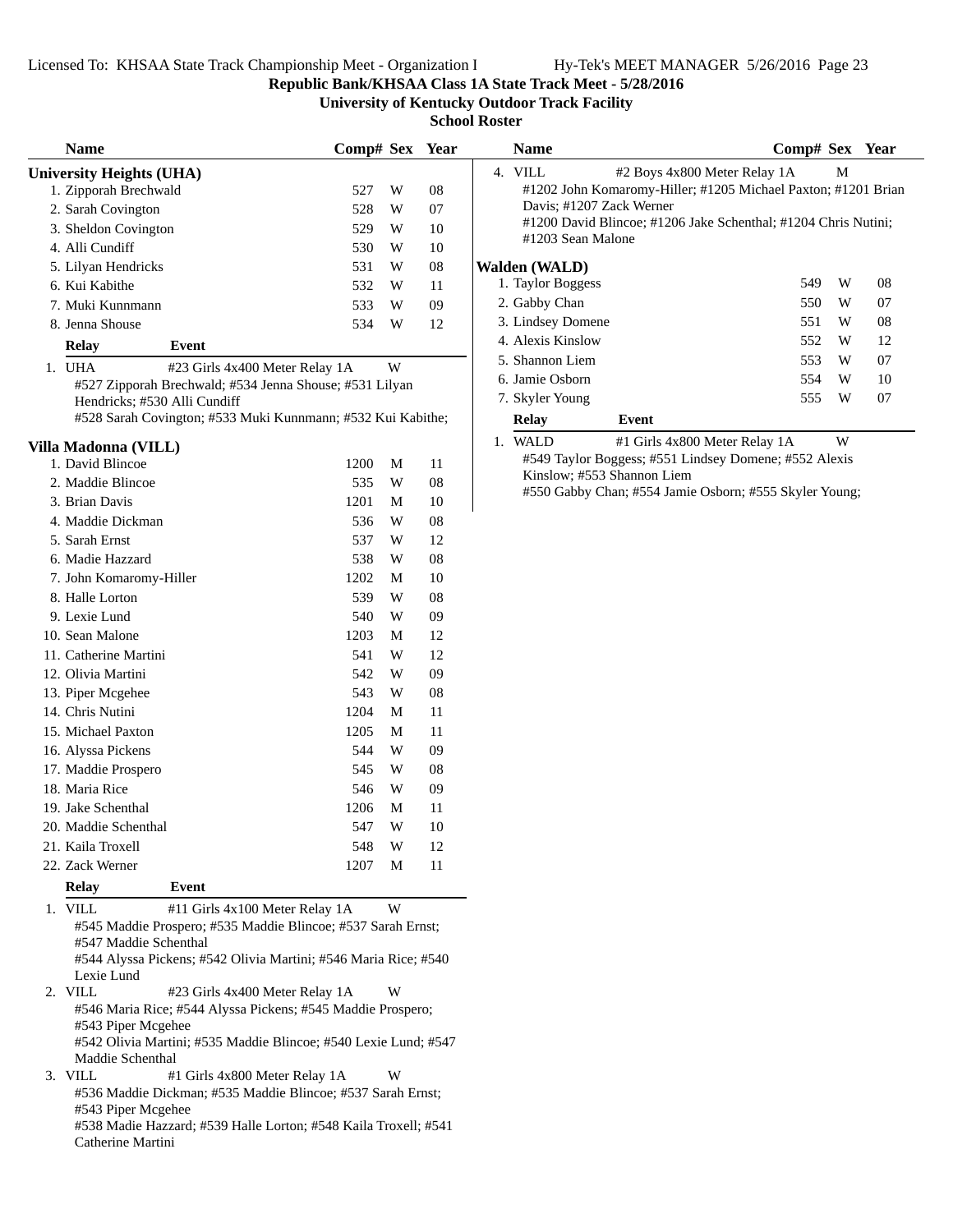**Republic Bank/KHSAA Class 1A State Track Meet - 5/28/2016**

**University of Kentucky Outdoor Track Facility**

**School Roster**

| <b>Name</b>                     |                                                                                                | Comp# Sex Year |             |    | <b>Name</b>              |                                                                | Comp# Sex Year |   |    |
|---------------------------------|------------------------------------------------------------------------------------------------|----------------|-------------|----|--------------------------|----------------------------------------------------------------|----------------|---|----|
| <b>University Heights (UHA)</b> |                                                                                                |                |             |    | 4. VILL                  | #2 Boys 4x800 Meter Relay 1A                                   |                | М |    |
| 1. Zipporah Brechwald           |                                                                                                | 527            | W           | 08 |                          | #1202 John Komaromy-Hiller; #1205 Michael Paxton; #1201 Bria   |                |   |    |
| 2. Sarah Covington              |                                                                                                | 528            | W           | 07 | Davis; #1207 Zack Werner |                                                                |                |   |    |
| 3. Sheldon Covington            |                                                                                                | 529            | W           | 10 |                          | #1200 David Blincoe; #1206 Jake Schenthal; #1204 Chris Nutini; |                |   |    |
| 4. Alli Cundiff                 |                                                                                                | 530            | W           | 10 | #1203 Sean Malone        |                                                                |                |   |    |
| 5. Lilyan Hendricks             |                                                                                                | 531            | W           | 08 | <b>Walden (WALD)</b>     |                                                                |                |   |    |
| 6. Kui Kabithe                  |                                                                                                | 532            | W           | 11 | 1. Taylor Boggess        |                                                                | 549            | W | 08 |
| 7. Muki Kunnmann                |                                                                                                | 533            | W           | 09 | 2. Gabby Chan            |                                                                | 550            | W | 07 |
| 8. Jenna Shouse                 |                                                                                                | 534            | W           | 12 | 3. Lindsey Domene        |                                                                | 551            | W | 08 |
| <b>Relay</b>                    | Event                                                                                          |                |             |    | 4. Alexis Kinslow        |                                                                | 552            | W | 12 |
| 1. UHA                          | #23 Girls 4x400 Meter Relay 1A                                                                 |                | $\mathbf W$ |    | 5. Shannon Liem          |                                                                | 553            | W | 07 |
|                                 | #527 Zipporah Brechwald; #534 Jenna Shouse; #531 Lilyan                                        |                |             |    | 6. Jamie Osborn          |                                                                | 554            | W | 10 |
| Hendricks; #530 Alli Cundiff    |                                                                                                |                |             |    | 7. Skyler Young          |                                                                | 555            | W | 07 |
|                                 | #528 Sarah Covington; #533 Muki Kunnmann; #532 Kui Kabithe;                                    |                |             |    | <b>Relay</b>             | Event                                                          |                |   |    |
| Villa Madonna (VILL)            |                                                                                                |                |             |    | 1. WALD                  | #1 Girls 4x800 Meter Relay 1A                                  |                | W |    |
| 1. David Blincoe                |                                                                                                | 1200           | M           | 11 |                          | #549 Taylor Boggess; #551 Lindsey Domene; #552 Alexis          |                |   |    |
| 2. Maddie Blincoe               |                                                                                                | 535            | W           | 08 |                          | Kinslow; #553 Shannon Liem                                     |                |   |    |
| 3. Brian Davis                  |                                                                                                | 1201           | M           | 10 |                          | #550 Gabby Chan; #554 Jamie Osborn; #555 Skyler Young;         |                |   |    |
| 4. Maddie Dickman               |                                                                                                | 536            | W           | 08 |                          |                                                                |                |   |    |
| 5. Sarah Ernst                  |                                                                                                | 537            | W           | 12 |                          |                                                                |                |   |    |
| 6. Madie Hazzard                |                                                                                                | 538            | W           | 08 |                          |                                                                |                |   |    |
| 7. John Komaromy-Hiller         |                                                                                                | 1202           | M           | 10 |                          |                                                                |                |   |    |
| 8. Halle Lorton                 |                                                                                                | 539            | W           | 08 |                          |                                                                |                |   |    |
| 9. Lexie Lund                   |                                                                                                | 540            | W           | 09 |                          |                                                                |                |   |    |
| 10. Sean Malone                 |                                                                                                | 1203           | M           | 12 |                          |                                                                |                |   |    |
| 11. Catherine Martini           |                                                                                                | 541            | W           | 12 |                          |                                                                |                |   |    |
| 12. Olivia Martini              |                                                                                                | 542            | W           | 09 |                          |                                                                |                |   |    |
| 13. Piper Mcgehee               |                                                                                                | 543            | W           | 08 |                          |                                                                |                |   |    |
| 14. Chris Nutini                |                                                                                                | 1204           | M           | 11 |                          |                                                                |                |   |    |
| 15. Michael Paxton              |                                                                                                | 1205           | M           | 11 |                          |                                                                |                |   |    |
| 16. Alyssa Pickens              |                                                                                                | 544            | W           | 09 |                          |                                                                |                |   |    |
| 17. Maddie Prospero             |                                                                                                | 545            | W           | 08 |                          |                                                                |                |   |    |
| 18. Maria Rice                  |                                                                                                | 546            | W           | 09 |                          |                                                                |                |   |    |
| 19. Jake Schenthal              |                                                                                                | 1206           | M           | 11 |                          |                                                                |                |   |    |
| 20. Maddie Schenthal            |                                                                                                | 547            | W           | 10 |                          |                                                                |                |   |    |
| 21. Kaila Troxell               |                                                                                                | 548            | W           | 12 |                          |                                                                |                |   |    |
| 22. Zack Werner                 |                                                                                                | 1207           | M           | 11 |                          |                                                                |                |   |    |
| Relay                           | Event                                                                                          |                |             |    |                          |                                                                |                |   |    |
| 1. VILL                         | #11 Girls 4x100 Meter Relay 1A<br>#545 Maddie Prospero: #535 Maddie Blincoe: #537 Sarah Ernst: |                | W           |    |                          |                                                                |                |   |    |

#545 Maddie Prospero; #535 Maddie Blincoe; #537 Sarah Ernst; #547 Maddie Schenthal

#544 Alyssa Pickens; #542 Olivia Martini; #546 Maria Rice; #540 Lexie Lund<br>2. VILL

#23 Girls 4x400 Meter Relay 1A W #546 Maria Rice; #544 Alyssa Pickens; #545 Maddie Prospero; #543 Piper Mcgehee

#542 Olivia Martini; #535 Maddie Blincoe; #540 Lexie Lund; #547 Maddie Schenthal

3. VILL #1 Girls 4x800 Meter Relay 1A W

#536 Maddie Dickman; #535 Maddie Blincoe; #537 Sarah Ernst; #543 Piper Mcgehee

#538 Madie Hazzard; #539 Halle Lorton; #548 Kaila Troxell; #541 Catherine Martini

| <b>Name</b>              |                                                                                                                                                                                                                                                                                               |     | Comp# Sex Year |    |
|--------------------------|-----------------------------------------------------------------------------------------------------------------------------------------------------------------------------------------------------------------------------------------------------------------------------------------------|-----|----------------|----|
| 4. VILL                  | #2 Boys 4x800 Meter Relay 1A                                                                                                                                                                                                                                                                  |     | М              |    |
|                          | #1202 John Komaromy-Hiller; #1205 Michael Paxton; #1201 Brian                                                                                                                                                                                                                                 |     |                |    |
| Davis; #1207 Zack Werner |                                                                                                                                                                                                                                                                                               |     |                |    |
|                          | #1200 David Blincoe; #1206 Jake Schenthal; #1204 Chris Nutini;                                                                                                                                                                                                                                |     |                |    |
| #1203 Sean Malone        |                                                                                                                                                                                                                                                                                               |     |                |    |
| Walden (WALD)            |                                                                                                                                                                                                                                                                                               |     |                |    |
| 1. Taylor Boggess        |                                                                                                                                                                                                                                                                                               | 549 | W              | 08 |
| 2. Gabby Chan            |                                                                                                                                                                                                                                                                                               | 550 | W              | 07 |
| 3. Lindsey Domene        |                                                                                                                                                                                                                                                                                               | 551 | W              | 08 |
| 4. Alexis Kinslow        |                                                                                                                                                                                                                                                                                               | 552 | W              | 12 |
| 5. Shannon Liem          |                                                                                                                                                                                                                                                                                               | 553 | W              | 07 |
| 6. Jamie Osborn          |                                                                                                                                                                                                                                                                                               | 554 | W              | 10 |
| 7. Skyler Young          |                                                                                                                                                                                                                                                                                               | 555 | W              | 07 |
| <b>Relay</b>             | Event                                                                                                                                                                                                                                                                                         |     |                |    |
| $\mathbf{W}$             | $\frac{1}{4}$ and $\frac{1}{4}$ and $\frac{1}{4}$ and $\frac{1}{4}$ and $\frac{1}{4}$ and $\frac{1}{4}$ and $\frac{1}{4}$ and $\frac{1}{4}$ and $\frac{1}{4}$ and $\frac{1}{4}$ and $\frac{1}{4}$ and $\frac{1}{4}$ and $\frac{1}{4}$ and $\frac{1}{4}$ and $\frac{1}{4}$ and $\frac{1}{4}$ a |     | <b>TTT</b>     |    |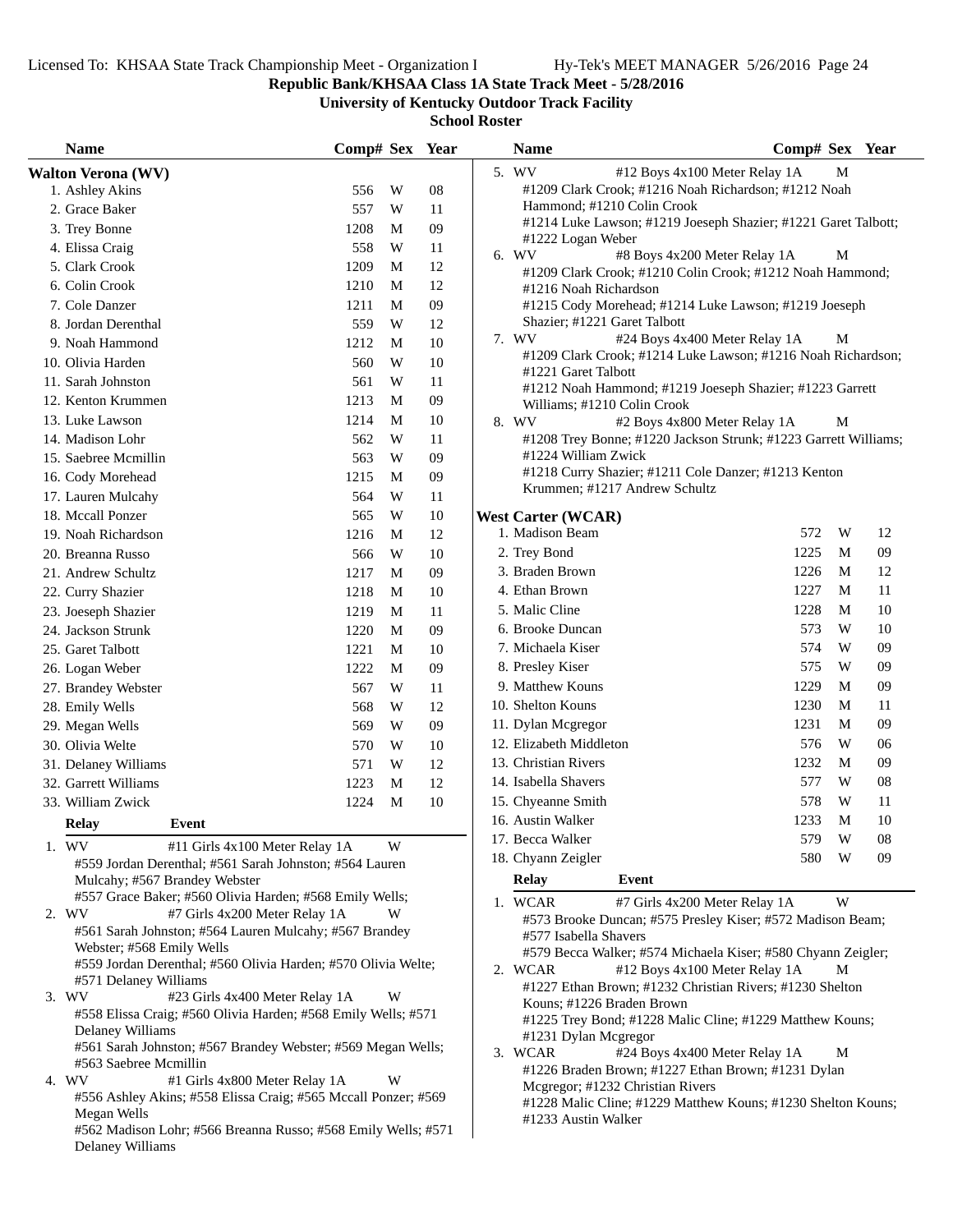**Republic Bank/KHSAA Class 1A State Track Meet - 5/28/2016**

**University of Kentucky Outdoor Track Facility**

| <b>Name</b>                                                                         | Comp# Sex Year |   |        | <b>Name</b>                                                                             | Comp# Sex Year                                                  |
|-------------------------------------------------------------------------------------|----------------|---|--------|-----------------------------------------------------------------------------------------|-----------------------------------------------------------------|
| <b>Walton Verona (WV)</b>                                                           |                |   |        | 5. WV                                                                                   | #12 Boys 4x100 Meter Relay 1A<br>M                              |
| 1. Ashley Akins                                                                     | 556            | W | 08     | #1209 Clark Crook; #1216 Noah Richardson; #1212 Noah                                    |                                                                 |
| 2. Grace Baker                                                                      | 557            | W | 11     | Hammond; #1210 Colin Crook                                                              |                                                                 |
| 3. Trey Bonne                                                                       | 1208           | M | 09     |                                                                                         | #1214 Luke Lawson; #1219 Joeseph Shazier; #1221 Garet Talbott;  |
| 4. Elissa Craig                                                                     | 558            | W | 11     | #1222 Logan Weber<br>6. WV                                                              | #8 Boys 4x200 Meter Relay 1A<br>М                               |
| 5. Clark Crook                                                                      | 1209           | M | 12     |                                                                                         | #1209 Clark Crook; #1210 Colin Crook; #1212 Noah Hammond;       |
| 6. Colin Crook                                                                      | 1210           | M | 12     | #1216 Noah Richardson                                                                   |                                                                 |
| 7. Cole Danzer                                                                      | 1211           | M | 09     | #1215 Cody Morehead; #1214 Luke Lawson; #1219 Joeseph                                   |                                                                 |
| 8. Jordan Derenthal                                                                 | 559            | W | 12     | Shazier; #1221 Garet Talbott                                                            |                                                                 |
| 9. Noah Hammond                                                                     | 1212           | M | 10     | 7. WV                                                                                   | #24 Boys 4x400 Meter Relay 1A<br>М                              |
| 10. Olivia Harden                                                                   | 560            | W | $10\,$ |                                                                                         | #1209 Clark Crook; #1214 Luke Lawson; #1216 Noah Richardson;    |
| 11. Sarah Johnston                                                                  | 561            | W | 11     | #1221 Garet Talbott                                                                     |                                                                 |
| 12. Kenton Krummen                                                                  | 1213           | M | 09     | #1212 Noah Hammond; #1219 Joeseph Shazier; #1223 Garrett<br>Williams; #1210 Colin Crook |                                                                 |
| 13. Luke Lawson                                                                     | 1214           | M | 10     | 8. WV                                                                                   | #2 Boys 4x800 Meter Relay 1A<br>M                               |
| 14. Madison Lohr                                                                    | 562            | W | 11     |                                                                                         | #1208 Trey Bonne; #1220 Jackson Strunk; #1223 Garrett Williams; |
| 15. Saebree Mcmillin                                                                | 563            | W | 09     | #1224 William Zwick                                                                     |                                                                 |
| 16. Cody Morehead                                                                   | 1215           | M | 09     | #1218 Curry Shazier; #1211 Cole Danzer; #1213 Kenton                                    |                                                                 |
| 17. Lauren Mulcahy                                                                  | 564            | W | 11     | Krummen; #1217 Andrew Schultz                                                           |                                                                 |
| 18. Mccall Ponzer                                                                   | 565            | W | 10     | <b>West Carter (WCAR)</b>                                                               |                                                                 |
| 19. Noah Richardson                                                                 | 1216           | M | 12     | 1. Madison Beam                                                                         | 572<br>W<br>12                                                  |
| 20. Breanna Russo                                                                   | 566            | W | 10     | 2. Trey Bond                                                                            | 1225<br>M<br>09                                                 |
| 21. Andrew Schultz                                                                  | 1217           | M | 09     | 3. Braden Brown                                                                         | 1226<br>12<br>M                                                 |
|                                                                                     | 1218           |   |        | 4. Ethan Brown                                                                          | 1227<br>11<br>M                                                 |
| 22. Curry Shazier                                                                   |                | M | 10     | 5. Malic Cline                                                                          | 1228<br>M<br>10                                                 |
| 23. Joeseph Shazier                                                                 | 1219           | M | 11     | 6. Brooke Duncan                                                                        | 573<br>W<br>10                                                  |
| 24. Jackson Strunk                                                                  | 1220           | M | 09     | 7. Michaela Kiser                                                                       | 574<br>W<br>09                                                  |
| 25. Garet Talbott                                                                   | 1221           | M | 10     |                                                                                         | 575<br>W<br>09                                                  |
| 26. Logan Weber                                                                     | 1222           | M | 09     | 8. Presley Kiser<br>9. Matthew Kouns                                                    | 1229<br>M<br>09                                                 |
| 27. Brandey Webster                                                                 | 567            | W | 11     | 10. Shelton Kouns                                                                       | 1230<br>M<br>11                                                 |
| 28. Emily Wells                                                                     | 568            | W | 12     |                                                                                         | 1231<br>M<br>09                                                 |
| 29. Megan Wells                                                                     | 569            | W | 09     | 11. Dylan Mcgregor<br>12. Elizabeth Middleton                                           | 576<br>W<br>06                                                  |
| 30. Olivia Welte                                                                    | 570            | W | $10\,$ |                                                                                         |                                                                 |
| 31. Delaney Williams                                                                | 571            | W | 12     | 13. Christian Rivers                                                                    | 1232<br>M<br>09                                                 |
| 32. Garrett Williams                                                                | 1223           | M | 12     | 14. Isabella Shavers                                                                    | 577<br>W<br>08                                                  |
| 33. William Zwick                                                                   | 1224           | M | $10\,$ | 15. Chyeanne Smith                                                                      | 578<br>W<br>11                                                  |
| <b>Relay</b><br>Event                                                               |                |   |        | 16. Austin Walker                                                                       | M<br>1233<br>10                                                 |
| 1. WV<br>#11 Girls 4x100 Meter Relay 1A                                             |                | W |        | 17. Becca Walker                                                                        | W<br>579<br>${\bf 08}$                                          |
| #559 Jordan Derenthal; #561 Sarah Johnston; #564 Lauren                             |                |   |        | 18. Chyann Zeigler                                                                      | W<br>580<br>09                                                  |
| Mulcahy; #567 Brandey Webster                                                       |                |   |        | <b>Relay</b><br>Event                                                                   |                                                                 |
| #557 Grace Baker; #560 Olivia Harden; #568 Emily Wells;                             |                |   |        | 1. WCAR                                                                                 | W<br>#7 Girls 4x200 Meter Relay 1A                              |
| 2. WV<br>#7 Girls 4x200 Meter Relay 1A                                              |                | W |        |                                                                                         | #573 Brooke Duncan; #575 Presley Kiser; #572 Madison Beam;      |
| #561 Sarah Johnston; #564 Lauren Mulcahy; #567 Brandey<br>Webster; #568 Emily Wells |                |   |        | #577 Isabella Shavers                                                                   |                                                                 |
| #559 Jordan Derenthal; #560 Olivia Harden; #570 Olivia Welte;                       |                |   |        |                                                                                         | #579 Becca Walker; #574 Michaela Kiser; #580 Chyann Zeigler;    |
| #571 Delaney Williams                                                               |                |   |        | 2. WCAR                                                                                 | #12 Boys 4x100 Meter Relay 1A<br>M                              |
| 3. WV<br>#23 Girls 4x400 Meter Relay 1A                                             |                | W |        | #1227 Ethan Brown; #1232 Christian Rivers; #1230 Shelton<br>Kouns; #1226 Braden Brown   |                                                                 |
| #558 Elissa Craig; #560 Olivia Harden; #568 Emily Wells; #571                       |                |   |        | #1225 Trey Bond; #1228 Malic Cline; #1229 Matthew Kouns;                                |                                                                 |
| Delaney Williams                                                                    |                |   |        | #1231 Dylan Mcgregor                                                                    |                                                                 |
| #561 Sarah Johnston; #567 Brandey Webster; #569 Megan Wells;                        |                |   |        | 3. WCAR                                                                                 | #24 Boys 4x400 Meter Relay 1A<br>M                              |
| #563 Saebree Mcmillin                                                               |                |   |        | #1226 Braden Brown; #1227 Ethan Brown; #1231 Dylan                                      |                                                                 |
| 4. WV<br>#1 Girls 4x800 Meter Relay 1A                                              |                | W |        | Mcgregor; #1232 Christian Rivers                                                        |                                                                 |
| #556 Ashley Akins; #558 Elissa Craig; #565 Mccall Ponzer; #569<br>Megan Wells       |                |   |        |                                                                                         | #1228 Malic Cline; #1229 Matthew Kouns; #1230 Shelton Kouns;    |
| #562 Madison Lohr; #566 Breanna Russo; #568 Emily Wells; #571                       |                |   |        | #1233 Austin Walker                                                                     |                                                                 |
| Delaney Williams                                                                    |                |   |        |                                                                                         |                                                                 |
|                                                                                     |                |   |        |                                                                                         |                                                                 |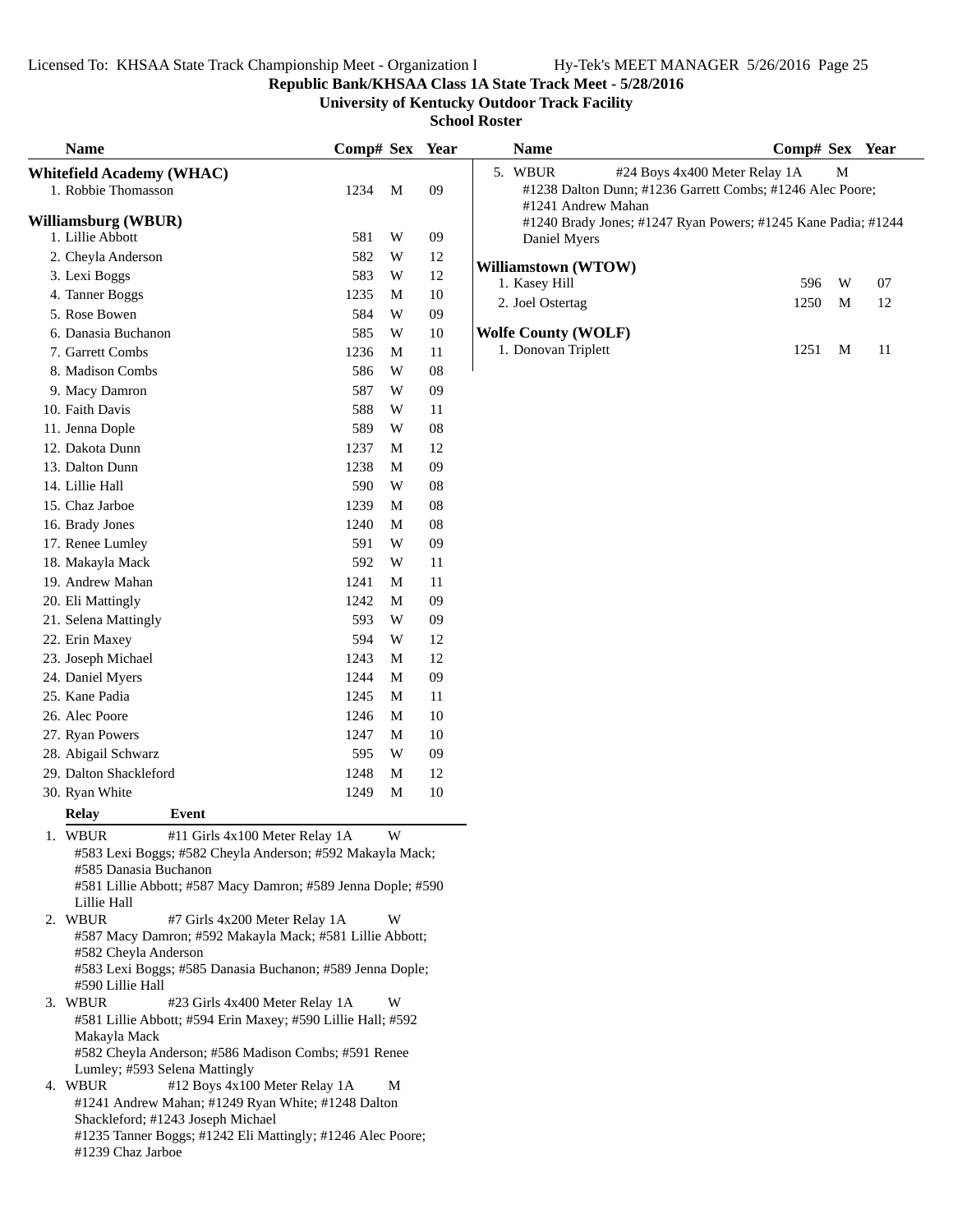**Republic Bank/KHSAA Class 1A State Track Meet - 5/28/2016**

**University of Kentucky Outdoor Track Facility**

| <b>Name</b>                                                          | Comp# Sex Year |   |            | <b>Name</b>                                                                   | Comp# Sex Year |   |    |
|----------------------------------------------------------------------|----------------|---|------------|-------------------------------------------------------------------------------|----------------|---|----|
| <b>Whitefield Academy (WHAC)</b>                                     |                |   |            | #24 Boys 4x400 Meter Relay 1A<br>5. WBUR                                      |                | M |    |
| 1. Robbie Thomasson                                                  | 1234           | M | 09         | #1238 Dalton Dunn; #1236 Garrett Combs; #1246 Alec Poore;                     |                |   |    |
| <b>Williamsburg (WBUR)</b>                                           |                |   |            | #1241 Andrew Mahan                                                            |                |   |    |
| 1. Lillie Abbott                                                     | 581            | W | 09         | #1240 Brady Jones; #1247 Ryan Powers; #1245 Kane Padia; #1244<br>Daniel Myers |                |   |    |
| 2. Cheyla Anderson                                                   | 582            | W | $12\,$     |                                                                               |                |   |    |
| 3. Lexi Boggs                                                        | 583            | W | 12         | Williamstown (WTOW)                                                           |                |   |    |
| 4. Tanner Boggs                                                      | 1235           | M | $10\,$     | 1. Kasey Hill                                                                 | 596            | W | 07 |
| 5. Rose Bowen                                                        | 584            | W | 09         | 2. Joel Ostertag                                                              | 1250           | M | 12 |
| 6. Danasia Buchanon                                                  | 585            | W | 10         | <b>Wolfe County (WOLF)</b>                                                    |                |   |    |
| 7. Garrett Combs                                                     | 1236           | M | 11         | 1. Donovan Triplett                                                           | 1251           | M | 11 |
| 8. Madison Combs                                                     | 586            | W | ${\bf 08}$ |                                                                               |                |   |    |
| 9. Macy Damron                                                       | 587            | W | 09         |                                                                               |                |   |    |
| 10. Faith Davis                                                      | 588            | W | 11         |                                                                               |                |   |    |
| 11. Jenna Dople                                                      | 589            | W | ${\bf 08}$ |                                                                               |                |   |    |
| 12. Dakota Dunn                                                      | 1237           | M | 12         |                                                                               |                |   |    |
| 13. Dalton Dunn                                                      | 1238           | M | 09         |                                                                               |                |   |    |
| 14. Lillie Hall                                                      | 590            | W | 08         |                                                                               |                |   |    |
| 15. Chaz Jarboe                                                      | 1239           | M | 08         |                                                                               |                |   |    |
| 16. Brady Jones                                                      | 1240           | M | 08         |                                                                               |                |   |    |
| 17. Renee Lumley                                                     | 591            | W | 09         |                                                                               |                |   |    |
| 18. Makayla Mack                                                     | 592            | W | 11         |                                                                               |                |   |    |
| 19. Andrew Mahan                                                     | 1241           | M | 11         |                                                                               |                |   |    |
| 20. Eli Mattingly                                                    | 1242           | M | 09         |                                                                               |                |   |    |
| 21. Selena Mattingly                                                 | 593            | W | 09         |                                                                               |                |   |    |
| 22. Erin Maxey                                                       | 594            | W | 12         |                                                                               |                |   |    |
| 23. Joseph Michael                                                   | 1243           | M | 12         |                                                                               |                |   |    |
| 24. Daniel Myers                                                     | 1244           | M | 09         |                                                                               |                |   |    |
| 25. Kane Padia                                                       | 1245           | M | 11         |                                                                               |                |   |    |
| 26. Alec Poore                                                       | 1246           | M | 10         |                                                                               |                |   |    |
| 27. Ryan Powers                                                      | 1247           | M | 10         |                                                                               |                |   |    |
| 28. Abigail Schwarz                                                  | 595            | W | 09         |                                                                               |                |   |    |
| 29. Dalton Shackleford                                               | 1248           | M | 12         |                                                                               |                |   |    |
| 30. Ryan White                                                       | 1249           | M | $10\,$     |                                                                               |                |   |    |
| <b>Relay</b><br>Event                                                |                |   |            |                                                                               |                |   |    |
| #11 Girls 4x100 Meter Relay 1A<br>1. WBUR                            |                | W |            |                                                                               |                |   |    |
| #583 Lexi Boggs; #582 Cheyla Anderson; #592 Makayla Mack;            |                |   |            |                                                                               |                |   |    |
| #585 Danasia Buchanon                                                |                |   |            |                                                                               |                |   |    |
| #581 Lillie Abbott; #587 Macy Damron; #589 Jenna Dople; #590         |                |   |            |                                                                               |                |   |    |
| Lillie Hall<br>2. WBUR<br>#7 Girls 4x200 Meter Relay 1A              |                | W |            |                                                                               |                |   |    |
| #587 Macy Damron; #592 Makayla Mack; #581 Lillie Abbott;             |                |   |            |                                                                               |                |   |    |
| #582 Cheyla Anderson                                                 |                |   |            |                                                                               |                |   |    |
| #583 Lexi Boggs; #585 Danasia Buchanon; #589 Jenna Dople;            |                |   |            |                                                                               |                |   |    |
| #590 Lillie Hall                                                     |                |   |            |                                                                               |                |   |    |
| 3. WBUR<br>#23 Girls 4x400 Meter Relay 1A                            |                | W |            |                                                                               |                |   |    |
| #581 Lillie Abbott; #594 Erin Maxey; #590 Lillie Hall; #592          |                |   |            |                                                                               |                |   |    |
| Makayla Mack<br>#582 Cheyla Anderson; #586 Madison Combs; #591 Renee |                |   |            |                                                                               |                |   |    |
| Lumley; #593 Selena Mattingly                                        |                |   |            |                                                                               |                |   |    |
| 4. WBUR<br>#12 Boys 4x100 Meter Relay 1A                             |                | M |            |                                                                               |                |   |    |
| #1241 Andrew Mahan; #1249 Ryan White; #1248 Dalton                   |                |   |            |                                                                               |                |   |    |
| Shackleford; #1243 Joseph Michael                                    |                |   |            |                                                                               |                |   |    |
| #1235 Tanner Boggs; #1242 Eli Mattingly; #1246 Alec Poore;           |                |   |            |                                                                               |                |   |    |
| #1239 Chaz Jarboe                                                    |                |   |            |                                                                               |                |   |    |